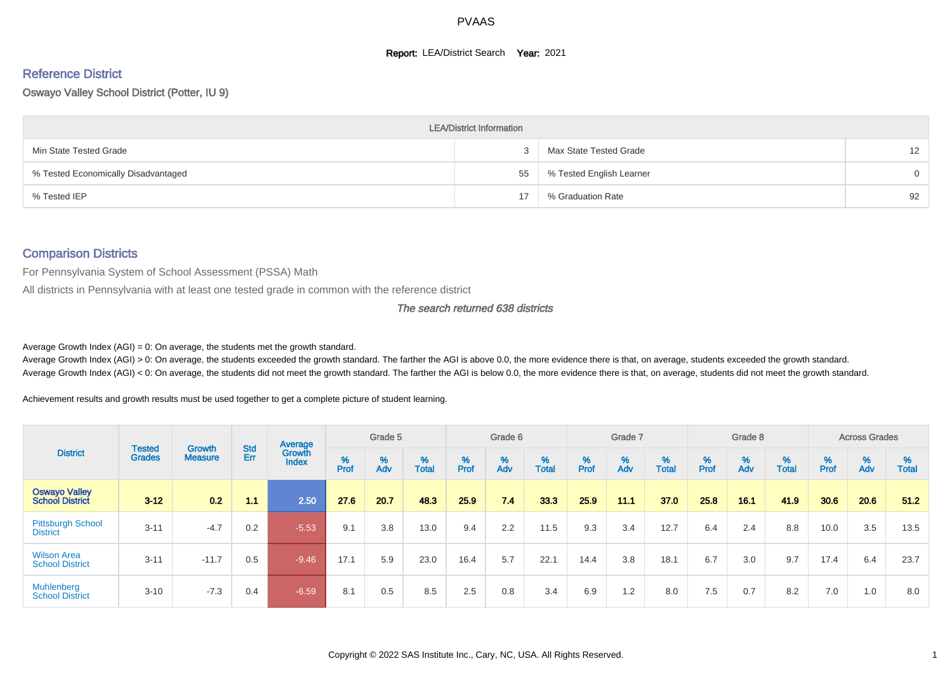#### **Report: LEA/District Search Year: 2021**

# Reference District

Oswayo Valley School District (Potter, IU 9)

|                                     | <b>LEA/District Information</b> |                          |                   |
|-------------------------------------|---------------------------------|--------------------------|-------------------|
| Min State Tested Grade              |                                 | Max State Tested Grade   | $12 \overline{ }$ |
| % Tested Economically Disadvantaged | 55                              | % Tested English Learner | $\Omega$          |
| % Tested IEP                        | 17                              | % Graduation Rate        | 92                |

## Comparison Districts

For Pennsylvania System of School Assessment (PSSA) Math

All districts in Pennsylvania with at least one tested grade in common with the reference district

The search returned 638 districts

Average Growth Index  $(AGI) = 0$ : On average, the students met the growth standard.

Average Growth Index (AGI) > 0: On average, the students exceeded the growth standard. The farther the AGI is above 0.0, the more evidence there is that, on average, students exceeded the growth standard. Average Growth Index (AGI) < 0: On average, the students did not meet the growth standard. The farther the AGI is below 0.0, the more evidence there is that, on average, students did not meet the growth standard.

Achievement results and growth results must be used together to get a complete picture of student learning.

|                                                |                                |                          |            | Average                |           | Grade 5  |                   |        | Grade 6  |                   |          | Grade 7  |            |           | Grade 8  |                   |                             | <b>Across Grades</b> |                   |
|------------------------------------------------|--------------------------------|--------------------------|------------|------------------------|-----------|----------|-------------------|--------|----------|-------------------|----------|----------|------------|-----------|----------|-------------------|-----------------------------|----------------------|-------------------|
| <b>District</b>                                | <b>Tested</b><br><b>Grades</b> | Growth<br><b>Measure</b> | Std<br>Err | Growth<br><b>Index</b> | %<br>Prof | %<br>Adv | %<br><b>Total</b> | % Pref | %<br>Adv | %<br><b>Total</b> | $%$ Prof | %<br>Adv | %<br>Total | %<br>Prof | %<br>Adv | %<br><b>Total</b> | $% P_{\text{ref}}^{\infty}$ | %<br>Adv             | %<br><b>Total</b> |
| <b>Oswayo Valley</b><br><b>School District</b> | $3 - 12$                       | 0.2                      | 1.1        | 2.50                   | 27.6      | 20.7     | 48.3              | 25.9   | 7.4      | 33.3              | 25.9     | 11.1     | 37.0       | 25.8      | 16.1     | 41.9              | 30.6                        | 20.6                 | 51.2              |
| <b>Pittsburgh School</b><br><b>District</b>    | $3 - 11$                       | $-4.7$                   | 0.2        | $-5.53$                | 9.1       | 3.8      | 13.0              | 9.4    | 2.2      | 11.5              | 9.3      | 3.4      | 12.7       | 6.4       | 2.4      | 8.8               | 10.0                        | 3.5                  | 13.5              |
| <b>Wilson Area</b><br><b>School District</b>   | $3 - 11$                       | $-11.7$                  | 0.5        | $-9.46$                | 17.1      | 5.9      | 23.0              | 16.4   | 5.7      | 22.1              | 14.4     | 3.8      | 18.1       | 6.7       | 3.0      | 9.7               | 17.4                        | 6.4                  | 23.7              |
| Muhlenberg<br><b>School District</b>           | $3 - 10$                       | $-7.3$                   | 0.4        | $-6.59$                | 8.1       | 0.5      | 8.5               | 2.5    | 0.8      | 3.4               | 6.9      | 1.2      | 8.0        | 7.5       | 0.7      | 8.2               | 7.0                         | 1.0                  | 8.0               |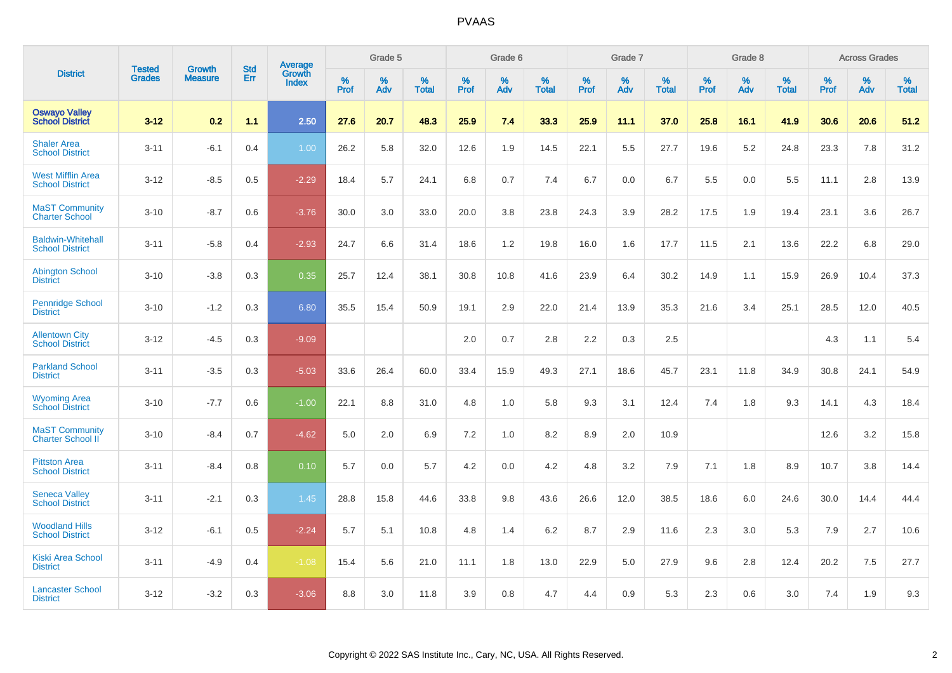|                                                    |                                |                                 | <b>Std</b> | Average                |           | Grade 5  |                   |           | Grade 6  |                   |              | Grade 7  |                   |           | Grade 8  |                   |           | <b>Across Grades</b> |                   |
|----------------------------------------------------|--------------------------------|---------------------------------|------------|------------------------|-----------|----------|-------------------|-----------|----------|-------------------|--------------|----------|-------------------|-----------|----------|-------------------|-----------|----------------------|-------------------|
| <b>District</b>                                    | <b>Tested</b><br><b>Grades</b> | <b>Growth</b><br><b>Measure</b> | Err        | Growth<br><b>Index</b> | %<br>Prof | %<br>Adv | %<br><b>Total</b> | %<br>Prof | %<br>Adv | %<br><b>Total</b> | $\%$<br>Prof | %<br>Adv | %<br><b>Total</b> | %<br>Prof | %<br>Adv | %<br><b>Total</b> | %<br>Prof | %<br>Adv             | %<br><b>Total</b> |
| <b>Oswayo Valley</b><br><b>School District</b>     | $3 - 12$                       | 0.2                             | 1.1        | 2.50                   | 27.6      | 20.7     | 48.3              | 25.9      | 7.4      | 33.3              | 25.9         | 11.1     | 37.0              | 25.8      | 16.1     | 41.9              | 30.6      | 20.6                 | 51.2              |
| <b>Shaler Area</b><br><b>School District</b>       | $3 - 11$                       | $-6.1$                          | 0.4        | 1.00                   | 26.2      | 5.8      | 32.0              | 12.6      | 1.9      | 14.5              | 22.1         | 5.5      | 27.7              | 19.6      | 5.2      | 24.8              | 23.3      | 7.8                  | 31.2              |
| <b>West Mifflin Area</b><br><b>School District</b> | $3 - 12$                       | $-8.5$                          | 0.5        | $-2.29$                | 18.4      | 5.7      | 24.1              | 6.8       | 0.7      | 7.4               | 6.7          | 0.0      | 6.7               | 5.5       | 0.0      | 5.5               | 11.1      | 2.8                  | 13.9              |
| <b>MaST Community</b><br><b>Charter School</b>     | $3 - 10$                       | $-8.7$                          | 0.6        | $-3.76$                | 30.0      | 3.0      | 33.0              | 20.0      | 3.8      | 23.8              | 24.3         | 3.9      | 28.2              | 17.5      | 1.9      | 19.4              | 23.1      | 3.6                  | 26.7              |
| <b>Baldwin-Whitehall</b><br><b>School District</b> | $3 - 11$                       | $-5.8$                          | 0.4        | $-2.93$                | 24.7      | 6.6      | 31.4              | 18.6      | 1.2      | 19.8              | 16.0         | 1.6      | 17.7              | 11.5      | 2.1      | 13.6              | 22.2      | 6.8                  | 29.0              |
| <b>Abington School</b><br><b>District</b>          | $3 - 10$                       | $-3.8$                          | 0.3        | 0.35                   | 25.7      | 12.4     | 38.1              | 30.8      | 10.8     | 41.6              | 23.9         | 6.4      | 30.2              | 14.9      | 1.1      | 15.9              | 26.9      | 10.4                 | 37.3              |
| <b>Pennridge School</b><br><b>District</b>         | $3 - 10$                       | $-1.2$                          | 0.3        | 6.80                   | 35.5      | 15.4     | 50.9              | 19.1      | 2.9      | 22.0              | 21.4         | 13.9     | 35.3              | 21.6      | 3.4      | 25.1              | 28.5      | 12.0                 | 40.5              |
| <b>Allentown City</b><br><b>School District</b>    | $3 - 12$                       | $-4.5$                          | 0.3        | $-9.09$                |           |          |                   | 2.0       | 0.7      | 2.8               | 2.2          | 0.3      | 2.5               |           |          |                   | 4.3       | 1.1                  | 5.4               |
| <b>Parkland School</b><br><b>District</b>          | $3 - 11$                       | $-3.5$                          | 0.3        | $-5.03$                | 33.6      | 26.4     | 60.0              | 33.4      | 15.9     | 49.3              | 27.1         | 18.6     | 45.7              | 23.1      | 11.8     | 34.9              | 30.8      | 24.1                 | 54.9              |
| <b>Wyoming Area</b><br><b>School District</b>      | $3 - 10$                       | $-7.7$                          | 0.6        | $-1.00$                | 22.1      | 8.8      | 31.0              | 4.8       | 1.0      | 5.8               | 9.3          | 3.1      | 12.4              | 7.4       | 1.8      | 9.3               | 14.1      | 4.3                  | 18.4              |
| <b>MaST Community</b><br><b>Charter School II</b>  | $3 - 10$                       | $-8.4$                          | 0.7        | $-4.62$                | 5.0       | 2.0      | 6.9               | 7.2       | 1.0      | 8.2               | 8.9          | 2.0      | 10.9              |           |          |                   | 12.6      | 3.2                  | 15.8              |
| <b>Pittston Area</b><br><b>School District</b>     | $3 - 11$                       | $-8.4$                          | 0.8        | 0.10                   | 5.7       | 0.0      | 5.7               | 4.2       | 0.0      | 4.2               | 4.8          | 3.2      | 7.9               | 7.1       | 1.8      | 8.9               | 10.7      | 3.8                  | 14.4              |
| <b>Seneca Valley</b><br><b>School District</b>     | $3 - 11$                       | $-2.1$                          | 0.3        | 1.45                   | 28.8      | 15.8     | 44.6              | 33.8      | 9.8      | 43.6              | 26.6         | 12.0     | 38.5              | 18.6      | 6.0      | 24.6              | 30.0      | 14.4                 | 44.4              |
| <b>Woodland Hills</b><br><b>School District</b>    | $3 - 12$                       | $-6.1$                          | 0.5        | $-2.24$                | 5.7       | 5.1      | 10.8              | 4.8       | 1.4      | 6.2               | 8.7          | 2.9      | 11.6              | 2.3       | 3.0      | 5.3               | 7.9       | 2.7                  | 10.6              |
| <b>Kiski Area School</b><br><b>District</b>        | $3 - 11$                       | $-4.9$                          | 0.4        | $-1.08$                | 15.4      | 5.6      | 21.0              | 11.1      | 1.8      | 13.0              | 22.9         | 5.0      | 27.9              | 9.6       | 2.8      | 12.4              | 20.2      | 7.5                  | 27.7              |
| <b>Lancaster School</b><br><b>District</b>         | $3 - 12$                       | $-3.2$                          | 0.3        | $-3.06$                | 8.8       | 3.0      | 11.8              | 3.9       | 0.8      | 4.7               | 4.4          | 0.9      | 5.3               | 2.3       | 0.6      | 3.0               | 7.4       | 1.9                  | 9.3               |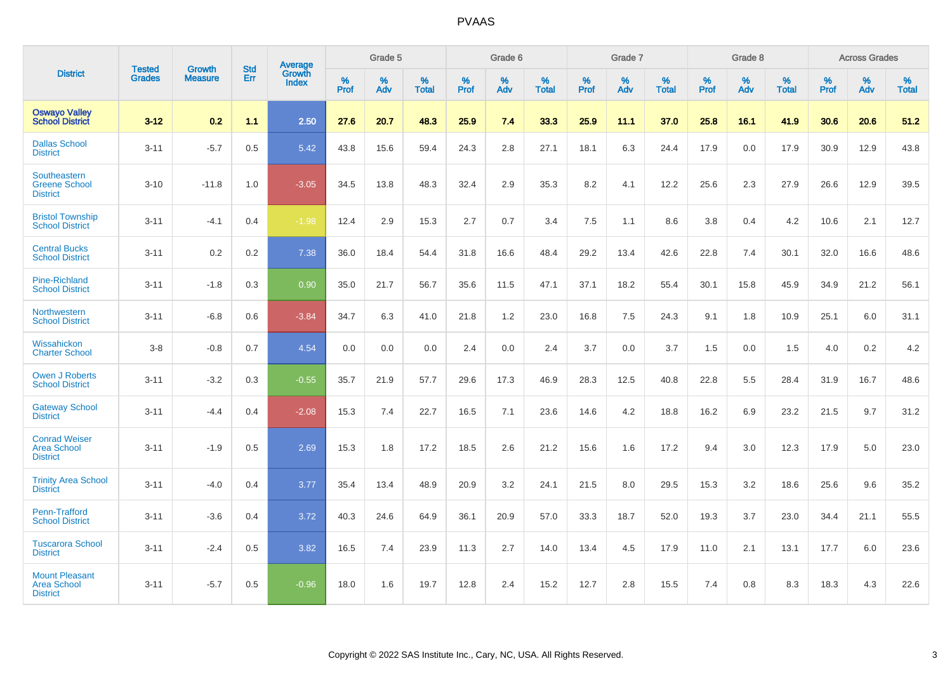|                                                                |                                |                          | <b>Std</b> | Average         |           | Grade 5  |                   |           | Grade 6  |                   |           | Grade 7  |                   |           | Grade 8  |                   |           | <b>Across Grades</b> |                   |
|----------------------------------------------------------------|--------------------------------|--------------------------|------------|-----------------|-----------|----------|-------------------|-----------|----------|-------------------|-----------|----------|-------------------|-----------|----------|-------------------|-----------|----------------------|-------------------|
| <b>District</b>                                                | <b>Tested</b><br><b>Grades</b> | Growth<br><b>Measure</b> | Err        | Growth<br>Index | %<br>Prof | %<br>Adv | %<br><b>Total</b> | %<br>Prof | %<br>Adv | %<br><b>Total</b> | %<br>Prof | %<br>Adv | %<br><b>Total</b> | %<br>Prof | %<br>Adv | %<br><b>Total</b> | %<br>Prof | %<br>Adv             | %<br><b>Total</b> |
| <b>Oswayo Valley</b><br><b>School District</b>                 | $3 - 12$                       | 0.2                      | 1.1        | 2.50            | 27.6      | 20.7     | 48.3              | 25.9      | 7.4      | 33.3              | 25.9      | 11.1     | 37.0              | 25.8      | 16.1     | 41.9              | 30.6      | 20.6                 | 51.2              |
| <b>Dallas School</b><br><b>District</b>                        | $3 - 11$                       | $-5.7$                   | 0.5        | 5.42            | 43.8      | 15.6     | 59.4              | 24.3      | 2.8      | 27.1              | 18.1      | 6.3      | 24.4              | 17.9      | 0.0      | 17.9              | 30.9      | 12.9                 | 43.8              |
| Southeastern<br><b>Greene School</b><br><b>District</b>        | $3 - 10$                       | $-11.8$                  | 1.0        | $-3.05$         | 34.5      | 13.8     | 48.3              | 32.4      | 2.9      | 35.3              | 8.2       | 4.1      | 12.2              | 25.6      | 2.3      | 27.9              | 26.6      | 12.9                 | 39.5              |
| <b>Bristol Township</b><br><b>School District</b>              | $3 - 11$                       | $-4.1$                   | 0.4        | $-1.98$         | 12.4      | 2.9      | 15.3              | 2.7       | 0.7      | 3.4               | 7.5       | 1.1      | 8.6               | 3.8       | 0.4      | 4.2               | 10.6      | 2.1                  | 12.7              |
| <b>Central Bucks</b><br><b>School District</b>                 | $3 - 11$                       | 0.2                      | 0.2        | 7.38            | 36.0      | 18.4     | 54.4              | 31.8      | 16.6     | 48.4              | 29.2      | 13.4     | 42.6              | 22.8      | 7.4      | 30.1              | 32.0      | 16.6                 | 48.6              |
| <b>Pine-Richland</b><br><b>School District</b>                 | $3 - 11$                       | $-1.8$                   | 0.3        | 0.90            | 35.0      | 21.7     | 56.7              | 35.6      | 11.5     | 47.1              | 37.1      | 18.2     | 55.4              | 30.1      | 15.8     | 45.9              | 34.9      | 21.2                 | 56.1              |
| Northwestern<br><b>School District</b>                         | $3 - 11$                       | $-6.8$                   | 0.6        | $-3.84$         | 34.7      | 6.3      | 41.0              | 21.8      | 1.2      | 23.0              | 16.8      | 7.5      | 24.3              | 9.1       | 1.8      | 10.9              | 25.1      | 6.0                  | 31.1              |
| Wissahickon<br><b>Charter School</b>                           | $3-8$                          | $-0.8$                   | 0.7        | 4.54            | 0.0       | 0.0      | 0.0               | 2.4       | 0.0      | 2.4               | 3.7       | 0.0      | 3.7               | 1.5       | 0.0      | 1.5               | 4.0       | 0.2                  | 4.2               |
| <b>Owen J Roberts</b><br><b>School District</b>                | $3 - 11$                       | $-3.2$                   | 0.3        | $-0.55$         | 35.7      | 21.9     | 57.7              | 29.6      | 17.3     | 46.9              | 28.3      | 12.5     | 40.8              | 22.8      | 5.5      | 28.4              | 31.9      | 16.7                 | 48.6              |
| <b>Gateway School</b><br><b>District</b>                       | $3 - 11$                       | $-4.4$                   | 0.4        | $-2.08$         | 15.3      | 7.4      | 22.7              | 16.5      | 7.1      | 23.6              | 14.6      | 4.2      | 18.8              | 16.2      | 6.9      | 23.2              | 21.5      | 9.7                  | 31.2              |
| <b>Conrad Weiser</b><br><b>Area School</b><br><b>District</b>  | $3 - 11$                       | $-1.9$                   | 0.5        | 2.69            | 15.3      | 1.8      | 17.2              | 18.5      | 2.6      | 21.2              | 15.6      | 1.6      | 17.2              | 9.4       | 3.0      | 12.3              | 17.9      | 5.0                  | 23.0              |
| <b>Trinity Area School</b><br><b>District</b>                  | $3 - 11$                       | $-4.0$                   | 0.4        | 3.77            | 35.4      | 13.4     | 48.9              | 20.9      | 3.2      | 24.1              | 21.5      | 8.0      | 29.5              | 15.3      | 3.2      | 18.6              | 25.6      | 9.6                  | 35.2              |
| Penn-Trafford<br><b>School District</b>                        | $3 - 11$                       | $-3.6$                   | 0.4        | 3.72            | 40.3      | 24.6     | 64.9              | 36.1      | 20.9     | 57.0              | 33.3      | 18.7     | 52.0              | 19.3      | 3.7      | 23.0              | 34.4      | 21.1                 | 55.5              |
| <b>Tuscarora School</b><br><b>District</b>                     | $3 - 11$                       | $-2.4$                   | 0.5        | 3.82            | 16.5      | 7.4      | 23.9              | 11.3      | 2.7      | 14.0              | 13.4      | 4.5      | 17.9              | 11.0      | 2.1      | 13.1              | 17.7      | 6.0                  | 23.6              |
| <b>Mount Pleasant</b><br><b>Area School</b><br><b>District</b> | $3 - 11$                       | $-5.7$                   | 0.5        | $-0.96$         | 18.0      | 1.6      | 19.7              | 12.8      | 2.4      | 15.2              | 12.7      | 2.8      | 15.5              | 7.4       | 0.8      | 8.3               | 18.3      | 4.3                  | 22.6              |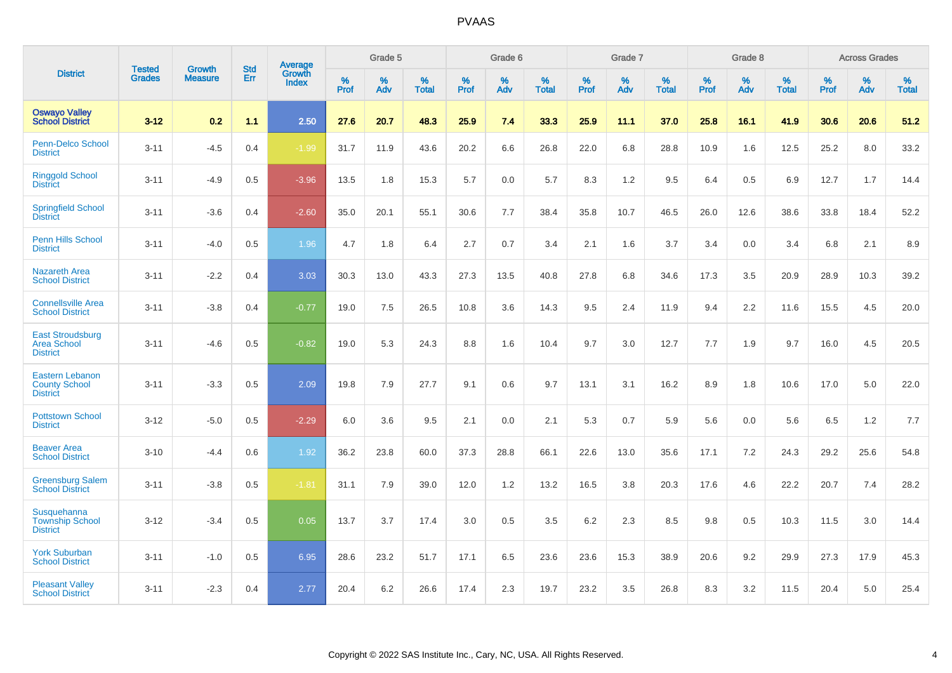|                                                                   |                                |                                 | <b>Std</b> | Average                       |           | Grade 5  |                   |           | Grade 6  |                   |           | Grade 7  |                   |           | Grade 8  |                   |           | <b>Across Grades</b> |                   |
|-------------------------------------------------------------------|--------------------------------|---------------------------------|------------|-------------------------------|-----------|----------|-------------------|-----------|----------|-------------------|-----------|----------|-------------------|-----------|----------|-------------------|-----------|----------------------|-------------------|
| <b>District</b>                                                   | <b>Tested</b><br><b>Grades</b> | <b>Growth</b><br><b>Measure</b> | Err        | <b>Growth</b><br><b>Index</b> | %<br>Prof | %<br>Adv | %<br><b>Total</b> | %<br>Prof | %<br>Adv | %<br><b>Total</b> | %<br>Prof | %<br>Adv | %<br><b>Total</b> | %<br>Prof | %<br>Adv | %<br><b>Total</b> | %<br>Prof | %<br>Adv             | %<br><b>Total</b> |
| <b>Oswayo Valley</b><br><b>School District</b>                    | $3 - 12$                       | 0.2                             | 1.1        | 2.50                          | 27.6      | 20.7     | 48.3              | 25.9      | 7.4      | 33.3              | 25.9      | 11.1     | 37.0              | 25.8      | 16.1     | 41.9              | 30.6      | 20.6                 | 51.2              |
| Penn-Delco School<br><b>District</b>                              | $3 - 11$                       | $-4.5$                          | 0.4        | $-1.99$                       | 31.7      | 11.9     | 43.6              | 20.2      | 6.6      | 26.8              | 22.0      | 6.8      | 28.8              | 10.9      | 1.6      | 12.5              | 25.2      | 8.0                  | 33.2              |
| <b>Ringgold School</b><br><b>District</b>                         | $3 - 11$                       | $-4.9$                          | 0.5        | $-3.96$                       | 13.5      | 1.8      | 15.3              | 5.7       | 0.0      | 5.7               | 8.3       | 1.2      | 9.5               | 6.4       | 0.5      | 6.9               | 12.7      | 1.7                  | 14.4              |
| <b>Springfield School</b><br><b>District</b>                      | $3 - 11$                       | $-3.6$                          | 0.4        | $-2.60$                       | 35.0      | 20.1     | 55.1              | 30.6      | 7.7      | 38.4              | 35.8      | 10.7     | 46.5              | 26.0      | 12.6     | 38.6              | 33.8      | 18.4                 | 52.2              |
| Penn Hills School<br><b>District</b>                              | $3 - 11$                       | $-4.0$                          | 0.5        | 1.96                          | 4.7       | 1.8      | 6.4               | 2.7       | 0.7      | 3.4               | 2.1       | 1.6      | 3.7               | 3.4       | 0.0      | 3.4               | 6.8       | 2.1                  | 8.9               |
| <b>Nazareth Area</b><br><b>School District</b>                    | $3 - 11$                       | $-2.2$                          | 0.4        | 3.03                          | 30.3      | 13.0     | 43.3              | 27.3      | 13.5     | 40.8              | 27.8      | 6.8      | 34.6              | 17.3      | 3.5      | 20.9              | 28.9      | 10.3                 | 39.2              |
| <b>Connellsville Area</b><br><b>School District</b>               | $3 - 11$                       | $-3.8$                          | 0.4        | $-0.77$                       | 19.0      | 7.5      | 26.5              | 10.8      | 3.6      | 14.3              | 9.5       | 2.4      | 11.9              | 9.4       | 2.2      | 11.6              | 15.5      | 4.5                  | 20.0              |
| <b>East Stroudsburg</b><br><b>Area School</b><br><b>District</b>  | $3 - 11$                       | $-4.6$                          | 0.5        | $-0.82$                       | 19.0      | 5.3      | 24.3              | 8.8       | 1.6      | 10.4              | 9.7       | 3.0      | 12.7              | 7.7       | 1.9      | 9.7               | 16.0      | 4.5                  | 20.5              |
| <b>Eastern Lebanon</b><br><b>County School</b><br><b>District</b> | $3 - 11$                       | $-3.3$                          | 0.5        | 2.09                          | 19.8      | 7.9      | 27.7              | 9.1       | 0.6      | 9.7               | 13.1      | 3.1      | 16.2              | 8.9       | 1.8      | 10.6              | 17.0      | 5.0                  | 22.0              |
| <b>Pottstown School</b><br><b>District</b>                        | $3 - 12$                       | $-5.0$                          | 0.5        | $-2.29$                       | 6.0       | 3.6      | 9.5               | 2.1       | 0.0      | 2.1               | 5.3       | 0.7      | 5.9               | 5.6       | 0.0      | 5.6               | 6.5       | 1.2                  | 7.7               |
| <b>Beaver Area</b><br><b>School District</b>                      | $3 - 10$                       | $-4.4$                          | 0.6        | 1.92                          | 36.2      | 23.8     | 60.0              | 37.3      | 28.8     | 66.1              | 22.6      | 13.0     | 35.6              | 17.1      | 7.2      | 24.3              | 29.2      | 25.6                 | 54.8              |
| <b>Greensburg Salem</b><br><b>School District</b>                 | $3 - 11$                       | $-3.8$                          | 0.5        | $-1.81$                       | 31.1      | 7.9      | 39.0              | 12.0      | 1.2      | 13.2              | 16.5      | 3.8      | 20.3              | 17.6      | 4.6      | 22.2              | 20.7      | 7.4                  | 28.2              |
| Susquehanna<br><b>Township School</b><br><b>District</b>          | $3 - 12$                       | $-3.4$                          | 0.5        | 0.05                          | 13.7      | 3.7      | 17.4              | 3.0       | 0.5      | 3.5               | 6.2       | 2.3      | 8.5               | 9.8       | 0.5      | 10.3              | 11.5      | 3.0                  | 14.4              |
| <b>York Suburban</b><br><b>School District</b>                    | $3 - 11$                       | $-1.0$                          | 0.5        | 6.95                          | 28.6      | 23.2     | 51.7              | 17.1      | 6.5      | 23.6              | 23.6      | 15.3     | 38.9              | 20.6      | 9.2      | 29.9              | 27.3      | 17.9                 | 45.3              |
| <b>Pleasant Valley</b><br><b>School District</b>                  | $3 - 11$                       | $-2.3$                          | 0.4        | 2.77                          | 20.4      | 6.2      | 26.6              | 17.4      | 2.3      | 19.7              | 23.2      | 3.5      | 26.8              | 8.3       | 3.2      | 11.5              | 20.4      | 5.0                  | 25.4              |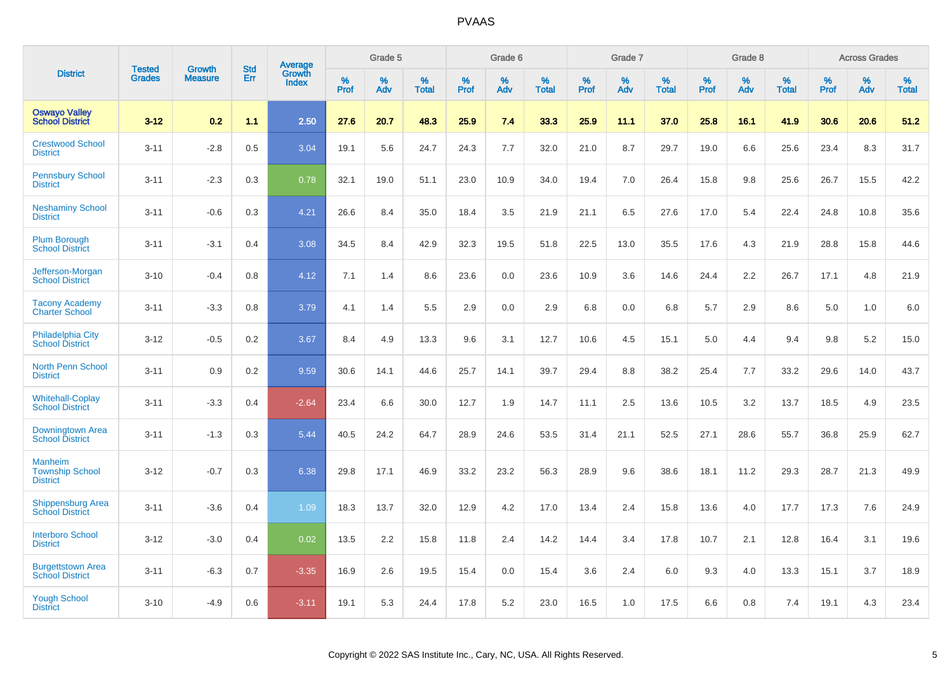|                                                             |                                | <b>Growth</b>  | <b>Std</b> | Average                |              | Grade 5  |                      |              | Grade 6     |                      |              | Grade 7  |                      |              | Grade 8     |                      |              | <b>Across Grades</b> |                      |
|-------------------------------------------------------------|--------------------------------|----------------|------------|------------------------|--------------|----------|----------------------|--------------|-------------|----------------------|--------------|----------|----------------------|--------------|-------------|----------------------|--------------|----------------------|----------------------|
| <b>District</b>                                             | <b>Tested</b><br><b>Grades</b> | <b>Measure</b> | Err        | Growth<br><b>Index</b> | $\%$<br>Prof | %<br>Adv | $\%$<br><b>Total</b> | $\%$<br>Prof | $\%$<br>Adv | $\%$<br><b>Total</b> | $\%$<br>Prof | %<br>Adv | $\%$<br><b>Total</b> | $\%$<br>Prof | $\%$<br>Adv | $\%$<br><b>Total</b> | $\%$<br>Prof | $\%$<br>Adv          | $\%$<br><b>Total</b> |
| <b>Oswayo Valley</b><br><b>School District</b>              | $3 - 12$                       | 0.2            | 1.1        | 2.50                   | 27.6         | 20.7     | 48.3                 | 25.9         | 7.4         | 33.3                 | 25.9         | 11.1     | 37.0                 | 25.8         | 16.1        | 41.9                 | 30.6         | 20.6                 | 51.2                 |
| <b>Crestwood School</b><br><b>District</b>                  | $3 - 11$                       | $-2.8$         | 0.5        | 3.04                   | 19.1         | 5.6      | 24.7                 | 24.3         | 7.7         | 32.0                 | 21.0         | 8.7      | 29.7                 | 19.0         | 6.6         | 25.6                 | 23.4         | 8.3                  | 31.7                 |
| <b>Pennsbury School</b><br><b>District</b>                  | $3 - 11$                       | $-2.3$         | 0.3        | 0.78                   | 32.1         | 19.0     | 51.1                 | 23.0         | 10.9        | 34.0                 | 19.4         | 7.0      | 26.4                 | 15.8         | 9.8         | 25.6                 | 26.7         | 15.5                 | 42.2                 |
| <b>Neshaminy School</b><br><b>District</b>                  | $3 - 11$                       | $-0.6$         | 0.3        | 4.21                   | 26.6         | 8.4      | 35.0                 | 18.4         | 3.5         | 21.9                 | 21.1         | 6.5      | 27.6                 | 17.0         | 5.4         | 22.4                 | 24.8         | 10.8                 | 35.6                 |
| <b>Plum Borough</b><br><b>School District</b>               | $3 - 11$                       | $-3.1$         | 0.4        | 3.08                   | 34.5         | 8.4      | 42.9                 | 32.3         | 19.5        | 51.8                 | 22.5         | 13.0     | 35.5                 | 17.6         | 4.3         | 21.9                 | 28.8         | 15.8                 | 44.6                 |
| Jefferson-Morgan<br><b>School District</b>                  | $3 - 10$                       | $-0.4$         | 0.8        | 4.12                   | 7.1          | 1.4      | 8.6                  | 23.6         | 0.0         | 23.6                 | 10.9         | 3.6      | 14.6                 | 24.4         | 2.2         | 26.7                 | 17.1         | 4.8                  | 21.9                 |
| <b>Tacony Academy</b><br><b>Charter School</b>              | $3 - 11$                       | $-3.3$         | 0.8        | 3.79                   | 4.1          | 1.4      | 5.5                  | 2.9          | 0.0         | 2.9                  | 6.8          | 0.0      | 6.8                  | 5.7          | 2.9         | 8.6                  | 5.0          | 1.0                  | 6.0                  |
| <b>Philadelphia City</b><br><b>School District</b>          | $3 - 12$                       | $-0.5$         | 0.2        | 3.67                   | 8.4          | 4.9      | 13.3                 | 9.6          | 3.1         | 12.7                 | 10.6         | 4.5      | 15.1                 | 5.0          | 4.4         | 9.4                  | 9.8          | 5.2                  | 15.0                 |
| <b>North Penn School</b><br><b>District</b>                 | $3 - 11$                       | 0.9            | 0.2        | 9.59                   | 30.6         | 14.1     | 44.6                 | 25.7         | 14.1        | 39.7                 | 29.4         | 8.8      | 38.2                 | 25.4         | 7.7         | 33.2                 | 29.6         | 14.0                 | 43.7                 |
| <b>Whitehall-Coplay</b><br><b>School District</b>           | $3 - 11$                       | $-3.3$         | 0.4        | $-2.64$                | 23.4         | 6.6      | 30.0                 | 12.7         | 1.9         | 14.7                 | 11.1         | 2.5      | 13.6                 | 10.5         | 3.2         | 13.7                 | 18.5         | 4.9                  | 23.5                 |
| Downingtown Area<br><b>School District</b>                  | $3 - 11$                       | $-1.3$         | 0.3        | 5.44                   | 40.5         | 24.2     | 64.7                 | 28.9         | 24.6        | 53.5                 | 31.4         | 21.1     | 52.5                 | 27.1         | 28.6        | 55.7                 | 36.8         | 25.9                 | 62.7                 |
| <b>Manheim</b><br><b>Township School</b><br><b>District</b> | $3 - 12$                       | $-0.7$         | 0.3        | 6.38                   | 29.8         | 17.1     | 46.9                 | 33.2         | 23.2        | 56.3                 | 28.9         | 9.6      | 38.6                 | 18.1         | 11.2        | 29.3                 | 28.7         | 21.3                 | 49.9                 |
| <b>Shippensburg Area</b><br><b>School District</b>          | $3 - 11$                       | $-3.6$         | 0.4        | 1.09                   | 18.3         | 13.7     | 32.0                 | 12.9         | 4.2         | 17.0                 | 13.4         | 2.4      | 15.8                 | 13.6         | 4.0         | 17.7                 | 17.3         | 7.6                  | 24.9                 |
| <b>Interboro School</b><br><b>District</b>                  | $3 - 12$                       | $-3.0$         | 0.4        | 0.02                   | 13.5         | 2.2      | 15.8                 | 11.8         | 2.4         | 14.2                 | 14.4         | 3.4      | 17.8                 | 10.7         | 2.1         | 12.8                 | 16.4         | 3.1                  | 19.6                 |
| <b>Burgettstown Area</b><br><b>School District</b>          | $3 - 11$                       | $-6.3$         | 0.7        | $-3.35$                | 16.9         | 2.6      | 19.5                 | 15.4         | 0.0         | 15.4                 | 3.6          | 2.4      | 6.0                  | 9.3          | 4.0         | 13.3                 | 15.1         | 3.7                  | 18.9                 |
| <b>Yough School</b><br><b>District</b>                      | $3 - 10$                       | $-4.9$         | 0.6        | $-3.11$                | 19.1         | 5.3      | 24.4                 | 17.8         | 5.2         | 23.0                 | 16.5         | 1.0      | 17.5                 | 6.6          | 0.8         | 7.4                  | 19.1         | 4.3                  | 23.4                 |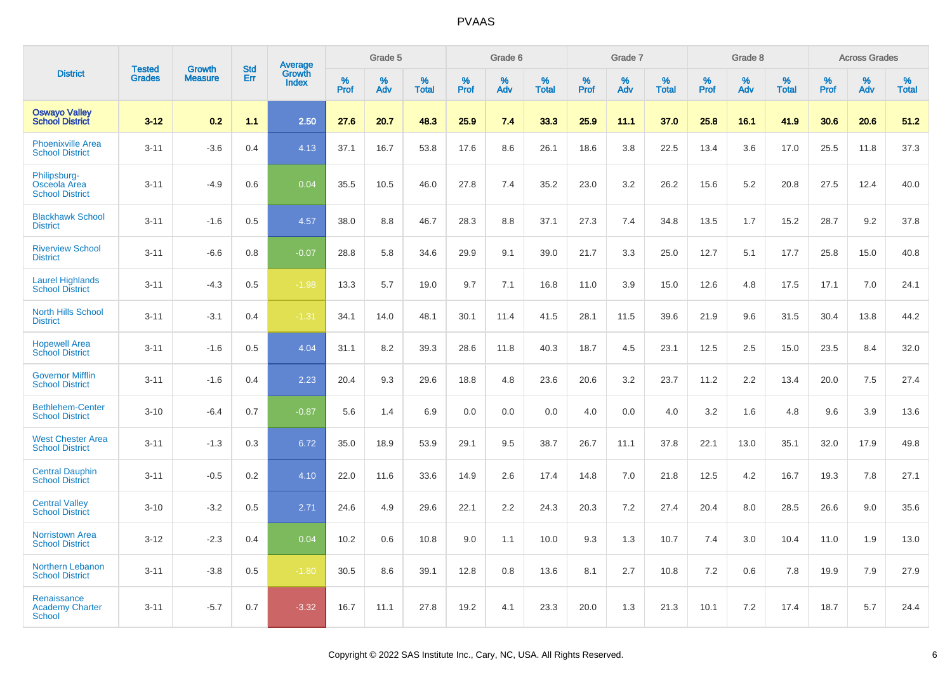|                                                        |                                |                                 | <b>Std</b> | Average                |                     | Grade 5  |                      |                     | Grade 6  |                      |              | Grade 7  |                      |                     | Grade 8  |                      |                     | <b>Across Grades</b> |                      |
|--------------------------------------------------------|--------------------------------|---------------------------------|------------|------------------------|---------------------|----------|----------------------|---------------------|----------|----------------------|--------------|----------|----------------------|---------------------|----------|----------------------|---------------------|----------------------|----------------------|
| <b>District</b>                                        | <b>Tested</b><br><b>Grades</b> | <b>Growth</b><br><b>Measure</b> | <b>Err</b> | Growth<br><b>Index</b> | $\%$<br><b>Prof</b> | %<br>Adv | $\%$<br><b>Total</b> | $\%$<br><b>Prof</b> | %<br>Adv | $\%$<br><b>Total</b> | $\%$<br>Prof | %<br>Adv | $\%$<br><b>Total</b> | $\%$<br><b>Prof</b> | %<br>Adv | $\%$<br><b>Total</b> | $\%$<br><b>Prof</b> | $\%$<br>Adv          | $\%$<br><b>Total</b> |
| <b>Oswayo Valley</b><br><b>School District</b>         | $3 - 12$                       | 0.2                             | 1.1        | 2.50                   | 27.6                | 20.7     | 48.3                 | 25.9                | 7.4      | 33.3                 | 25.9         | 11.1     | 37.0                 | 25.8                | 16.1     | 41.9                 | 30.6                | 20.6                 | 51.2                 |
| Phoenixville Area<br><b>School District</b>            | $3 - 11$                       | $-3.6$                          | 0.4        | 4.13                   | 37.1                | 16.7     | 53.8                 | 17.6                | 8.6      | 26.1                 | 18.6         | 3.8      | 22.5                 | 13.4                | 3.6      | 17.0                 | 25.5                | 11.8                 | 37.3                 |
| Philipsburg-<br>Osceola Area<br><b>School District</b> | $3 - 11$                       | $-4.9$                          | 0.6        | 0.04                   | 35.5                | 10.5     | 46.0                 | 27.8                | 7.4      | 35.2                 | 23.0         | 3.2      | 26.2                 | 15.6                | 5.2      | 20.8                 | 27.5                | 12.4                 | 40.0                 |
| <b>Blackhawk School</b><br><b>District</b>             | $3 - 11$                       | $-1.6$                          | 0.5        | 4.57                   | 38.0                | 8.8      | 46.7                 | 28.3                | 8.8      | 37.1                 | 27.3         | 7.4      | 34.8                 | 13.5                | 1.7      | 15.2                 | 28.7                | 9.2                  | 37.8                 |
| <b>Riverview School</b><br><b>District</b>             | $3 - 11$                       | $-6.6$                          | 0.8        | $-0.07$                | 28.8                | 5.8      | 34.6                 | 29.9                | 9.1      | 39.0                 | 21.7         | 3.3      | 25.0                 | 12.7                | 5.1      | 17.7                 | 25.8                | 15.0                 | 40.8                 |
| <b>Laurel Highlands</b><br><b>School District</b>      | $3 - 11$                       | $-4.3$                          | 0.5        | $-1.98$                | 13.3                | 5.7      | 19.0                 | 9.7                 | 7.1      | 16.8                 | 11.0         | 3.9      | 15.0                 | 12.6                | 4.8      | 17.5                 | 17.1                | 7.0                  | 24.1                 |
| <b>North Hills School</b><br><b>District</b>           | $3 - 11$                       | $-3.1$                          | 0.4        | $-1.31$                | 34.1                | 14.0     | 48.1                 | 30.1                | 11.4     | 41.5                 | 28.1         | 11.5     | 39.6                 | 21.9                | 9.6      | 31.5                 | 30.4                | 13.8                 | 44.2                 |
| <b>Hopewell Area</b><br><b>School District</b>         | $3 - 11$                       | $-1.6$                          | 0.5        | 4.04                   | 31.1                | 8.2      | 39.3                 | 28.6                | 11.8     | 40.3                 | 18.7         | 4.5      | 23.1                 | 12.5                | 2.5      | 15.0                 | 23.5                | 8.4                  | 32.0                 |
| <b>Governor Mifflin</b><br><b>School District</b>      | $3 - 11$                       | $-1.6$                          | 0.4        | 2.23                   | 20.4                | 9.3      | 29.6                 | 18.8                | 4.8      | 23.6                 | 20.6         | 3.2      | 23.7                 | 11.2                | 2.2      | 13.4                 | 20.0                | 7.5                  | 27.4                 |
| <b>Bethlehem-Center</b><br><b>School District</b>      | $3 - 10$                       | $-6.4$                          | 0.7        | $-0.87$                | 5.6                 | 1.4      | 6.9                  | 0.0                 | 0.0      | 0.0                  | 4.0          | 0.0      | 4.0                  | 3.2                 | 1.6      | 4.8                  | 9.6                 | 3.9                  | 13.6                 |
| <b>West Chester Area</b><br><b>School District</b>     | $3 - 11$                       | $-1.3$                          | 0.3        | 6.72                   | 35.0                | 18.9     | 53.9                 | 29.1                | 9.5      | 38.7                 | 26.7         | 11.1     | 37.8                 | 22.1                | 13.0     | 35.1                 | 32.0                | 17.9                 | 49.8                 |
| <b>Central Dauphin</b><br><b>School District</b>       | $3 - 11$                       | $-0.5$                          | 0.2        | 4.10                   | 22.0                | 11.6     | 33.6                 | 14.9                | 2.6      | 17.4                 | 14.8         | 7.0      | 21.8                 | 12.5                | 4.2      | 16.7                 | 19.3                | 7.8                  | 27.1                 |
| <b>Central Valley</b><br><b>School District</b>        | $3 - 10$                       | $-3.2$                          | 0.5        | 2.71                   | 24.6                | 4.9      | 29.6                 | 22.1                | 2.2      | 24.3                 | 20.3         | 7.2      | 27.4                 | 20.4                | 8.0      | 28.5                 | 26.6                | 9.0                  | 35.6                 |
| <b>Norristown Area</b><br><b>School District</b>       | $3 - 12$                       | $-2.3$                          | 0.4        | 0.04                   | 10.2                | 0.6      | 10.8                 | 9.0                 | 1.1      | 10.0                 | 9.3          | 1.3      | 10.7                 | 7.4                 | 3.0      | 10.4                 | 11.0                | 1.9                  | 13.0                 |
| Northern Lebanon<br><b>School District</b>             | $3 - 11$                       | $-3.8$                          | 0.5        | $-1.80$                | 30.5                | 8.6      | 39.1                 | 12.8                | 0.8      | 13.6                 | 8.1          | 2.7      | 10.8                 | 7.2                 | 0.6      | 7.8                  | 19.9                | 7.9                  | 27.9                 |
| Renaissance<br><b>Academy Charter</b><br>School        | $3 - 11$                       | $-5.7$                          | 0.7        | $-3.32$                | 16.7                | 11.1     | 27.8                 | 19.2                | 4.1      | 23.3                 | 20.0         | 1.3      | 21.3                 | 10.1                | 7.2      | 17.4                 | 18.7                | 5.7                  | 24.4                 |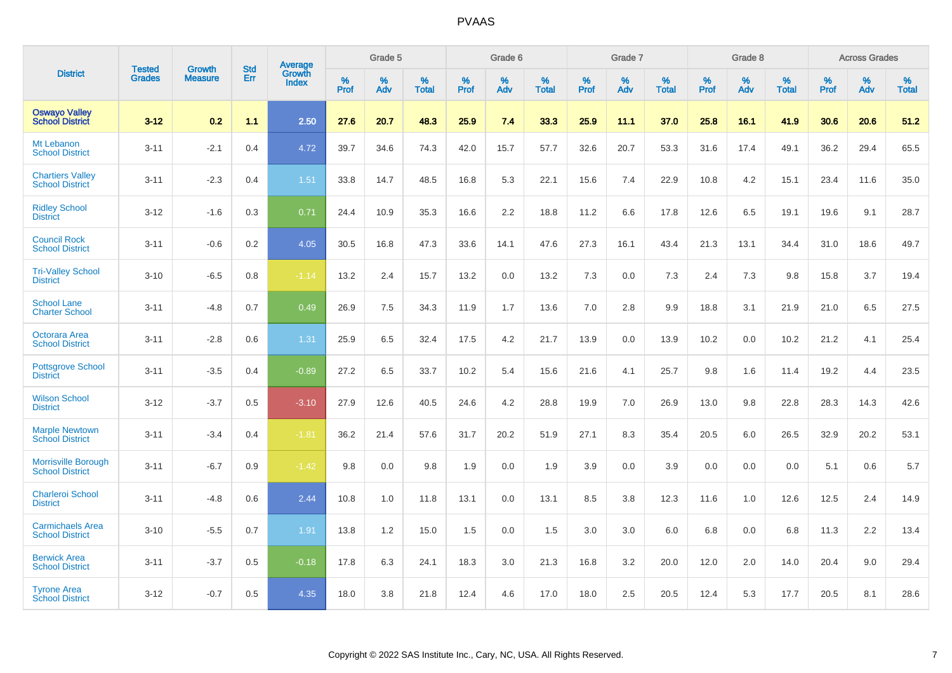|                                                      |                                |                                 | <b>Std</b> | Average                |           | Grade 5  |                   |           | Grade 6  |                   |              | Grade 7  |                   |           | Grade 8  |                   |           | <b>Across Grades</b> |            |
|------------------------------------------------------|--------------------------------|---------------------------------|------------|------------------------|-----------|----------|-------------------|-----------|----------|-------------------|--------------|----------|-------------------|-----------|----------|-------------------|-----------|----------------------|------------|
| <b>District</b>                                      | <b>Tested</b><br><b>Grades</b> | <b>Growth</b><br><b>Measure</b> | Err        | Growth<br><b>Index</b> | %<br>Prof | %<br>Adv | %<br><b>Total</b> | %<br>Prof | %<br>Adv | %<br><b>Total</b> | $\%$<br>Prof | %<br>Adv | %<br><b>Total</b> | %<br>Prof | %<br>Adv | %<br><b>Total</b> | %<br>Prof | %<br>Adv             | %<br>Total |
| <b>Oswayo Valley</b><br><b>School District</b>       | $3 - 12$                       | 0.2                             | 1.1        | 2.50                   | 27.6      | 20.7     | 48.3              | 25.9      | 7.4      | 33.3              | 25.9         | 11.1     | 37.0              | 25.8      | 16.1     | 41.9              | 30.6      | 20.6                 | 51.2       |
| Mt Lebanon<br><b>School District</b>                 | $3 - 11$                       | $-2.1$                          | 0.4        | 4.72                   | 39.7      | 34.6     | 74.3              | 42.0      | 15.7     | 57.7              | 32.6         | 20.7     | 53.3              | 31.6      | 17.4     | 49.1              | 36.2      | 29.4                 | 65.5       |
| <b>Chartiers Valley</b><br><b>School District</b>    | $3 - 11$                       | $-2.3$                          | 0.4        | 1.51                   | 33.8      | 14.7     | 48.5              | 16.8      | 5.3      | 22.1              | 15.6         | 7.4      | 22.9              | 10.8      | 4.2      | 15.1              | 23.4      | 11.6                 | 35.0       |
| <b>Ridley School</b><br><b>District</b>              | $3 - 12$                       | $-1.6$                          | 0.3        | 0.71                   | 24.4      | 10.9     | 35.3              | 16.6      | 2.2      | 18.8              | 11.2         | 6.6      | 17.8              | 12.6      | 6.5      | 19.1              | 19.6      | 9.1                  | 28.7       |
| <b>Council Rock</b><br><b>School District</b>        | $3 - 11$                       | $-0.6$                          | 0.2        | 4.05                   | 30.5      | 16.8     | 47.3              | 33.6      | 14.1     | 47.6              | 27.3         | 16.1     | 43.4              | 21.3      | 13.1     | 34.4              | 31.0      | 18.6                 | 49.7       |
| <b>Tri-Valley School</b><br><b>District</b>          | $3 - 10$                       | $-6.5$                          | 0.8        | $-1.14$                | 13.2      | 2.4      | 15.7              | 13.2      | 0.0      | 13.2              | 7.3          | 0.0      | 7.3               | 2.4       | 7.3      | 9.8               | 15.8      | 3.7                  | 19.4       |
| <b>School Lane</b><br><b>Charter School</b>          | $3 - 11$                       | $-4.8$                          | 0.7        | 0.49                   | 26.9      | 7.5      | 34.3              | 11.9      | 1.7      | 13.6              | 7.0          | 2.8      | 9.9               | 18.8      | 3.1      | 21.9              | 21.0      | 6.5                  | 27.5       |
| Octorara Area<br><b>School District</b>              | $3 - 11$                       | $-2.8$                          | 0.6        | 1.31                   | 25.9      | 6.5      | 32.4              | 17.5      | 4.2      | 21.7              | 13.9         | 0.0      | 13.9              | 10.2      | 0.0      | 10.2              | 21.2      | 4.1                  | 25.4       |
| <b>Pottsgrove School</b><br><b>District</b>          | $3 - 11$                       | $-3.5$                          | 0.4        | $-0.89$                | 27.2      | 6.5      | 33.7              | 10.2      | 5.4      | 15.6              | 21.6         | 4.1      | 25.7              | 9.8       | 1.6      | 11.4              | 19.2      | 4.4                  | 23.5       |
| <b>Wilson School</b><br><b>District</b>              | $3 - 12$                       | $-3.7$                          | 0.5        | $-3.10$                | 27.9      | 12.6     | 40.5              | 24.6      | 4.2      | 28.8              | 19.9         | 7.0      | 26.9              | 13.0      | 9.8      | 22.8              | 28.3      | 14.3                 | 42.6       |
| <b>Marple Newtown</b><br><b>School District</b>      | $3 - 11$                       | $-3.4$                          | 0.4        | $-1.81$                | 36.2      | 21.4     | 57.6              | 31.7      | 20.2     | 51.9              | 27.1         | 8.3      | 35.4              | 20.5      | 6.0      | 26.5              | 32.9      | 20.2                 | 53.1       |
| <b>Morrisville Borough</b><br><b>School District</b> | $3 - 11$                       | $-6.7$                          | 0.9        | $-1.42$                | 9.8       | 0.0      | 9.8               | 1.9       | 0.0      | 1.9               | 3.9          | 0.0      | 3.9               | 0.0       | 0.0      | 0.0               | 5.1       | 0.6                  | 5.7        |
| <b>Charleroi School</b><br><b>District</b>           | $3 - 11$                       | $-4.8$                          | 0.6        | 2.44                   | 10.8      | 1.0      | 11.8              | 13.1      | 0.0      | 13.1              | 8.5          | 3.8      | 12.3              | 11.6      | 1.0      | 12.6              | 12.5      | 2.4                  | 14.9       |
| <b>Carmichaels Area</b><br><b>School District</b>    | $3 - 10$                       | $-5.5$                          | 0.7        | 1.91                   | 13.8      | 1.2      | 15.0              | 1.5       | 0.0      | 1.5               | 3.0          | 3.0      | 6.0               | 6.8       | 0.0      | 6.8               | 11.3      | 2.2                  | 13.4       |
| <b>Berwick Area</b><br><b>School District</b>        | $3 - 11$                       | $-3.7$                          | 0.5        | $-0.18$                | 17.8      | 6.3      | 24.1              | 18.3      | 3.0      | 21.3              | 16.8         | 3.2      | 20.0              | 12.0      | 2.0      | 14.0              | 20.4      | 9.0                  | 29.4       |
| <b>Tyrone Area</b><br><b>School District</b>         | $3 - 12$                       | $-0.7$                          | 0.5        | 4.35                   | 18.0      | 3.8      | 21.8              | 12.4      | 4.6      | 17.0              | 18.0         | 2.5      | 20.5              | 12.4      | 5.3      | 17.7              | 20.5      | 8.1                  | 28.6       |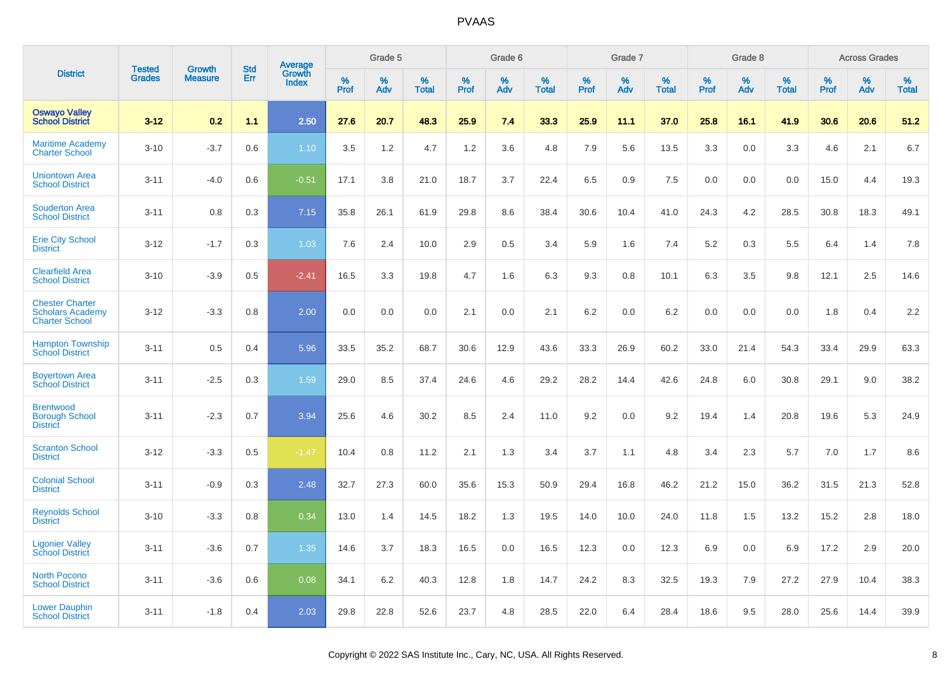|                                                                            | <b>Tested</b> | <b>Growth</b>  | <b>Std</b> | Average                |              | Grade 5  |                   |              | Grade 6  |                   |              | Grade 7  |                   |              | Grade 8  |                   |              | <b>Across Grades</b> |                   |
|----------------------------------------------------------------------------|---------------|----------------|------------|------------------------|--------------|----------|-------------------|--------------|----------|-------------------|--------------|----------|-------------------|--------------|----------|-------------------|--------------|----------------------|-------------------|
| <b>District</b>                                                            | <b>Grades</b> | <b>Measure</b> | Err        | Growth<br><b>Index</b> | $\%$<br>Prof | %<br>Adv | %<br><b>Total</b> | $\%$<br>Prof | %<br>Adv | %<br><b>Total</b> | $\%$<br>Prof | %<br>Adv | %<br><b>Total</b> | $\%$<br>Prof | %<br>Adv | %<br><b>Total</b> | $\%$<br>Prof | %<br>Adv             | %<br><b>Total</b> |
| <b>Oswayo Valley</b><br><b>School District</b>                             | $3 - 12$      | 0.2            | 1.1        | 2.50                   | 27.6         | 20.7     | 48.3              | 25.9         | 7.4      | 33.3              | 25.9         | 11.1     | 37.0              | 25.8         | 16.1     | 41.9              | 30.6         | 20.6                 | 51.2              |
| <b>Maritime Academy</b><br><b>Charter School</b>                           | $3 - 10$      | $-3.7$         | 0.6        | 1.10                   | 3.5          | 1.2      | 4.7               | 1.2          | 3.6      | 4.8               | 7.9          | 5.6      | 13.5              | 3.3          | 0.0      | 3.3               | 4.6          | 2.1                  | 6.7               |
| <b>Uniontown Area</b><br><b>School District</b>                            | $3 - 11$      | $-4.0$         | 0.6        | $-0.51$                | 17.1         | 3.8      | 21.0              | 18.7         | 3.7      | 22.4              | 6.5          | 0.9      | 7.5               | 0.0          | 0.0      | 0.0               | 15.0         | 4.4                  | 19.3              |
| <b>Souderton Area</b><br><b>School District</b>                            | $3 - 11$      | 0.8            | 0.3        | 7.15                   | 35.8         | 26.1     | 61.9              | 29.8         | 8.6      | 38.4              | 30.6         | 10.4     | 41.0              | 24.3         | 4.2      | 28.5              | 30.8         | 18.3                 | 49.1              |
| <b>Erie City School</b><br><b>District</b>                                 | $3 - 12$      | $-1.7$         | 0.3        | 1.03                   | 7.6          | 2.4      | 10.0              | 2.9          | 0.5      | 3.4               | 5.9          | 1.6      | 7.4               | 5.2          | 0.3      | 5.5               | 6.4          | 1.4                  | 7.8               |
| <b>Clearfield Area</b><br><b>School District</b>                           | $3 - 10$      | $-3.9$         | 0.5        | $-2.41$                | 16.5         | 3.3      | 19.8              | 4.7          | 1.6      | 6.3               | 9.3          | 0.8      | 10.1              | 6.3          | 3.5      | 9.8               | 12.1         | 2.5                  | 14.6              |
| <b>Chester Charter</b><br><b>Scholars Academy</b><br><b>Charter School</b> | $3 - 12$      | $-3.3$         | 0.8        | 2.00                   | 0.0          | 0.0      | 0.0               | 2.1          | 0.0      | 2.1               | 6.2          | 0.0      | 6.2               | 0.0          | 0.0      | 0.0               | 1.8          | 0.4                  | 2.2               |
| <b>Hampton Township</b><br><b>School District</b>                          | $3 - 11$      | 0.5            | 0.4        | 5.96                   | 33.5         | 35.2     | 68.7              | 30.6         | 12.9     | 43.6              | 33.3         | 26.9     | 60.2              | 33.0         | 21.4     | 54.3              | 33.4         | 29.9                 | 63.3              |
| <b>Boyertown Area</b><br><b>School District</b>                            | $3 - 11$      | $-2.5$         | 0.3        | 1.59                   | 29.0         | 8.5      | 37.4              | 24.6         | 4.6      | 29.2              | 28.2         | 14.4     | 42.6              | 24.8         | 6.0      | 30.8              | 29.1         | 9.0                  | 38.2              |
| <b>Brentwood</b><br><b>Borough School</b><br><b>District</b>               | $3 - 11$      | $-2.3$         | 0.7        | 3.94                   | 25.6         | 4.6      | 30.2              | 8.5          | 2.4      | 11.0              | 9.2          | 0.0      | 9.2               | 19.4         | 1.4      | 20.8              | 19.6         | 5.3                  | 24.9              |
| <b>Scranton School</b><br><b>District</b>                                  | $3 - 12$      | $-3.3$         | 0.5        | $-1.47$                | 10.4         | 0.8      | 11.2              | 2.1          | 1.3      | 3.4               | 3.7          | 1.1      | 4.8               | 3.4          | 2.3      | 5.7               | 7.0          | 1.7                  | 8.6               |
| <b>Colonial School</b><br><b>District</b>                                  | $3 - 11$      | $-0.9$         | 0.3        | 2.48                   | 32.7         | 27.3     | 60.0              | 35.6         | 15.3     | 50.9              | 29.4         | 16.8     | 46.2              | 21.2         | 15.0     | 36.2              | 31.5         | 21.3                 | 52.8              |
| <b>Reynolds School</b><br><b>District</b>                                  | $3 - 10$      | $-3.3$         | 0.8        | 0.34                   | 13.0         | 1.4      | 14.5              | 18.2         | 1.3      | 19.5              | 14.0         | 10.0     | 24.0              | 11.8         | 1.5      | 13.2              | 15.2         | 2.8                  | 18.0              |
| <b>Ligonier Valley</b><br><b>School District</b>                           | $3 - 11$      | $-3.6$         | 0.7        | 1.35                   | 14.6         | 3.7      | 18.3              | 16.5         | 0.0      | 16.5              | 12.3         | 0.0      | 12.3              | 6.9          | 0.0      | 6.9               | 17.2         | 2.9                  | 20.0              |
| <b>North Pocono</b><br><b>School District</b>                              | $3 - 11$      | $-3.6$         | 0.6        | 0.08                   | 34.1         | 6.2      | 40.3              | 12.8         | 1.8      | 14.7              | 24.2         | 8.3      | 32.5              | 19.3         | 7.9      | 27.2              | 27.9         | 10.4                 | 38.3              |
| <b>Lower Dauphin</b><br><b>School District</b>                             | $3 - 11$      | $-1.8$         | 0.4        | 2.03                   | 29.8         | 22.8     | 52.6              | 23.7         | 4.8      | 28.5              | 22.0         | 6.4      | 28.4              | 18.6         | 9.5      | 28.0              | 25.6         | 14.4                 | 39.9              |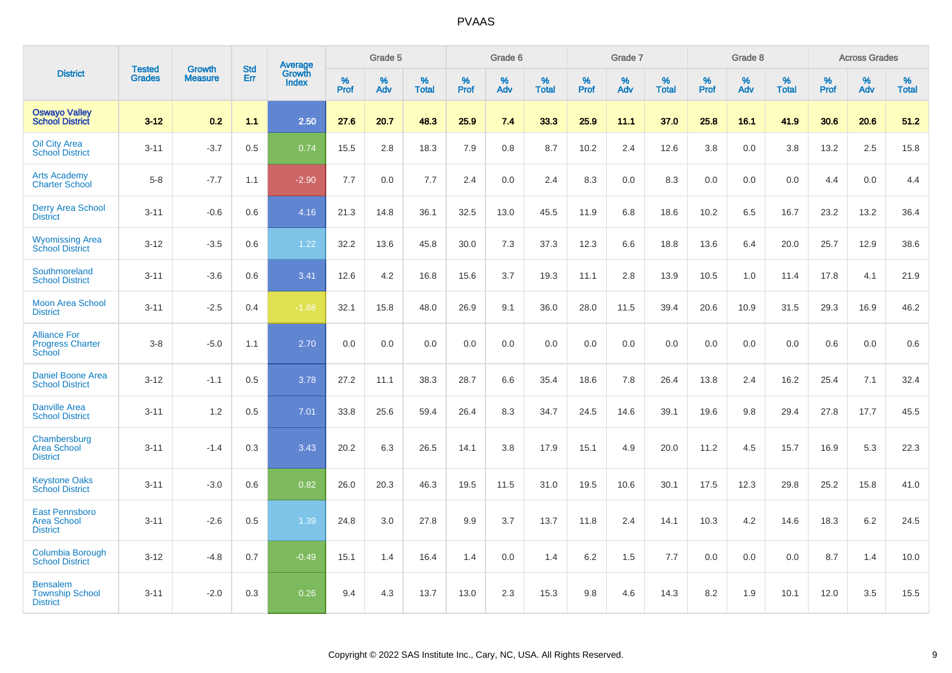|                                                                |                                |                                 | <b>Std</b> | Average                |           | Grade 5  |                   |           | Grade 6  |                   |           | Grade 7  |                      |           | Grade 8  |                   |           | <b>Across Grades</b> |                   |
|----------------------------------------------------------------|--------------------------------|---------------------------------|------------|------------------------|-----------|----------|-------------------|-----------|----------|-------------------|-----------|----------|----------------------|-----------|----------|-------------------|-----------|----------------------|-------------------|
| <b>District</b>                                                | <b>Tested</b><br><b>Grades</b> | <b>Growth</b><br><b>Measure</b> | Err        | Growth<br><b>Index</b> | %<br>Prof | %<br>Adv | %<br><b>Total</b> | %<br>Prof | %<br>Adv | %<br><b>Total</b> | %<br>Prof | %<br>Adv | $\%$<br><b>Total</b> | %<br>Prof | %<br>Adv | %<br><b>Total</b> | %<br>Prof | %<br>Adv             | %<br><b>Total</b> |
| <b>Oswayo Valley</b><br><b>School District</b>                 | $3 - 12$                       | 0.2                             | 1.1        | 2.50                   | 27.6      | 20.7     | 48.3              | 25.9      | 7.4      | 33.3              | 25.9      | 11.1     | 37.0                 | 25.8      | 16.1     | 41.9              | 30.6      | 20.6                 | 51.2              |
| <b>Oil City Area</b><br><b>School District</b>                 | $3 - 11$                       | $-3.7$                          | 0.5        | 0.74                   | 15.5      | 2.8      | 18.3              | 7.9       | 0.8      | 8.7               | 10.2      | 2.4      | 12.6                 | 3.8       | 0.0      | 3.8               | 13.2      | 2.5                  | 15.8              |
| <b>Arts Academy</b><br><b>Charter School</b>                   | $5 - 8$                        | $-7.7$                          | 1.1        | $-2.90$                | 7.7       | 0.0      | 7.7               | 2.4       | 0.0      | 2.4               | 8.3       | 0.0      | 8.3                  | 0.0       | 0.0      | 0.0               | 4.4       | 0.0                  | 4.4               |
| <b>Derry Area School</b><br><b>District</b>                    | $3 - 11$                       | $-0.6$                          | 0.6        | 4.16                   | 21.3      | 14.8     | 36.1              | 32.5      | 13.0     | 45.5              | 11.9      | 6.8      | 18.6                 | 10.2      | 6.5      | 16.7              | 23.2      | 13.2                 | 36.4              |
| <b>Wyomissing Area</b><br><b>School District</b>               | $3 - 12$                       | $-3.5$                          | 0.6        | 1.22                   | 32.2      | 13.6     | 45.8              | 30.0      | 7.3      | 37.3              | 12.3      | 6.6      | 18.8                 | 13.6      | 6.4      | 20.0              | 25.7      | 12.9                 | 38.6              |
| Southmoreland<br><b>School District</b>                        | $3 - 11$                       | $-3.6$                          | 0.6        | 3.41                   | 12.6      | 4.2      | 16.8              | 15.6      | 3.7      | 19.3              | 11.1      | 2.8      | 13.9                 | 10.5      | 1.0      | 11.4              | 17.8      | 4.1                  | 21.9              |
| <b>Moon Area School</b><br><b>District</b>                     | $3 - 11$                       | $-2.5$                          | 0.4        | $-1.68$                | 32.1      | 15.8     | 48.0              | 26.9      | 9.1      | 36.0              | 28.0      | 11.5     | 39.4                 | 20.6      | 10.9     | 31.5              | 29.3      | 16.9                 | 46.2              |
| <b>Alliance For</b><br><b>Progress Charter</b><br>School       | $3 - 8$                        | $-5.0$                          | 1.1        | 2.70                   | 0.0       | 0.0      | 0.0               | 0.0       | 0.0      | 0.0               | 0.0       | 0.0      | 0.0                  | 0.0       | 0.0      | 0.0               | 0.6       | 0.0                  | 0.6               |
| <b>Daniel Boone Area</b><br><b>School District</b>             | $3 - 12$                       | $-1.1$                          | 0.5        | 3.78                   | 27.2      | 11.1     | 38.3              | 28.7      | 6.6      | 35.4              | 18.6      | 7.8      | 26.4                 | 13.8      | 2.4      | 16.2              | 25.4      | 7.1                  | 32.4              |
| <b>Danville Area</b><br><b>School District</b>                 | $3 - 11$                       | 1.2                             | 0.5        | 7.01                   | 33.8      | 25.6     | 59.4              | 26.4      | 8.3      | 34.7              | 24.5      | 14.6     | 39.1                 | 19.6      | 9.8      | 29.4              | 27.8      | 17.7                 | 45.5              |
| Chambersburg<br><b>Area School</b><br><b>District</b>          | $3 - 11$                       | $-1.4$                          | 0.3        | 3.43                   | 20.2      | 6.3      | 26.5              | 14.1      | 3.8      | 17.9              | 15.1      | 4.9      | 20.0                 | 11.2      | 4.5      | 15.7              | 16.9      | 5.3                  | 22.3              |
| <b>Keystone Oaks</b><br><b>School District</b>                 | $3 - 11$                       | $-3.0$                          | 0.6        | 0.82                   | 26.0      | 20.3     | 46.3              | 19.5      | 11.5     | 31.0              | 19.5      | 10.6     | 30.1                 | 17.5      | 12.3     | 29.8              | 25.2      | 15.8                 | 41.0              |
| <b>East Pennsboro</b><br><b>Area School</b><br><b>District</b> | $3 - 11$                       | $-2.6$                          | 0.5        | 1.39                   | 24.8      | 3.0      | 27.8              | 9.9       | 3.7      | 13.7              | 11.8      | 2.4      | 14.1                 | 10.3      | 4.2      | 14.6              | 18.3      | $6.2\,$              | 24.5              |
| Columbia Borough<br><b>School District</b>                     | $3 - 12$                       | $-4.8$                          | 0.7        | $-0.49$                | 15.1      | 1.4      | 16.4              | 1.4       | 0.0      | 1.4               | 6.2       | 1.5      | 7.7                  | 0.0       | 0.0      | 0.0               | 8.7       | 1.4                  | 10.0              |
| <b>Bensalem</b><br><b>Township School</b><br><b>District</b>   | $3 - 11$                       | $-2.0$                          | 0.3        | 0.26                   | 9.4       | 4.3      | 13.7              | 13.0      | 2.3      | 15.3              | 9.8       | 4.6      | 14.3                 | 8.2       | 1.9      | 10.1              | 12.0      | 3.5                  | 15.5              |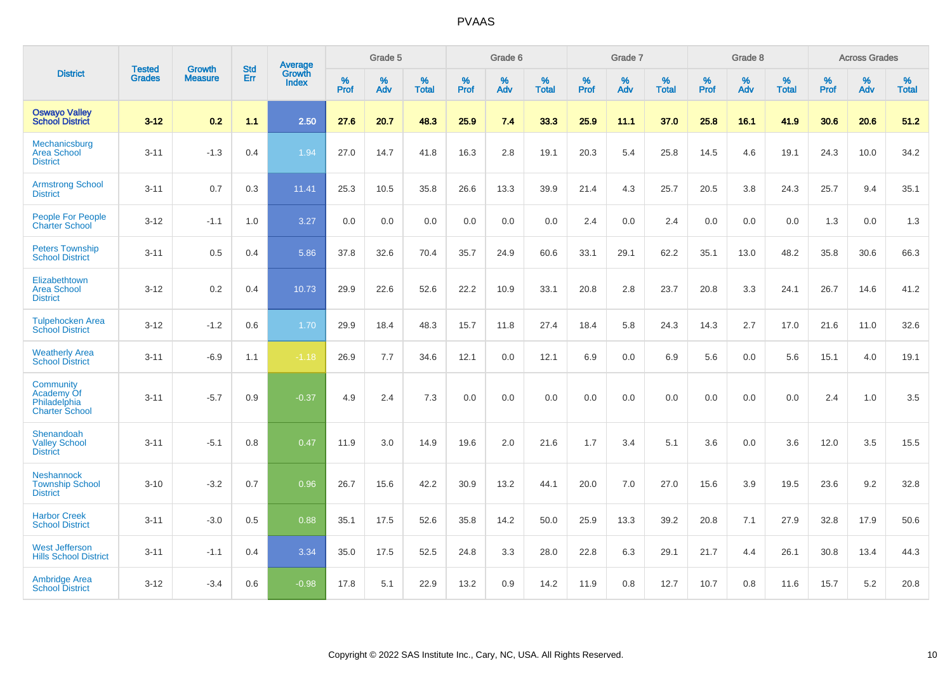|                                                                         |                                |                                 | <b>Std</b> | Average                |           | Grade 5  |                   |           | Grade 6  |                   |           | Grade 7  |                   |           | Grade 8  |                   |           | <b>Across Grades</b> |                   |
|-------------------------------------------------------------------------|--------------------------------|---------------------------------|------------|------------------------|-----------|----------|-------------------|-----------|----------|-------------------|-----------|----------|-------------------|-----------|----------|-------------------|-----------|----------------------|-------------------|
| <b>District</b>                                                         | <b>Tested</b><br><b>Grades</b> | <b>Growth</b><br><b>Measure</b> | Err        | Growth<br><b>Index</b> | %<br>Prof | %<br>Adv | %<br><b>Total</b> | %<br>Prof | %<br>Adv | %<br><b>Total</b> | %<br>Prof | %<br>Adv | %<br><b>Total</b> | %<br>Prof | %<br>Adv | %<br><b>Total</b> | %<br>Prof | %<br>Adv             | %<br><b>Total</b> |
| <b>Oswayo Valley</b><br><b>School District</b>                          | $3 - 12$                       | 0.2                             | 1.1        | 2.50                   | 27.6      | 20.7     | 48.3              | 25.9      | 7.4      | 33.3              | 25.9      | 11.1     | 37.0              | 25.8      | 16.1     | 41.9              | 30.6      | 20.6                 | 51.2              |
| Mechanicsburg<br><b>Area School</b><br><b>District</b>                  | $3 - 11$                       | $-1.3$                          | 0.4        | 1.94                   | 27.0      | 14.7     | 41.8              | 16.3      | 2.8      | 19.1              | 20.3      | 5.4      | 25.8              | 14.5      | 4.6      | 19.1              | 24.3      | 10.0                 | 34.2              |
| <b>Armstrong School</b><br><b>District</b>                              | $3 - 11$                       | 0.7                             | 0.3        | 11.41                  | 25.3      | 10.5     | 35.8              | 26.6      | 13.3     | 39.9              | 21.4      | 4.3      | 25.7              | 20.5      | 3.8      | 24.3              | 25.7      | 9.4                  | 35.1              |
| <b>People For People</b><br><b>Charter School</b>                       | $3 - 12$                       | $-1.1$                          | 1.0        | 3.27                   | 0.0       | 0.0      | 0.0               | 0.0       | 0.0      | 0.0               | 2.4       | 0.0      | 2.4               | 0.0       | 0.0      | 0.0               | 1.3       | 0.0                  | 1.3               |
| <b>Peters Township</b><br><b>School District</b>                        | $3 - 11$                       | 0.5                             | 0.4        | 5.86                   | 37.8      | 32.6     | 70.4              | 35.7      | 24.9     | 60.6              | 33.1      | 29.1     | 62.2              | 35.1      | 13.0     | 48.2              | 35.8      | 30.6                 | 66.3              |
| Elizabethtown<br><b>Area School</b><br><b>District</b>                  | $3 - 12$                       | 0.2                             | 0.4        | 10.73                  | 29.9      | 22.6     | 52.6              | 22.2      | 10.9     | 33.1              | 20.8      | 2.8      | 23.7              | 20.8      | 3.3      | 24.1              | 26.7      | 14.6                 | 41.2              |
| <b>Tulpehocken Area</b><br><b>School District</b>                       | $3 - 12$                       | $-1.2$                          | 0.6        | 1.70                   | 29.9      | 18.4     | 48.3              | 15.7      | 11.8     | 27.4              | 18.4      | 5.8      | 24.3              | 14.3      | 2.7      | 17.0              | 21.6      | 11.0                 | 32.6              |
| <b>Weatherly Area</b><br><b>School District</b>                         | $3 - 11$                       | $-6.9$                          | 1.1        | $-1.18$                | 26.9      | 7.7      | 34.6              | 12.1      | 0.0      | 12.1              | 6.9       | 0.0      | 6.9               | 5.6       | 0.0      | 5.6               | 15.1      | 4.0                  | 19.1              |
| <b>Community</b><br>Academy Of<br>Philadelphia<br><b>Charter School</b> | $3 - 11$                       | $-5.7$                          | 0.9        | $-0.37$                | 4.9       | 2.4      | 7.3               | 0.0       | 0.0      | 0.0               | 0.0       | 0.0      | 0.0               | 0.0       | 0.0      | 0.0               | 2.4       | 1.0                  | 3.5               |
| Shenandoah<br><b>Valley School</b><br><b>District</b>                   | $3 - 11$                       | $-5.1$                          | 0.8        | 0.47                   | 11.9      | 3.0      | 14.9              | 19.6      | 2.0      | 21.6              | 1.7       | 3.4      | 5.1               | 3.6       | 0.0      | 3.6               | 12.0      | 3.5                  | 15.5              |
| <b>Neshannock</b><br><b>Township School</b><br><b>District</b>          | $3 - 10$                       | $-3.2$                          | 0.7        | 0.96                   | 26.7      | 15.6     | 42.2              | 30.9      | 13.2     | 44.1              | 20.0      | 7.0      | 27.0              | 15.6      | 3.9      | 19.5              | 23.6      | 9.2                  | 32.8              |
| <b>Harbor Creek</b><br><b>School District</b>                           | $3 - 11$                       | $-3.0$                          | 0.5        | 0.88                   | 35.1      | 17.5     | 52.6              | 35.8      | 14.2     | 50.0              | 25.9      | 13.3     | 39.2              | 20.8      | 7.1      | 27.9              | 32.8      | 17.9                 | 50.6              |
| <b>West Jefferson</b><br><b>Hills School District</b>                   | $3 - 11$                       | $-1.1$                          | 0.4        | 3.34                   | 35.0      | 17.5     | 52.5              | 24.8      | 3.3      | 28.0              | 22.8      | 6.3      | 29.1              | 21.7      | 4.4      | 26.1              | 30.8      | 13.4                 | 44.3              |
| <b>Ambridge Area</b><br><b>School District</b>                          | $3 - 12$                       | $-3.4$                          | 0.6        | $-0.98$                | 17.8      | 5.1      | 22.9              | 13.2      | 0.9      | 14.2              | 11.9      | 0.8      | 12.7              | 10.7      | 0.8      | 11.6              | 15.7      | 5.2                  | 20.8              |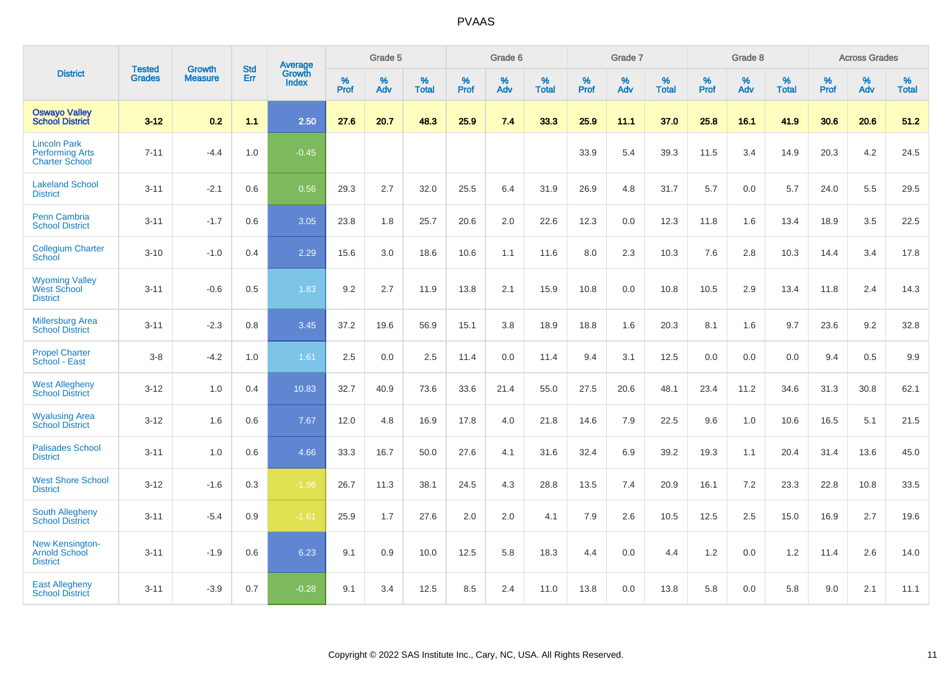|                                                                        | <b>Tested</b> | <b>Growth</b>  | <b>Std</b> | Average                       |           | Grade 5  |                   |           | Grade 6  |                   |           | Grade 7  |                   |           | Grade 8  |                   |           | <b>Across Grades</b> |                   |
|------------------------------------------------------------------------|---------------|----------------|------------|-------------------------------|-----------|----------|-------------------|-----------|----------|-------------------|-----------|----------|-------------------|-----------|----------|-------------------|-----------|----------------------|-------------------|
| <b>District</b>                                                        | <b>Grades</b> | <b>Measure</b> | Err        | <b>Growth</b><br><b>Index</b> | %<br>Prof | %<br>Adv | %<br><b>Total</b> | %<br>Prof | %<br>Adv | %<br><b>Total</b> | %<br>Prof | %<br>Adv | %<br><b>Total</b> | %<br>Prof | %<br>Adv | %<br><b>Total</b> | %<br>Prof | %<br>Adv             | %<br><b>Total</b> |
| <b>Oswayo Valley</b><br><b>School District</b>                         | $3 - 12$      | 0.2            | 1.1        | 2.50                          | 27.6      | 20.7     | 48.3              | 25.9      | 7.4      | 33.3              | 25.9      | 11.1     | 37.0              | 25.8      | 16.1     | 41.9              | 30.6      | 20.6                 | 51.2              |
| <b>Lincoln Park</b><br><b>Performing Arts</b><br><b>Charter School</b> | $7 - 11$      | $-4.4$         | 1.0        | $-0.45$                       |           |          |                   |           |          |                   | 33.9      | 5.4      | 39.3              | 11.5      | 3.4      | 14.9              | 20.3      | 4.2                  | 24.5              |
| <b>Lakeland School</b><br><b>District</b>                              | $3 - 11$      | $-2.1$         | 0.6        | 0.56                          | 29.3      | 2.7      | 32.0              | 25.5      | 6.4      | 31.9              | 26.9      | 4.8      | 31.7              | 5.7       | 0.0      | 5.7               | 24.0      | 5.5                  | 29.5              |
| <b>Penn Cambria</b><br><b>School District</b>                          | $3 - 11$      | $-1.7$         | 0.6        | 3.05                          | 23.8      | 1.8      | 25.7              | 20.6      | 2.0      | 22.6              | 12.3      | 0.0      | 12.3              | 11.8      | 1.6      | 13.4              | 18.9      | 3.5                  | 22.5              |
| <b>Collegium Charter</b><br>School                                     | $3 - 10$      | $-1.0$         | 0.4        | 2.29                          | 15.6      | 3.0      | 18.6              | 10.6      | 1.1      | 11.6              | 8.0       | 2.3      | 10.3              | 7.6       | 2.8      | 10.3              | 14.4      | 3.4                  | 17.8              |
| <b>Wyoming Valley</b><br>West School<br><b>District</b>                | $3 - 11$      | $-0.6$         | 0.5        | 1.83                          | 9.2       | 2.7      | 11.9              | 13.8      | 2.1      | 15.9              | 10.8      | 0.0      | 10.8              | 10.5      | 2.9      | 13.4              | 11.8      | 2.4                  | 14.3              |
| <b>Millersburg Area</b><br><b>School District</b>                      | $3 - 11$      | $-2.3$         | 0.8        | 3.45                          | 37.2      | 19.6     | 56.9              | 15.1      | 3.8      | 18.9              | 18.8      | 1.6      | 20.3              | 8.1       | 1.6      | 9.7               | 23.6      | 9.2                  | 32.8              |
| <b>Propel Charter</b><br>School - East                                 | $3 - 8$       | $-4.2$         | 1.0        | 1.61                          | 2.5       | 0.0      | 2.5               | 11.4      | 0.0      | 11.4              | 9.4       | 3.1      | 12.5              | 0.0       | 0.0      | 0.0               | 9.4       | 0.5                  | 9.9               |
| <b>West Allegheny</b><br><b>School District</b>                        | $3 - 12$      | 1.0            | 0.4        | 10.83                         | 32.7      | 40.9     | 73.6              | 33.6      | 21.4     | 55.0              | 27.5      | 20.6     | 48.1              | 23.4      | 11.2     | 34.6              | 31.3      | 30.8                 | 62.1              |
| <b>Wyalusing Area</b><br><b>School District</b>                        | $3 - 12$      | 1.6            | 0.6        | 7.67                          | 12.0      | 4.8      | 16.9              | 17.8      | 4.0      | 21.8              | 14.6      | 7.9      | 22.5              | 9.6       | 1.0      | 10.6              | 16.5      | 5.1                  | 21.5              |
| <b>Palisades School</b><br><b>District</b>                             | $3 - 11$      | 1.0            | 0.6        | 4.66                          | 33.3      | 16.7     | 50.0              | 27.6      | 4.1      | 31.6              | 32.4      | 6.9      | 39.2              | 19.3      | 1.1      | 20.4              | 31.4      | 13.6                 | 45.0              |
| <b>West Shore School</b><br><b>District</b>                            | $3 - 12$      | $-1.6$         | 0.3        | $-1.96$                       | 26.7      | 11.3     | 38.1              | 24.5      | 4.3      | 28.8              | 13.5      | 7.4      | 20.9              | 16.1      | 7.2      | 23.3              | 22.8      | 10.8                 | 33.5              |
| <b>South Allegheny</b><br><b>School District</b>                       | $3 - 11$      | $-5.4$         | 0.9        | $-1.61$                       | 25.9      | 1.7      | 27.6              | 2.0       | 2.0      | 4.1               | 7.9       | 2.6      | 10.5              | 12.5      | 2.5      | 15.0              | 16.9      | 2.7                  | 19.6              |
| <b>New Kensington-</b><br><b>Arnold School</b><br><b>District</b>      | $3 - 11$      | $-1.9$         | 0.6        | 6.23                          | 9.1       | 0.9      | 10.0              | 12.5      | 5.8      | 18.3              | 4.4       | $0.0\,$  | 4.4               | 1.2       | 0.0      | 1.2               | 11.4      | 2.6                  | 14.0              |
| <b>East Allegheny</b><br><b>School District</b>                        | $3 - 11$      | $-3.9$         | 0.7        | $-0.28$                       | 9.1       | 3.4      | 12.5              | 8.5       | 2.4      | 11.0              | 13.8      | 0.0      | 13.8              | 5.8       | 0.0      | 5.8               | 9.0       | 2.1                  | 11.1              |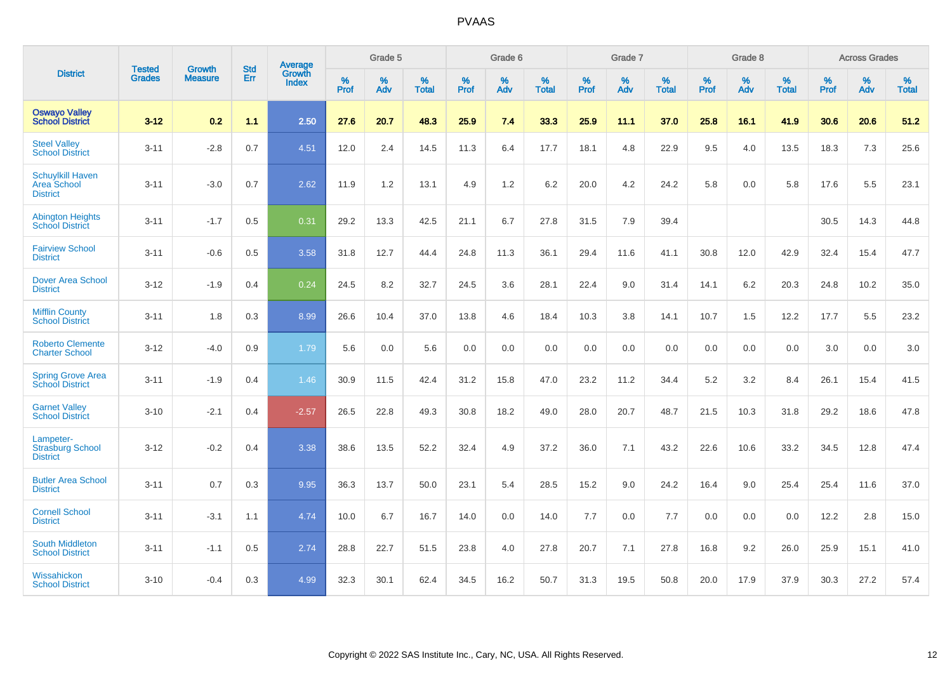|                                                           | <b>Tested</b> | <b>Growth</b>  | <b>Std</b> | Average                |                     | Grade 5  |                   |                     | Grade 6  |                   |              | Grade 7  |                   |                     | Grade 8  |                   |                     | <b>Across Grades</b> |                   |
|-----------------------------------------------------------|---------------|----------------|------------|------------------------|---------------------|----------|-------------------|---------------------|----------|-------------------|--------------|----------|-------------------|---------------------|----------|-------------------|---------------------|----------------------|-------------------|
| <b>District</b>                                           | <b>Grades</b> | <b>Measure</b> | Err        | Growth<br><b>Index</b> | $\%$<br><b>Prof</b> | %<br>Adv | %<br><b>Total</b> | $\%$<br><b>Prof</b> | %<br>Adv | %<br><b>Total</b> | $\%$<br>Prof | %<br>Adv | %<br><b>Total</b> | $\%$<br><b>Prof</b> | %<br>Adv | %<br><b>Total</b> | $\%$<br><b>Prof</b> | %<br>Adv             | %<br><b>Total</b> |
| <b>Oswayo Valley</b><br><b>School District</b>            | $3 - 12$      | 0.2            | 1.1        | 2.50                   | 27.6                | 20.7     | 48.3              | 25.9                | 7.4      | 33.3              | 25.9         | 11.1     | 37.0              | 25.8                | 16.1     | 41.9              | 30.6                | 20.6                 | 51.2              |
| <b>Steel Valley</b><br><b>School District</b>             | $3 - 11$      | $-2.8$         | 0.7        | 4.51                   | 12.0                | 2.4      | 14.5              | 11.3                | 6.4      | 17.7              | 18.1         | 4.8      | 22.9              | 9.5                 | 4.0      | 13.5              | 18.3                | $7.3$                | 25.6              |
| <b>Schuylkill Haven</b><br>Area School<br><b>District</b> | $3 - 11$      | $-3.0$         | 0.7        | 2.62                   | 11.9                | 1.2      | 13.1              | 4.9                 | 1.2      | 6.2               | 20.0         | 4.2      | 24.2              | 5.8                 | 0.0      | 5.8               | 17.6                | 5.5                  | 23.1              |
| <b>Abington Heights</b><br><b>School District</b>         | $3 - 11$      | $-1.7$         | 0.5        | 0.31                   | 29.2                | 13.3     | 42.5              | 21.1                | 6.7      | 27.8              | 31.5         | 7.9      | 39.4              |                     |          |                   | 30.5                | 14.3                 | 44.8              |
| <b>Fairview School</b><br><b>District</b>                 | $3 - 11$      | $-0.6$         | 0.5        | 3.58                   | 31.8                | 12.7     | 44.4              | 24.8                | 11.3     | 36.1              | 29.4         | 11.6     | 41.1              | 30.8                | 12.0     | 42.9              | 32.4                | 15.4                 | 47.7              |
| Dover Area School<br><b>District</b>                      | $3 - 12$      | $-1.9$         | 0.4        | 0.24                   | 24.5                | 8.2      | 32.7              | 24.5                | 3.6      | 28.1              | 22.4         | 9.0      | 31.4              | 14.1                | 6.2      | 20.3              | 24.8                | 10.2                 | 35.0              |
| <b>Mifflin County</b><br><b>School District</b>           | $3 - 11$      | 1.8            | 0.3        | 8.99                   | 26.6                | 10.4     | 37.0              | 13.8                | 4.6      | 18.4              | 10.3         | 3.8      | 14.1              | 10.7                | 1.5      | 12.2              | 17.7                | 5.5                  | 23.2              |
| <b>Roberto Clemente</b><br><b>Charter School</b>          | $3 - 12$      | $-4.0$         | 0.9        | 1.79                   | 5.6                 | 0.0      | 5.6               | 0.0                 | 0.0      | 0.0               | 0.0          | 0.0      | 0.0               | 0.0                 | 0.0      | 0.0               | 3.0                 | 0.0                  | 3.0               |
| <b>Spring Grove Area</b><br><b>School District</b>        | $3 - 11$      | $-1.9$         | 0.4        | 1.46                   | 30.9                | 11.5     | 42.4              | 31.2                | 15.8     | 47.0              | 23.2         | 11.2     | 34.4              | 5.2                 | 3.2      | 8.4               | 26.1                | 15.4                 | 41.5              |
| <b>Garnet Valley</b><br><b>School District</b>            | $3 - 10$      | $-2.1$         | 0.4        | $-2.57$                | 26.5                | 22.8     | 49.3              | 30.8                | 18.2     | 49.0              | 28.0         | 20.7     | 48.7              | 21.5                | 10.3     | 31.8              | 29.2                | 18.6                 | 47.8              |
| Lampeter-<br><b>Strasburg School</b><br><b>District</b>   | $3 - 12$      | $-0.2$         | 0.4        | 3.38                   | 38.6                | 13.5     | 52.2              | 32.4                | 4.9      | 37.2              | 36.0         | 7.1      | 43.2              | 22.6                | 10.6     | 33.2              | 34.5                | 12.8                 | 47.4              |
| <b>Butler Area School</b><br><b>District</b>              | $3 - 11$      | 0.7            | 0.3        | 9.95                   | 36.3                | 13.7     | 50.0              | 23.1                | 5.4      | 28.5              | 15.2         | 9.0      | 24.2              | 16.4                | 9.0      | 25.4              | 25.4                | 11.6                 | 37.0              |
| <b>Cornell School</b><br><b>District</b>                  | $3 - 11$      | $-3.1$         | 1.1        | 4.74                   | 10.0                | 6.7      | 16.7              | 14.0                | 0.0      | 14.0              | $7.7$        | 0.0      | 7.7               | 0.0                 | 0.0      | 0.0               | 12.2                | 2.8                  | 15.0              |
| <b>South Middleton</b><br><b>School District</b>          | $3 - 11$      | $-1.1$         | 0.5        | 2.74                   | 28.8                | 22.7     | 51.5              | 23.8                | 4.0      | 27.8              | 20.7         | 7.1      | 27.8              | 16.8                | 9.2      | 26.0              | 25.9                | 15.1                 | 41.0              |
| Wissahickon<br><b>School District</b>                     | $3 - 10$      | $-0.4$         | 0.3        | 4.99                   | 32.3                | 30.1     | 62.4              | 34.5                | 16.2     | 50.7              | 31.3         | 19.5     | 50.8              | 20.0                | 17.9     | 37.9              | 30.3                | 27.2                 | 57.4              |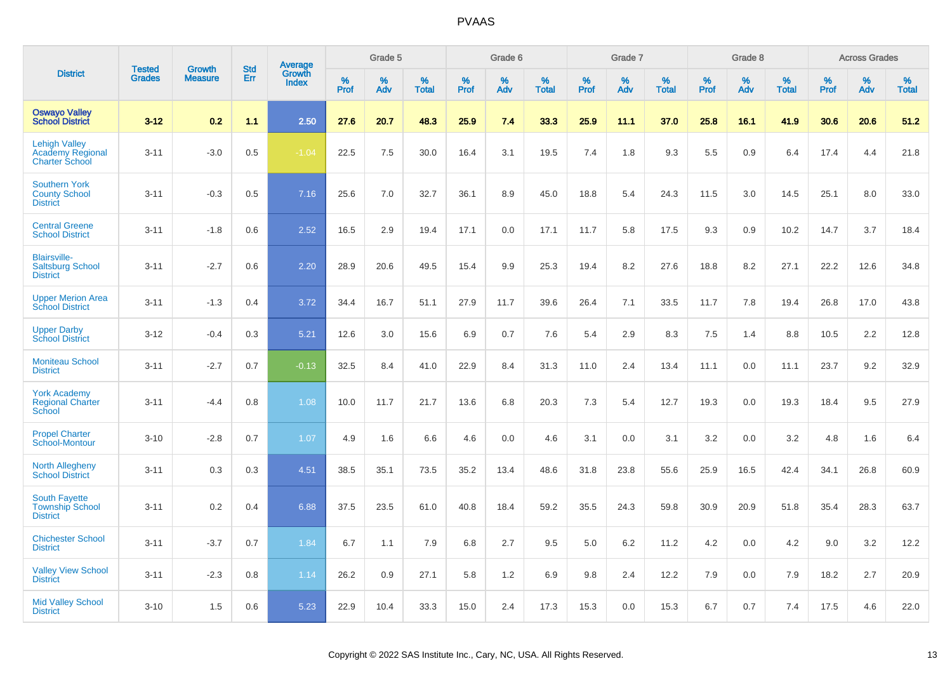|                                                                          |                                |                                 | <b>Std</b> |                                          |                  | Grade 5  |                   |              | Grade 6  |                   |           | Grade 7  |                   |           | Grade 8  |                   |              | <b>Across Grades</b> |                   |
|--------------------------------------------------------------------------|--------------------------------|---------------------------------|------------|------------------------------------------|------------------|----------|-------------------|--------------|----------|-------------------|-----------|----------|-------------------|-----------|----------|-------------------|--------------|----------------------|-------------------|
| <b>District</b>                                                          | <b>Tested</b><br><b>Grades</b> | <b>Growth</b><br><b>Measure</b> | Err        | <b>Average</b><br>Growth<br><b>Index</b> | %<br><b>Prof</b> | %<br>Adv | %<br><b>Total</b> | $\%$<br>Prof | %<br>Adv | %<br><b>Total</b> | %<br>Prof | %<br>Adv | %<br><b>Total</b> | %<br>Prof | %<br>Adv | %<br><b>Total</b> | $\%$<br>Prof | %<br>Adv             | %<br><b>Total</b> |
| <b>Oswayo Valley</b><br><b>School District</b>                           | $3 - 12$                       | 0.2                             | 1.1        | 2.50                                     | 27.6             | 20.7     | 48.3              | 25.9         | 7.4      | 33.3              | 25.9      | 11.1     | 37.0              | 25.8      | 16.1     | 41.9              | 30.6         | 20.6                 | 51.2              |
| <b>Lehigh Valley</b><br><b>Academy Regional</b><br><b>Charter School</b> | $3 - 11$                       | $-3.0$                          | 0.5        | $-1.04$                                  | 22.5             | 7.5      | 30.0              | 16.4         | 3.1      | 19.5              | 7.4       | 1.8      | 9.3               | 5.5       | 0.9      | 6.4               | 17.4         | 4.4                  | 21.8              |
| <b>Southern York</b><br><b>County School</b><br><b>District</b>          | $3 - 11$                       | $-0.3$                          | 0.5        | 7.16                                     | 25.6             | 7.0      | 32.7              | 36.1         | 8.9      | 45.0              | 18.8      | 5.4      | 24.3              | 11.5      | 3.0      | 14.5              | 25.1         | 8.0                  | 33.0              |
| <b>Central Greene</b><br><b>School District</b>                          | $3 - 11$                       | $-1.8$                          | 0.6        | 2.52                                     | 16.5             | 2.9      | 19.4              | 17.1         | 0.0      | 17.1              | 11.7      | 5.8      | 17.5              | 9.3       | 0.9      | 10.2              | 14.7         | 3.7                  | 18.4              |
| <b>Blairsville-</b><br><b>Saltsburg School</b><br><b>District</b>        | $3 - 11$                       | $-2.7$                          | 0.6        | 2.20                                     | 28.9             | 20.6     | 49.5              | 15.4         | 9.9      | 25.3              | 19.4      | 8.2      | 27.6              | 18.8      | 8.2      | 27.1              | 22.2         | 12.6                 | 34.8              |
| <b>Upper Merion Area</b><br><b>School District</b>                       | $3 - 11$                       | $-1.3$                          | 0.4        | 3.72                                     | 34.4             | 16.7     | 51.1              | 27.9         | 11.7     | 39.6              | 26.4      | 7.1      | 33.5              | 11.7      | 7.8      | 19.4              | 26.8         | 17.0                 | 43.8              |
| <b>Upper Darby</b><br><b>School District</b>                             | $3 - 12$                       | $-0.4$                          | 0.3        | 5.21                                     | 12.6             | 3.0      | 15.6              | 6.9          | 0.7      | 7.6               | 5.4       | 2.9      | 8.3               | 7.5       | 1.4      | 8.8               | 10.5         | 2.2                  | 12.8              |
| <b>Moniteau School</b><br><b>District</b>                                | $3 - 11$                       | $-2.7$                          | 0.7        | $-0.13$                                  | 32.5             | 8.4      | 41.0              | 22.9         | 8.4      | 31.3              | 11.0      | 2.4      | 13.4              | 11.1      | 0.0      | 11.1              | 23.7         | 9.2                  | 32.9              |
| <b>York Academy</b><br><b>Regional Charter</b><br>School                 | $3 - 11$                       | $-4.4$                          | 0.8        | 1.08                                     | 10.0             | 11.7     | 21.7              | 13.6         | 6.8      | 20.3              | 7.3       | 5.4      | 12.7              | 19.3      | 0.0      | 19.3              | 18.4         | 9.5                  | 27.9              |
| <b>Propel Charter</b><br>School-Montour                                  | $3 - 10$                       | $-2.8$                          | 0.7        | 1.07                                     | 4.9              | 1.6      | 6.6               | 4.6          | 0.0      | 4.6               | 3.1       | 0.0      | 3.1               | 3.2       | 0.0      | 3.2               | 4.8          | 1.6                  | 6.4               |
| <b>North Allegheny</b><br><b>School District</b>                         | $3 - 11$                       | 0.3                             | 0.3        | 4.51                                     | 38.5             | 35.1     | 73.5              | 35.2         | 13.4     | 48.6              | 31.8      | 23.8     | 55.6              | 25.9      | 16.5     | 42.4              | 34.1         | 26.8                 | 60.9              |
| <b>South Fayette</b><br><b>Township School</b><br><b>District</b>        | $3 - 11$                       | 0.2                             | 0.4        | 6.88                                     | 37.5             | 23.5     | 61.0              | 40.8         | 18.4     | 59.2              | 35.5      | 24.3     | 59.8              | 30.9      | 20.9     | 51.8              | 35.4         | 28.3                 | 63.7              |
| <b>Chichester School</b><br><b>District</b>                              | $3 - 11$                       | $-3.7$                          | 0.7        | 1.84                                     | 6.7              | 1.1      | 7.9               | 6.8          | 2.7      | 9.5               | 5.0       | 6.2      | 11.2              | 4.2       | 0.0      | 4.2               | 9.0          | 3.2                  | 12.2              |
| <b>Valley View School</b><br><b>District</b>                             | $3 - 11$                       | $-2.3$                          | 0.8        | 1.14                                     | 26.2             | 0.9      | 27.1              | 5.8          | 1.2      | 6.9               | 9.8       | 2.4      | 12.2              | 7.9       | 0.0      | 7.9               | 18.2         | 2.7                  | 20.9              |
| <b>Mid Valley School</b><br><b>District</b>                              | $3 - 10$                       | 1.5                             | 0.6        | 5.23                                     | 22.9             | 10.4     | 33.3              | 15.0         | 2.4      | 17.3              | 15.3      | 0.0      | 15.3              | 6.7       | 0.7      | 7.4               | 17.5         | 4.6                  | 22.0              |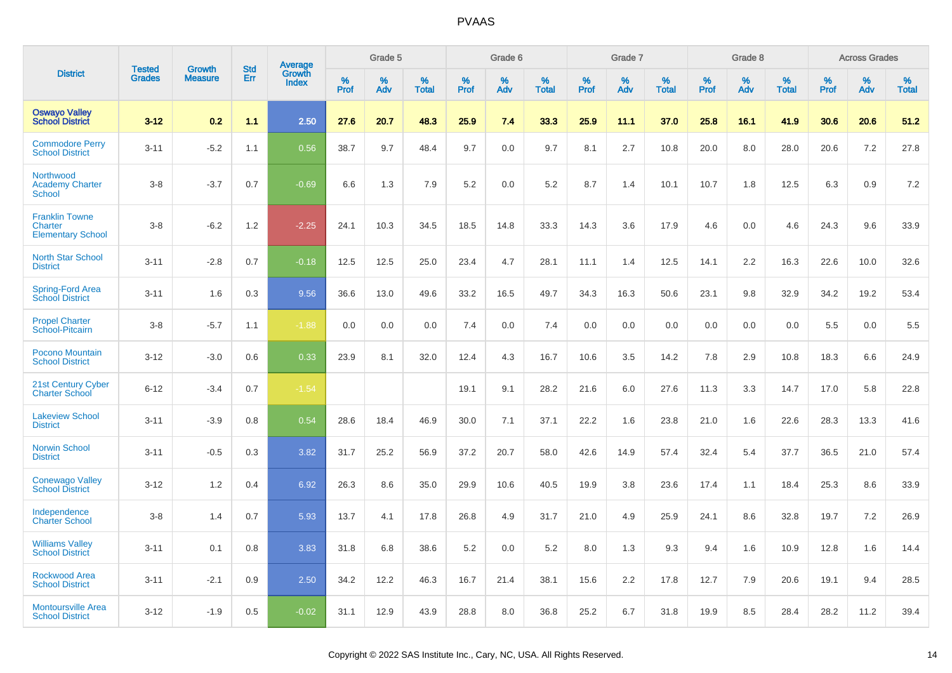|                                                              | <b>Tested</b> |                                 | <b>Std</b> | Average                |              | Grade 5  |                   |              | Grade 6  |                   |              | Grade 7  |                   |              | Grade 8  |                   |              | <b>Across Grades</b> |                   |
|--------------------------------------------------------------|---------------|---------------------------------|------------|------------------------|--------------|----------|-------------------|--------------|----------|-------------------|--------------|----------|-------------------|--------------|----------|-------------------|--------------|----------------------|-------------------|
| <b>District</b>                                              | <b>Grades</b> | <b>Growth</b><br><b>Measure</b> | Err        | Growth<br><b>Index</b> | $\%$<br>Prof | %<br>Adv | %<br><b>Total</b> | $\%$<br>Prof | %<br>Adv | %<br><b>Total</b> | $\%$<br>Prof | %<br>Adv | %<br><b>Total</b> | $\%$<br>Prof | %<br>Adv | %<br><b>Total</b> | $\%$<br>Prof | %<br>Adv             | %<br><b>Total</b> |
| <b>Oswayo Valley</b><br><b>School District</b>               | $3 - 12$      | 0.2                             | 1.1        | 2.50                   | 27.6         | 20.7     | 48.3              | 25.9         | 7.4      | 33.3              | 25.9         | 11.1     | 37.0              | 25.8         | 16.1     | 41.9              | 30.6         | 20.6                 | 51.2              |
| <b>Commodore Perry</b><br><b>School District</b>             | $3 - 11$      | $-5.2$                          | 1.1        | 0.56                   | 38.7         | 9.7      | 48.4              | 9.7          | 0.0      | 9.7               | 8.1          | 2.7      | 10.8              | 20.0         | 8.0      | 28.0              | 20.6         | 7.2                  | 27.8              |
| Northwood<br><b>Academy Charter</b><br><b>School</b>         | $3 - 8$       | $-3.7$                          | 0.7        | $-0.69$                | 6.6          | 1.3      | 7.9               | 5.2          | 0.0      | 5.2               | 8.7          | 1.4      | 10.1              | 10.7         | 1.8      | 12.5              | 6.3          | 0.9                  | 7.2               |
| <b>Franklin Towne</b><br>Charter<br><b>Elementary School</b> | $3 - 8$       | $-6.2$                          | 1.2        | $-2.25$                | 24.1         | 10.3     | 34.5              | 18.5         | 14.8     | 33.3              | 14.3         | 3.6      | 17.9              | 4.6          | 0.0      | 4.6               | 24.3         | 9.6                  | 33.9              |
| <b>North Star School</b><br><b>District</b>                  | $3 - 11$      | $-2.8$                          | 0.7        | $-0.18$                | 12.5         | 12.5     | 25.0              | 23.4         | 4.7      | 28.1              | 11.1         | 1.4      | 12.5              | 14.1         | 2.2      | 16.3              | 22.6         | 10.0                 | 32.6              |
| Spring-Ford Area<br><b>School District</b>                   | $3 - 11$      | 1.6                             | 0.3        | 9.56                   | 36.6         | 13.0     | 49.6              | 33.2         | 16.5     | 49.7              | 34.3         | 16.3     | 50.6              | 23.1         | 9.8      | 32.9              | 34.2         | 19.2                 | 53.4              |
| <b>Propel Charter</b><br>School-Pitcairn                     | $3 - 8$       | $-5.7$                          | 1.1        | $-1.88$                | 0.0          | 0.0      | 0.0               | 7.4          | 0.0      | 7.4               | 0.0          | 0.0      | 0.0               | 0.0          | 0.0      | 0.0               | 5.5          | 0.0                  | 5.5               |
| Pocono Mountain<br><b>School District</b>                    | $3 - 12$      | $-3.0$                          | 0.6        | 0.33                   | 23.9         | 8.1      | 32.0              | 12.4         | 4.3      | 16.7              | 10.6         | 3.5      | 14.2              | 7.8          | 2.9      | 10.8              | 18.3         | 6.6                  | 24.9              |
| 21st Century Cyber<br><b>Charter School</b>                  | $6 - 12$      | $-3.4$                          | 0.7        | $-1.54$                |              |          |                   | 19.1         | 9.1      | 28.2              | 21.6         | 6.0      | 27.6              | 11.3         | 3.3      | 14.7              | 17.0         | 5.8                  | 22.8              |
| <b>Lakeview School</b><br><b>District</b>                    | $3 - 11$      | $-3.9$                          | 0.8        | 0.54                   | 28.6         | 18.4     | 46.9              | 30.0         | 7.1      | 37.1              | 22.2         | 1.6      | 23.8              | 21.0         | 1.6      | 22.6              | 28.3         | 13.3                 | 41.6              |
| <b>Norwin School</b><br><b>District</b>                      | $3 - 11$      | $-0.5$                          | 0.3        | 3.82                   | 31.7         | 25.2     | 56.9              | 37.2         | 20.7     | 58.0              | 42.6         | 14.9     | 57.4              | 32.4         | 5.4      | 37.7              | 36.5         | 21.0                 | 57.4              |
| <b>Conewago Valley</b><br><b>School District</b>             | $3 - 12$      | 1.2                             | 0.4        | 6.92                   | 26.3         | 8.6      | 35.0              | 29.9         | 10.6     | 40.5              | 19.9         | 3.8      | 23.6              | 17.4         | 1.1      | 18.4              | 25.3         | 8.6                  | 33.9              |
| Independence<br><b>Charter School</b>                        | $3 - 8$       | 1.4                             | 0.7        | 5.93                   | 13.7         | 4.1      | 17.8              | 26.8         | 4.9      | 31.7              | 21.0         | 4.9      | 25.9              | 24.1         | 8.6      | 32.8              | 19.7         | 7.2                  | 26.9              |
| <b>Williams Valley</b><br><b>School District</b>             | $3 - 11$      | 0.1                             | 0.8        | 3.83                   | 31.8         | 6.8      | 38.6              | 5.2          | 0.0      | 5.2               | 8.0          | 1.3      | 9.3               | 9.4          | 1.6      | 10.9              | 12.8         | 1.6                  | 14.4              |
| <b>Rockwood Area</b><br><b>School District</b>               | $3 - 11$      | $-2.1$                          | 0.9        | 2.50                   | 34.2         | 12.2     | 46.3              | 16.7         | 21.4     | 38.1              | 15.6         | 2.2      | 17.8              | 12.7         | 7.9      | 20.6              | 19.1         | 9.4                  | 28.5              |
| <b>Montoursville Area</b><br><b>School District</b>          | $3 - 12$      | $-1.9$                          | 0.5        | $-0.02$                | 31.1         | 12.9     | 43.9              | 28.8         | 8.0      | 36.8              | 25.2         | 6.7      | 31.8              | 19.9         | 8.5      | 28.4              | 28.2         | 11.2                 | 39.4              |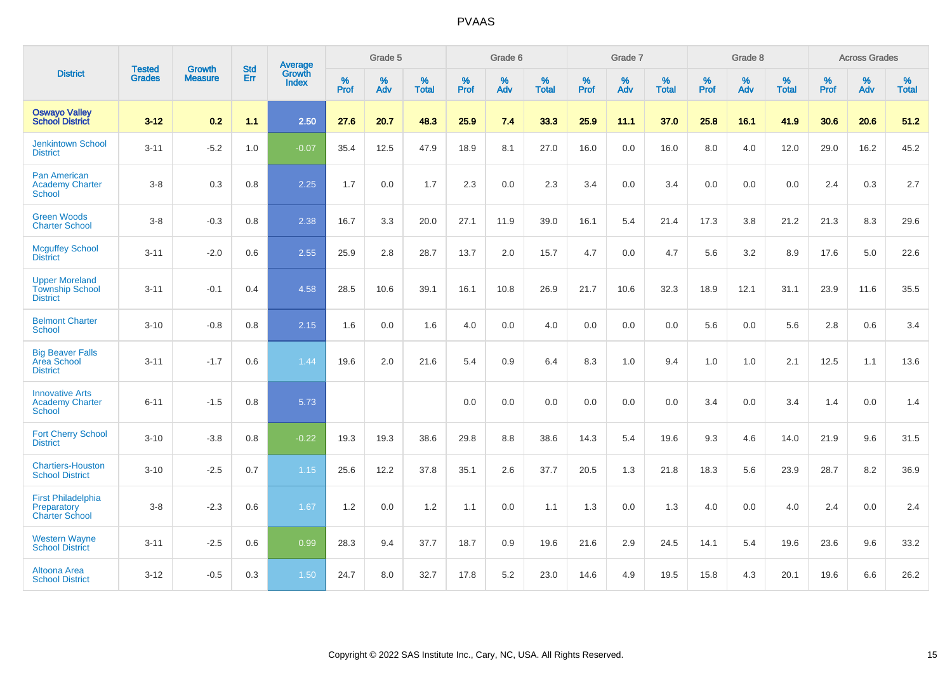|                                                                    |                                |                                 | <b>Std</b> | Average                |                     | Grade 5  |                   |              | Grade 6  |                   |                     | Grade 7  |                   |                     | Grade 8  |                   |              | <b>Across Grades</b> |                   |
|--------------------------------------------------------------------|--------------------------------|---------------------------------|------------|------------------------|---------------------|----------|-------------------|--------------|----------|-------------------|---------------------|----------|-------------------|---------------------|----------|-------------------|--------------|----------------------|-------------------|
| <b>District</b>                                                    | <b>Tested</b><br><b>Grades</b> | <b>Growth</b><br><b>Measure</b> | Err        | Growth<br><b>Index</b> | $\%$<br><b>Prof</b> | %<br>Adv | %<br><b>Total</b> | $\%$<br>Prof | %<br>Adv | %<br><b>Total</b> | $\%$<br><b>Prof</b> | %<br>Adv | %<br><b>Total</b> | $\%$<br><b>Prof</b> | %<br>Adv | %<br><b>Total</b> | $\%$<br>Prof | %<br>Adv             | %<br><b>Total</b> |
| <b>Oswayo Valley</b><br><b>School District</b>                     | $3 - 12$                       | 0.2                             | 1.1        | 2.50                   | 27.6                | 20.7     | 48.3              | 25.9         | 7.4      | 33.3              | 25.9                | 11.1     | 37.0              | 25.8                | 16.1     | 41.9              | 30.6         | 20.6                 | 51.2              |
| <b>Jenkintown School</b><br><b>District</b>                        | $3 - 11$                       | $-5.2$                          | 1.0        | $-0.07$                | 35.4                | 12.5     | 47.9              | 18.9         | 8.1      | 27.0              | 16.0                | 0.0      | 16.0              | 8.0                 | 4.0      | 12.0              | 29.0         | 16.2                 | 45.2              |
| Pan American<br><b>Academy Charter</b><br><b>School</b>            | $3-8$                          | 0.3                             | 0.8        | 2.25                   | 1.7                 | 0.0      | 1.7               | 2.3          | 0.0      | 2.3               | 3.4                 | 0.0      | 3.4               | 0.0                 | 0.0      | 0.0               | 2.4          | 0.3                  | 2.7               |
| <b>Green Woods</b><br><b>Charter School</b>                        | $3-8$                          | $-0.3$                          | 0.8        | 2.38                   | 16.7                | 3.3      | 20.0              | 27.1         | 11.9     | 39.0              | 16.1                | 5.4      | 21.4              | 17.3                | 3.8      | 21.2              | 21.3         | 8.3                  | 29.6              |
| <b>Mcguffey School</b><br><b>District</b>                          | $3 - 11$                       | $-2.0$                          | 0.6        | 2.55                   | 25.9                | 2.8      | 28.7              | 13.7         | 2.0      | 15.7              | 4.7                 | 0.0      | 4.7               | 5.6                 | 3.2      | 8.9               | 17.6         | 5.0                  | 22.6              |
| <b>Upper Moreland</b><br><b>Township School</b><br><b>District</b> | $3 - 11$                       | $-0.1$                          | 0.4        | 4.58                   | 28.5                | 10.6     | 39.1              | 16.1         | 10.8     | 26.9              | 21.7                | 10.6     | 32.3              | 18.9                | 12.1     | 31.1              | 23.9         | 11.6                 | 35.5              |
| <b>Belmont Charter</b><br>School                                   | $3 - 10$                       | $-0.8$                          | 0.8        | 2.15                   | 1.6                 | 0.0      | 1.6               | 4.0          | 0.0      | 4.0               | 0.0                 | 0.0      | 0.0               | 5.6                 | 0.0      | 5.6               | 2.8          | 0.6                  | 3.4               |
| <b>Big Beaver Falls</b><br>Area School<br><b>District</b>          | $3 - 11$                       | $-1.7$                          | 0.6        | 1.44                   | 19.6                | 2.0      | 21.6              | 5.4          | 0.9      | 6.4               | 8.3                 | 1.0      | 9.4               | 1.0                 | 1.0      | 2.1               | 12.5         | 1.1                  | 13.6              |
| <b>Innovative Arts</b><br><b>Academy Charter</b><br><b>School</b>  | $6 - 11$                       | $-1.5$                          | 0.8        | 5.73                   |                     |          |                   | 0.0          | 0.0      | 0.0               | 0.0                 | 0.0      | 0.0               | 3.4                 | 0.0      | 3.4               | 1.4          | 0.0                  | 1.4               |
| <b>Fort Cherry School</b><br><b>District</b>                       | $3 - 10$                       | $-3.8$                          | 0.8        | $-0.22$                | 19.3                | 19.3     | 38.6              | 29.8         | 8.8      | 38.6              | 14.3                | 5.4      | 19.6              | 9.3                 | 4.6      | 14.0              | 21.9         | 9.6                  | 31.5              |
| <b>Chartiers-Houston</b><br><b>School District</b>                 | $3 - 10$                       | $-2.5$                          | 0.7        | 1.15                   | 25.6                | 12.2     | 37.8              | 35.1         | 2.6      | 37.7              | 20.5                | 1.3      | 21.8              | 18.3                | 5.6      | 23.9              | 28.7         | 8.2                  | 36.9              |
| <b>First Philadelphia</b><br>Preparatory<br><b>Charter School</b>  | $3 - 8$                        | $-2.3$                          | 0.6        | 1.67                   | 1.2                 | 0.0      | 1.2               | 1.1          | 0.0      | 1.1               | 1.3                 | 0.0      | 1.3               | 4.0                 | 0.0      | 4.0               | 2.4          | 0.0                  | 2.4               |
| <b>Western Wayne</b><br><b>School District</b>                     | $3 - 11$                       | $-2.5$                          | 0.6        | 0.99                   | 28.3                | 9.4      | 37.7              | 18.7         | 0.9      | 19.6              | 21.6                | 2.9      | 24.5              | 14.1                | 5.4      | 19.6              | 23.6         | 9.6                  | 33.2              |
| Altoona Area<br><b>School District</b>                             | $3 - 12$                       | $-0.5$                          | 0.3        | 1.50                   | 24.7                | 8.0      | 32.7              | 17.8         | 5.2      | 23.0              | 14.6                | 4.9      | 19.5              | 15.8                | 4.3      | 20.1              | 19.6         | 6.6                  | 26.2              |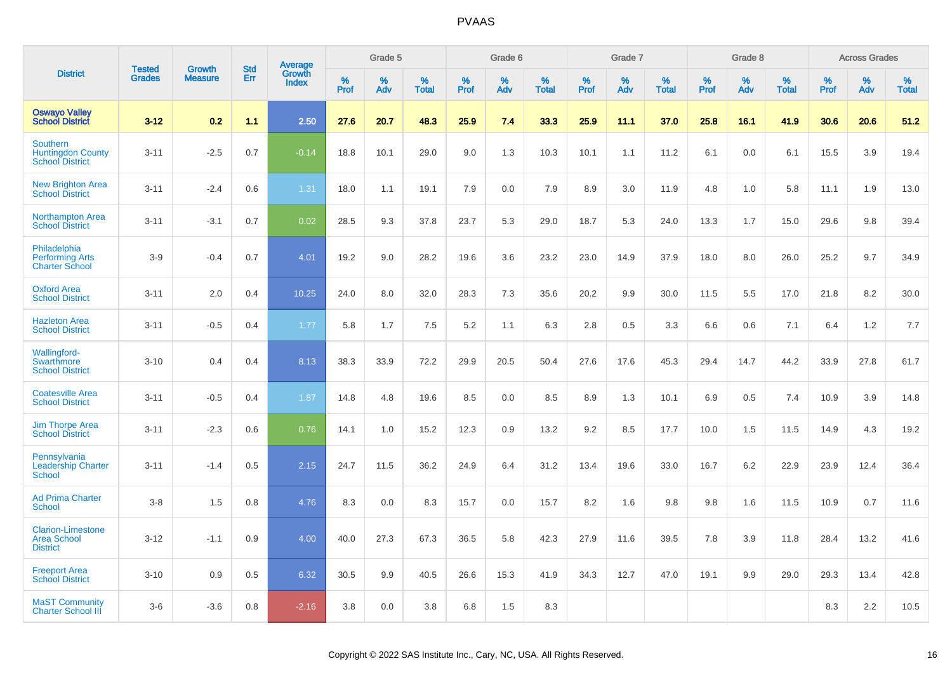|                                                                   | <b>Tested</b> | <b>Growth</b>  | <b>Std</b> | Average                |              | Grade 5  |                   |           | Grade 6  |                   |           | Grade 7  |                   |           | Grade 8  |                   |              | <b>Across Grades</b> |                   |
|-------------------------------------------------------------------|---------------|----------------|------------|------------------------|--------------|----------|-------------------|-----------|----------|-------------------|-----------|----------|-------------------|-----------|----------|-------------------|--------------|----------------------|-------------------|
| <b>District</b>                                                   | <b>Grades</b> | <b>Measure</b> | Err        | Growth<br><b>Index</b> | $\%$<br>Prof | %<br>Adv | %<br><b>Total</b> | %<br>Prof | %<br>Adv | %<br><b>Total</b> | %<br>Prof | %<br>Adv | %<br><b>Total</b> | %<br>Prof | %<br>Adv | %<br><b>Total</b> | $\%$<br>Prof | %<br>Adv             | %<br><b>Total</b> |
| <b>Oswayo Valley</b><br><b>School District</b>                    | $3 - 12$      | 0.2            | 1.1        | 2.50                   | 27.6         | 20.7     | 48.3              | 25.9      | 7.4      | 33.3              | 25.9      | 11.1     | 37.0              | 25.8      | 16.1     | 41.9              | 30.6         | 20.6                 | 51.2              |
| Southern<br><b>Huntingdon County</b><br><b>School District</b>    | $3 - 11$      | $-2.5$         | 0.7        | $-0.14$                | 18.8         | 10.1     | 29.0              | 9.0       | 1.3      | 10.3              | 10.1      | 1.1      | 11.2              | 6.1       | 0.0      | 6.1               | 15.5         | 3.9                  | 19.4              |
| <b>New Brighton Area</b><br><b>School District</b>                | $3 - 11$      | $-2.4$         | 0.6        | 1.31                   | 18.0         | 1.1      | 19.1              | 7.9       | 0.0      | 7.9               | 8.9       | 3.0      | 11.9              | 4.8       | 1.0      | 5.8               | 11.1         | 1.9                  | 13.0              |
| <b>Northampton Area</b><br><b>School District</b>                 | $3 - 11$      | $-3.1$         | 0.7        | 0.02                   | 28.5         | 9.3      | 37.8              | 23.7      | 5.3      | 29.0              | 18.7      | 5.3      | 24.0              | 13.3      | 1.7      | 15.0              | 29.6         | 9.8                  | 39.4              |
| Philadelphia<br><b>Performing Arts</b><br><b>Charter School</b>   | $3-9$         | $-0.4$         | 0.7        | 4.01                   | 19.2         | 9.0      | 28.2              | 19.6      | 3.6      | 23.2              | 23.0      | 14.9     | 37.9              | 18.0      | 8.0      | 26.0              | 25.2         | 9.7                  | 34.9              |
| <b>Oxford Area</b><br><b>School District</b>                      | $3 - 11$      | 2.0            | 0.4        | 10.25                  | 24.0         | 8.0      | 32.0              | 28.3      | 7.3      | 35.6              | 20.2      | 9.9      | 30.0              | 11.5      | 5.5      | 17.0              | 21.8         | 8.2                  | 30.0              |
| <b>Hazleton Area</b><br><b>School District</b>                    | $3 - 11$      | $-0.5$         | 0.4        | 1.77                   | 5.8          | 1.7      | 7.5               | 5.2       | 1.1      | 6.3               | 2.8       | 0.5      | 3.3               | 6.6       | 0.6      | 7.1               | 6.4          | 1.2                  | 7.7               |
| <b>Wallingford-</b><br>Swarthmore<br><b>School District</b>       | $3 - 10$      | 0.4            | 0.4        | 8.13                   | 38.3         | 33.9     | 72.2              | 29.9      | 20.5     | 50.4              | 27.6      | 17.6     | 45.3              | 29.4      | 14.7     | 44.2              | 33.9         | 27.8                 | 61.7              |
| <b>Coatesville Area</b><br><b>School District</b>                 | $3 - 11$      | $-0.5$         | 0.4        | 1.87                   | 14.8         | 4.8      | 19.6              | 8.5       | 0.0      | 8.5               | 8.9       | 1.3      | 10.1              | 6.9       | 0.5      | 7.4               | 10.9         | 3.9                  | 14.8              |
| <b>Jim Thorpe Area</b><br><b>School District</b>                  | $3 - 11$      | $-2.3$         | 0.6        | 0.76                   | 14.1         | 1.0      | 15.2              | 12.3      | 0.9      | 13.2              | 9.2       | 8.5      | 17.7              | 10.0      | 1.5      | 11.5              | 14.9         | 4.3                  | 19.2              |
| Pennsylvania<br><b>Leadership Charter</b><br><b>School</b>        | $3 - 11$      | $-1.4$         | 0.5        | 2.15                   | 24.7         | 11.5     | 36.2              | 24.9      | 6.4      | 31.2              | 13.4      | 19.6     | 33.0              | 16.7      | 6.2      | 22.9              | 23.9         | 12.4                 | 36.4              |
| <b>Ad Prima Charter</b><br><b>School</b>                          | $3-8$         | 1.5            | 0.8        | 4.76                   | 8.3          | 0.0      | 8.3               | 15.7      | 0.0      | 15.7              | 8.2       | 1.6      | 9.8               | 9.8       | 1.6      | 11.5              | 10.9         | 0.7                  | 11.6              |
| <b>Clarion-Limestone</b><br><b>Area School</b><br><b>District</b> | $3 - 12$      | $-1.1$         | 0.9        | 4.00                   | 40.0         | 27.3     | 67.3              | 36.5      | 5.8      | 42.3              | 27.9      | 11.6     | 39.5              | 7.8       | 3.9      | 11.8              | 28.4         | 13.2                 | 41.6              |
| <b>Freeport Area</b><br><b>School District</b>                    | $3 - 10$      | 0.9            | 0.5        | 6.32                   | 30.5         | 9.9      | 40.5              | 26.6      | 15.3     | 41.9              | 34.3      | 12.7     | 47.0              | 19.1      | 9.9      | 29.0              | 29.3         | 13.4                 | 42.8              |
| <b>MaST Community</b><br><b>Charter School III</b>                | $3-6$         | $-3.6$         | 0.8        | $-2.16$                | 3.8          | 0.0      | 3.8               | 6.8       | 1.5      | 8.3               |           |          |                   |           |          |                   | 8.3          | 2.2                  | 10.5              |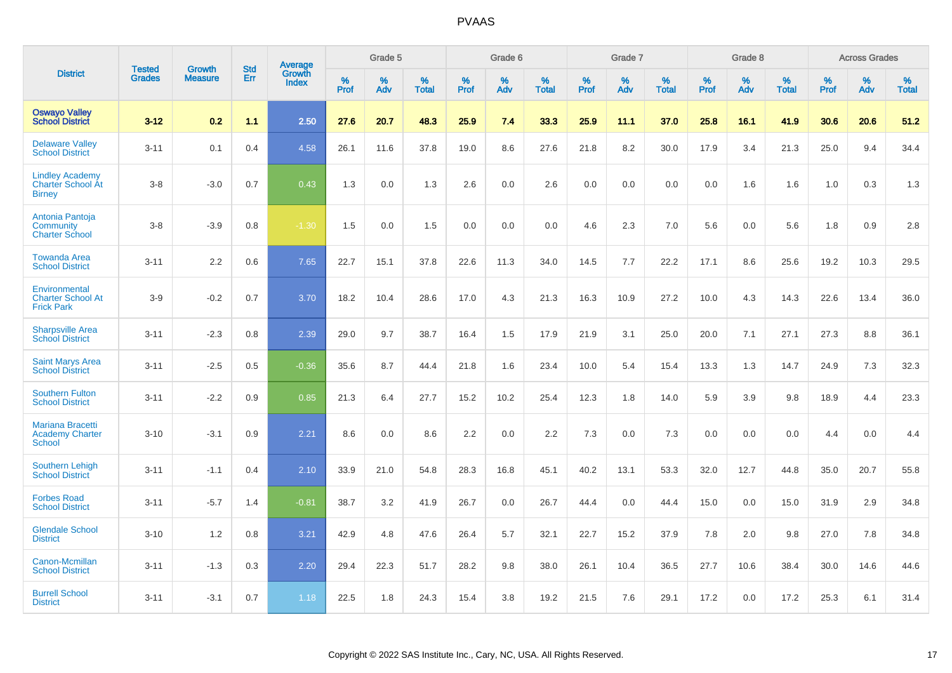|                                                                     |                                | <b>Growth</b>  | <b>Std</b> | Average                |           | Grade 5  |                   |           | Grade 6  |                   |           | Grade 7  |                   |           | Grade 8  |                   |           | <b>Across Grades</b> |                   |
|---------------------------------------------------------------------|--------------------------------|----------------|------------|------------------------|-----------|----------|-------------------|-----------|----------|-------------------|-----------|----------|-------------------|-----------|----------|-------------------|-----------|----------------------|-------------------|
| <b>District</b>                                                     | <b>Tested</b><br><b>Grades</b> | <b>Measure</b> | <b>Err</b> | Growth<br><b>Index</b> | %<br>Prof | %<br>Adv | %<br><b>Total</b> | %<br>Prof | %<br>Adv | %<br><b>Total</b> | %<br>Prof | %<br>Adv | %<br><b>Total</b> | %<br>Prof | %<br>Adv | %<br><b>Total</b> | %<br>Prof | %<br>Adv             | %<br><b>Total</b> |
| <b>Oswayo Valley</b><br><b>School District</b>                      | $3 - 12$                       | 0.2            | 1.1        | 2.50                   | 27.6      | 20.7     | 48.3              | 25.9      | 7.4      | 33.3              | 25.9      | 11.1     | 37.0              | 25.8      | 16.1     | 41.9              | 30.6      | 20.6                 | 51.2              |
| <b>Delaware Valley</b><br><b>School District</b>                    | $3 - 11$                       | 0.1            | 0.4        | 4.58                   | 26.1      | 11.6     | 37.8              | 19.0      | 8.6      | 27.6              | 21.8      | 8.2      | 30.0              | 17.9      | 3.4      | 21.3              | 25.0      | 9.4                  | 34.4              |
| <b>Lindley Academy</b><br><b>Charter School At</b><br><b>Birney</b> | $3 - 8$                        | $-3.0$         | 0.7        | 0.43                   | 1.3       | 0.0      | 1.3               | 2.6       | 0.0      | 2.6               | 0.0       | 0.0      | 0.0               | 0.0       | 1.6      | 1.6               | 1.0       | 0.3                  | 1.3               |
| Antonia Pantoja<br>Community<br><b>Charter School</b>               | $3 - 8$                        | $-3.9$         | 0.8        | $-1.30$                | 1.5       | 0.0      | 1.5               | 0.0       | 0.0      | 0.0               | 4.6       | 2.3      | 7.0               | 5.6       | 0.0      | 5.6               | 1.8       | 0.9                  | 2.8               |
| <b>Towanda Area</b><br><b>School District</b>                       | $3 - 11$                       | 2.2            | 0.6        | 7.65                   | 22.7      | 15.1     | 37.8              | 22.6      | 11.3     | 34.0              | 14.5      | 7.7      | 22.2              | 17.1      | 8.6      | 25.6              | 19.2      | 10.3                 | 29.5              |
| Environmental<br><b>Charter School At</b><br><b>Frick Park</b>      | $3-9$                          | $-0.2$         | 0.7        | 3.70                   | 18.2      | 10.4     | 28.6              | 17.0      | 4.3      | 21.3              | 16.3      | 10.9     | 27.2              | 10.0      | 4.3      | 14.3              | 22.6      | 13.4                 | 36.0              |
| <b>Sharpsville Area</b><br><b>School District</b>                   | $3 - 11$                       | $-2.3$         | 0.8        | 2.39                   | 29.0      | 9.7      | 38.7              | 16.4      | 1.5      | 17.9              | 21.9      | 3.1      | 25.0              | 20.0      | 7.1      | 27.1              | 27.3      | 8.8                  | 36.1              |
| <b>Saint Marys Area</b><br><b>School District</b>                   | $3 - 11$                       | $-2.5$         | 0.5        | $-0.36$                | 35.6      | 8.7      | 44.4              | 21.8      | 1.6      | 23.4              | 10.0      | 5.4      | 15.4              | 13.3      | 1.3      | 14.7              | 24.9      | 7.3                  | 32.3              |
| <b>Southern Fulton</b><br><b>School District</b>                    | $3 - 11$                       | $-2.2$         | 0.9        | 0.85                   | 21.3      | 6.4      | 27.7              | 15.2      | 10.2     | 25.4              | 12.3      | 1.8      | 14.0              | 5.9       | 3.9      | 9.8               | 18.9      | 4.4                  | 23.3              |
| <b>Mariana Bracetti</b><br><b>Academy Charter</b><br><b>School</b>  | $3 - 10$                       | $-3.1$         | 0.9        | 2.21                   | 8.6       | 0.0      | 8.6               | 2.2       | 0.0      | 2.2               | 7.3       | 0.0      | 7.3               | 0.0       | 0.0      | 0.0               | 4.4       | 0.0                  | 4.4               |
| <b>Southern Lehigh</b><br><b>School District</b>                    | $3 - 11$                       | $-1.1$         | 0.4        | 2.10                   | 33.9      | 21.0     | 54.8              | 28.3      | 16.8     | 45.1              | 40.2      | 13.1     | 53.3              | 32.0      | 12.7     | 44.8              | 35.0      | 20.7                 | 55.8              |
| <b>Forbes Road</b><br><b>School District</b>                        | $3 - 11$                       | $-5.7$         | 1.4        | $-0.81$                | 38.7      | 3.2      | 41.9              | 26.7      | 0.0      | 26.7              | 44.4      | 0.0      | 44.4              | 15.0      | 0.0      | 15.0              | 31.9      | 2.9                  | 34.8              |
| <b>Glendale School</b><br><b>District</b>                           | $3 - 10$                       | 1.2            | 0.8        | 3.21                   | 42.9      | 4.8      | 47.6              | 26.4      | 5.7      | 32.1              | 22.7      | 15.2     | 37.9              | 7.8       | 2.0      | 9.8               | 27.0      | 7.8                  | 34.8              |
| Canon-Mcmillan<br><b>School District</b>                            | $3 - 11$                       | $-1.3$         | 0.3        | 2.20                   | 29.4      | 22.3     | 51.7              | 28.2      | 9.8      | 38.0              | 26.1      | 10.4     | 36.5              | 27.7      | 10.6     | 38.4              | 30.0      | 14.6                 | 44.6              |
| <b>Burrell School</b><br><b>District</b>                            | $3 - 11$                       | $-3.1$         | 0.7        | 1.18                   | 22.5      | 1.8      | 24.3              | 15.4      | 3.8      | 19.2              | 21.5      | 7.6      | 29.1              | 17.2      | 0.0      | 17.2              | 25.3      | 6.1                  | 31.4              |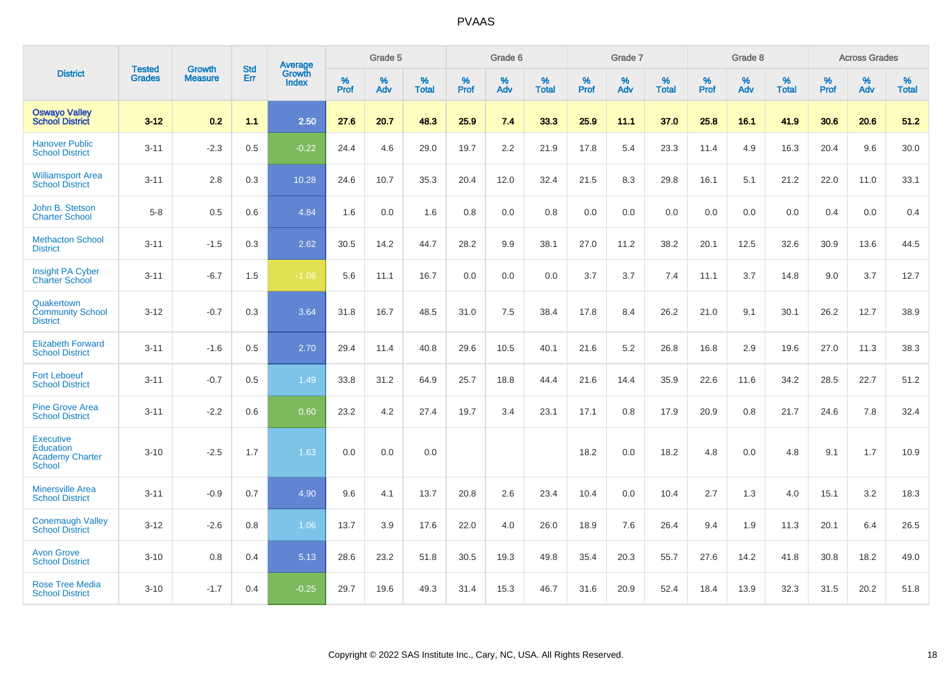|                                                                          |                                |                                 | <b>Std</b> | Average                       |           | Grade 5  |                   |           | Grade 6  |                   |           | Grade 7  |                   |           | Grade 8  |                   |           | <b>Across Grades</b> |                   |
|--------------------------------------------------------------------------|--------------------------------|---------------------------------|------------|-------------------------------|-----------|----------|-------------------|-----------|----------|-------------------|-----------|----------|-------------------|-----------|----------|-------------------|-----------|----------------------|-------------------|
| <b>District</b>                                                          | <b>Tested</b><br><b>Grades</b> | <b>Growth</b><br><b>Measure</b> | Err        | <b>Growth</b><br><b>Index</b> | %<br>Prof | %<br>Adv | %<br><b>Total</b> | %<br>Prof | %<br>Adv | %<br><b>Total</b> | %<br>Prof | %<br>Adv | %<br><b>Total</b> | %<br>Prof | %<br>Adv | %<br><b>Total</b> | %<br>Prof | %<br>Adv             | %<br><b>Total</b> |
| <b>Oswayo Valley</b><br><b>School District</b>                           | $3 - 12$                       | 0.2                             | 1.1        | 2.50                          | 27.6      | 20.7     | 48.3              | 25.9      | 7.4      | 33.3              | 25.9      | 11.1     | 37.0              | 25.8      | 16.1     | 41.9              | 30.6      | 20.6                 | 51.2              |
| <b>Hanover Public</b><br><b>School District</b>                          | $3 - 11$                       | $-2.3$                          | 0.5        | $-0.22$                       | 24.4      | 4.6      | 29.0              | 19.7      | 2.2      | 21.9              | 17.8      | 5.4      | 23.3              | 11.4      | 4.9      | 16.3              | 20.4      | 9.6                  | 30.0              |
| <b>Williamsport Area</b><br><b>School District</b>                       | $3 - 11$                       | 2.8                             | 0.3        | 10.28                         | 24.6      | 10.7     | 35.3              | 20.4      | 12.0     | 32.4              | 21.5      | 8.3      | 29.8              | 16.1      | 5.1      | 21.2              | 22.0      | 11.0                 | 33.1              |
| John B. Stetson<br><b>Charter School</b>                                 | $5 - 8$                        | 0.5                             | 0.6        | 4.84                          | 1.6       | 0.0      | 1.6               | 0.8       | 0.0      | 0.8               | 0.0       | 0.0      | 0.0               | 0.0       | 0.0      | 0.0               | 0.4       | 0.0                  | 0.4               |
| <b>Methacton School</b><br><b>District</b>                               | $3 - 11$                       | $-1.5$                          | 0.3        | 2.62                          | 30.5      | 14.2     | 44.7              | 28.2      | 9.9      | 38.1              | 27.0      | 11.2     | 38.2              | 20.1      | 12.5     | 32.6              | 30.9      | 13.6                 | 44.5              |
| <b>Insight PA Cyber</b><br><b>Charter School</b>                         | $3 - 11$                       | $-6.7$                          | 1.5        | $-1.06$                       | 5.6       | 11.1     | 16.7              | 0.0       | 0.0      | 0.0               | 3.7       | 3.7      | 7.4               | 11.1      | 3.7      | 14.8              | 9.0       | 3.7                  | 12.7              |
| Quakertown<br><b>Community School</b><br><b>District</b>                 | $3 - 12$                       | $-0.7$                          | 0.3        | 3.64                          | 31.8      | 16.7     | 48.5              | 31.0      | 7.5      | 38.4              | 17.8      | 8.4      | 26.2              | 21.0      | 9.1      | 30.1              | 26.2      | 12.7                 | 38.9              |
| <b>Elizabeth Forward</b><br><b>School District</b>                       | $3 - 11$                       | $-1.6$                          | 0.5        | 2.70                          | 29.4      | 11.4     | 40.8              | 29.6      | 10.5     | 40.1              | 21.6      | 5.2      | 26.8              | 16.8      | 2.9      | 19.6              | 27.0      | 11.3                 | 38.3              |
| <b>Fort Leboeuf</b><br><b>School District</b>                            | $3 - 11$                       | $-0.7$                          | 0.5        | 1.49                          | 33.8      | 31.2     | 64.9              | 25.7      | 18.8     | 44.4              | 21.6      | 14.4     | 35.9              | 22.6      | 11.6     | 34.2              | 28.5      | 22.7                 | 51.2              |
| <b>Pine Grove Area</b><br><b>School District</b>                         | $3 - 11$                       | $-2.2$                          | 0.6        | 0.60                          | 23.2      | 4.2      | 27.4              | 19.7      | 3.4      | 23.1              | 17.1      | 0.8      | 17.9              | 20.9      | 0.8      | 21.7              | 24.6      | 7.8                  | 32.4              |
| <b>Executive</b><br>Education<br><b>Academy Charter</b><br><b>School</b> | $3 - 10$                       | $-2.5$                          | 1.7        | 1.63                          | 0.0       | 0.0      | 0.0               |           |          |                   | 18.2      | 0.0      | 18.2              | 4.8       | 0.0      | 4.8               | 9.1       | 1.7                  | 10.9              |
| <b>Minersville Area</b><br><b>School District</b>                        | $3 - 11$                       | $-0.9$                          | 0.7        | 4.90                          | 9.6       | 4.1      | 13.7              | 20.8      | 2.6      | 23.4              | 10.4      | 0.0      | 10.4              | 2.7       | 1.3      | 4.0               | 15.1      | 3.2                  | 18.3              |
| <b>Conemaugh Valley</b><br><b>School District</b>                        | $3 - 12$                       | $-2.6$                          | 0.8        | 1.06                          | 13.7      | 3.9      | 17.6              | 22.0      | 4.0      | 26.0              | 18.9      | 7.6      | 26.4              | 9.4       | 1.9      | 11.3              | 20.1      | 6.4                  | 26.5              |
| <b>Avon Grove</b><br><b>School District</b>                              | $3 - 10$                       | 0.8                             | 0.4        | 5.13                          | 28.6      | 23.2     | 51.8              | 30.5      | 19.3     | 49.8              | 35.4      | 20.3     | 55.7              | 27.6      | 14.2     | 41.8              | 30.8      | 18.2                 | 49.0              |
| <b>Rose Tree Media</b><br><b>School District</b>                         | $3 - 10$                       | $-1.7$                          | 0.4        | $-0.25$                       | 29.7      | 19.6     | 49.3              | 31.4      | 15.3     | 46.7              | 31.6      | 20.9     | 52.4              | 18.4      | 13.9     | 32.3              | 31.5      | 20.2                 | 51.8              |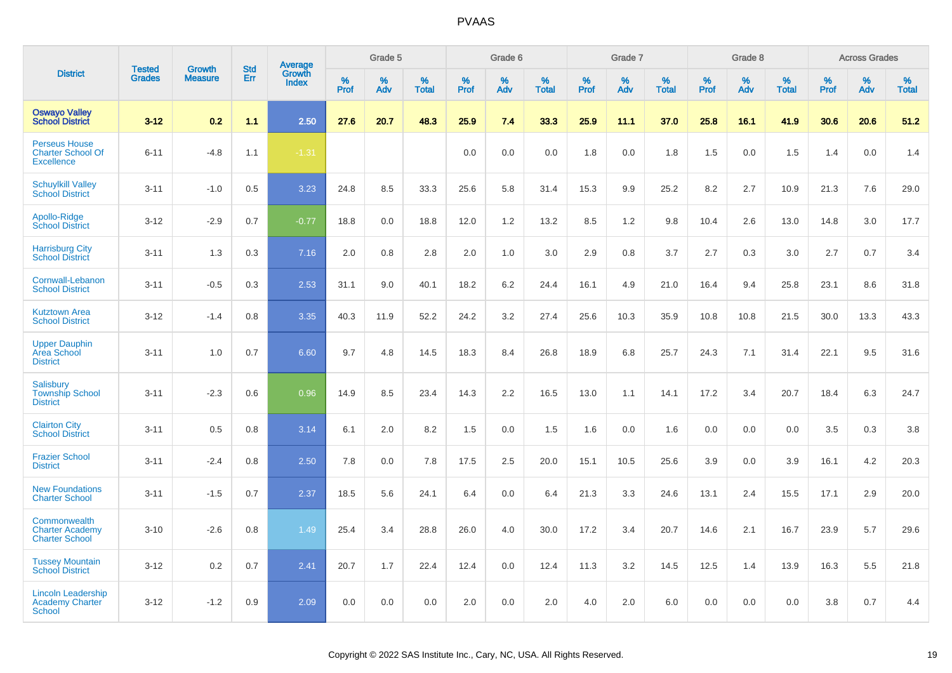|                                                                       |                                | <b>Growth</b>  | <b>Std</b> | <b>Average</b>         |                     | Grade 5  |                   |                  | Grade 6  |                   |                  | Grade 7  |                   |           | Grade 8  |                   |           | <b>Across Grades</b> |                   |
|-----------------------------------------------------------------------|--------------------------------|----------------|------------|------------------------|---------------------|----------|-------------------|------------------|----------|-------------------|------------------|----------|-------------------|-----------|----------|-------------------|-----------|----------------------|-------------------|
| <b>District</b>                                                       | <b>Tested</b><br><b>Grades</b> | <b>Measure</b> | Err        | Growth<br><b>Index</b> | $\%$<br><b>Prof</b> | %<br>Adv | %<br><b>Total</b> | %<br><b>Prof</b> | %<br>Adv | %<br><b>Total</b> | %<br><b>Prof</b> | %<br>Adv | %<br><b>Total</b> | %<br>Prof | %<br>Adv | %<br><b>Total</b> | %<br>Prof | %<br>Adv             | %<br><b>Total</b> |
| <b>Oswayo Valley</b><br><b>School District</b>                        | $3 - 12$                       | 0.2            | 1.1        | 2.50                   | 27.6                | 20.7     | 48.3              | 25.9             | 7.4      | 33.3              | 25.9             | 11.1     | 37.0              | 25.8      | 16.1     | 41.9              | 30.6      | 20.6                 | 51.2              |
| <b>Perseus House</b><br><b>Charter School Of</b><br><b>Excellence</b> | $6 - 11$                       | $-4.8$         | 1.1        | $-1.31$                |                     |          |                   | 0.0              | 0.0      | 0.0               | 1.8              | 0.0      | 1.8               | 1.5       | 0.0      | 1.5               | 1.4       | 0.0                  | 1.4               |
| <b>Schuylkill Valley</b><br><b>School District</b>                    | $3 - 11$                       | $-1.0$         | 0.5        | 3.23                   | 24.8                | 8.5      | 33.3              | 25.6             | 5.8      | 31.4              | 15.3             | 9.9      | 25.2              | 8.2       | 2.7      | 10.9              | 21.3      | 7.6                  | 29.0              |
| Apollo-Ridge<br><b>School District</b>                                | $3 - 12$                       | $-2.9$         | 0.7        | $-0.77$                | 18.8                | 0.0      | 18.8              | 12.0             | 1.2      | 13.2              | 8.5              | 1.2      | 9.8               | 10.4      | 2.6      | 13.0              | 14.8      | 3.0                  | 17.7              |
| <b>Harrisburg City</b><br><b>School District</b>                      | $3 - 11$                       | 1.3            | 0.3        | 7.16                   | 2.0                 | 0.8      | 2.8               | 2.0              | 1.0      | 3.0               | 2.9              | 0.8      | 3.7               | 2.7       | 0.3      | 3.0               | 2.7       | 0.7                  | 3.4               |
| Cornwall-Lebanon<br><b>School District</b>                            | $3 - 11$                       | $-0.5$         | 0.3        | 2.53                   | 31.1                | 9.0      | 40.1              | 18.2             | 6.2      | 24.4              | 16.1             | 4.9      | 21.0              | 16.4      | 9.4      | 25.8              | 23.1      | 8.6                  | 31.8              |
| <b>Kutztown Area</b><br><b>School District</b>                        | $3 - 12$                       | $-1.4$         | 0.8        | 3.35                   | 40.3                | 11.9     | 52.2              | 24.2             | 3.2      | 27.4              | 25.6             | 10.3     | 35.9              | 10.8      | 10.8     | 21.5              | 30.0      | 13.3                 | 43.3              |
| <b>Upper Dauphin</b><br>Area School<br><b>District</b>                | $3 - 11$                       | 1.0            | 0.7        | 6.60                   | 9.7                 | 4.8      | 14.5              | 18.3             | 8.4      | 26.8              | 18.9             | 6.8      | 25.7              | 24.3      | 7.1      | 31.4              | 22.1      | 9.5                  | 31.6              |
| Salisbury<br><b>Township School</b><br><b>District</b>                | $3 - 11$                       | $-2.3$         | 0.6        | 0.96                   | 14.9                | 8.5      | 23.4              | 14.3             | 2.2      | 16.5              | 13.0             | 1.1      | 14.1              | 17.2      | 3.4      | 20.7              | 18.4      | 6.3                  | 24.7              |
| <b>Clairton City</b><br><b>School District</b>                        | $3 - 11$                       | 0.5            | 0.8        | 3.14                   | 6.1                 | 2.0      | 8.2               | 1.5              | 0.0      | 1.5               | 1.6              | 0.0      | 1.6               | 0.0       | 0.0      | 0.0               | 3.5       | 0.3                  | 3.8               |
| <b>Frazier School</b><br><b>District</b>                              | $3 - 11$                       | $-2.4$         | 0.8        | 2.50                   | 7.8                 | 0.0      | 7.8               | 17.5             | 2.5      | 20.0              | 15.1             | 10.5     | 25.6              | 3.9       | 0.0      | 3.9               | 16.1      | 4.2                  | 20.3              |
| <b>New Foundations</b><br><b>Charter School</b>                       | $3 - 11$                       | $-1.5$         | 0.7        | 2.37                   | 18.5                | 5.6      | 24.1              | 6.4              | 0.0      | 6.4               | 21.3             | 3.3      | 24.6              | 13.1      | 2.4      | 15.5              | 17.1      | 2.9                  | 20.0              |
| Commonwealth<br><b>Charter Academy</b><br><b>Charter School</b>       | $3 - 10$                       | $-2.6$         | 0.8        | 1.49                   | 25.4                | 3.4      | 28.8              | 26.0             | 4.0      | 30.0              | 17.2             | 3.4      | 20.7              | 14.6      | 2.1      | 16.7              | 23.9      | 5.7                  | 29.6              |
| <b>Tussey Mountain</b><br><b>School District</b>                      | $3 - 12$                       | 0.2            | 0.7        | 2.41                   | 20.7                | 1.7      | 22.4              | 12.4             | 0.0      | 12.4              | 11.3             | 3.2      | 14.5              | 12.5      | 1.4      | 13.9              | 16.3      | 5.5                  | 21.8              |
| <b>Lincoln Leadership</b><br><b>Academy Charter</b><br><b>School</b>  | $3 - 12$                       | $-1.2$         | 0.9        | 2.09                   | 0.0                 | 0.0      | 0.0               | 2.0              | 0.0      | 2.0               | 4.0              | 2.0      | 6.0               | 0.0       | 0.0      | 0.0               | 3.8       | 0.7                  | 4.4               |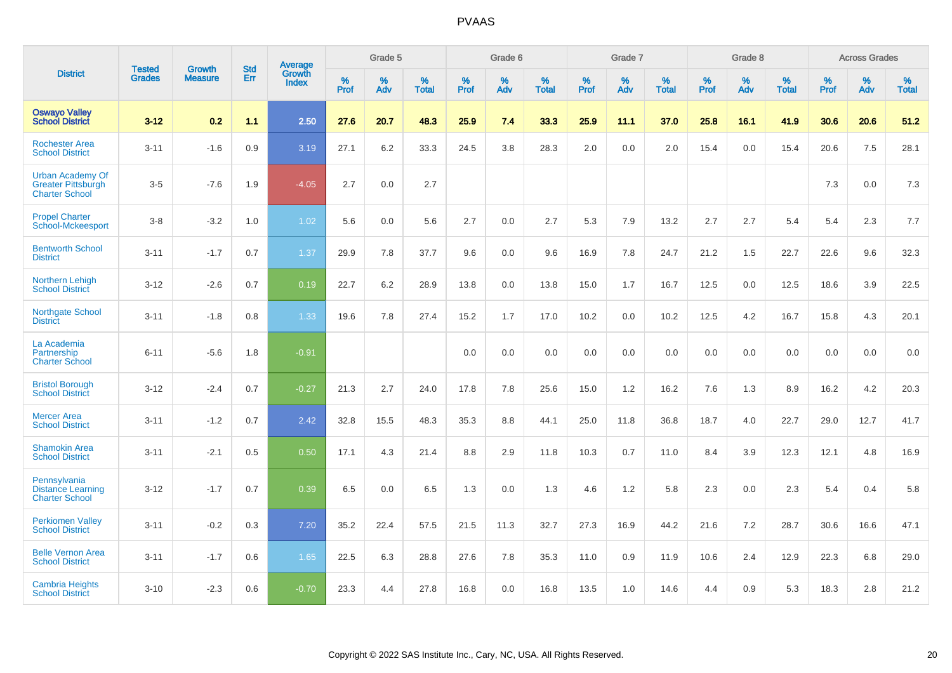|                                                                               | <b>Tested</b> | <b>Growth</b>  | <b>Std</b> | <b>Average</b>         |           | Grade 5  |                   |           | Grade 6  |                   |           | Grade 7  |                   |           | Grade 8  |                   |              | <b>Across Grades</b> |                   |
|-------------------------------------------------------------------------------|---------------|----------------|------------|------------------------|-----------|----------|-------------------|-----------|----------|-------------------|-----------|----------|-------------------|-----------|----------|-------------------|--------------|----------------------|-------------------|
| <b>District</b>                                                               | <b>Grades</b> | <b>Measure</b> | Err        | Growth<br><b>Index</b> | %<br>Prof | %<br>Adv | %<br><b>Total</b> | %<br>Prof | %<br>Adv | %<br><b>Total</b> | %<br>Prof | %<br>Adv | %<br><b>Total</b> | %<br>Prof | %<br>Adv | %<br><b>Total</b> | $\%$<br>Prof | %<br>Adv             | %<br><b>Total</b> |
| <b>Oswayo Valley</b><br><b>School District</b>                                | $3 - 12$      | 0.2            | 1.1        | 2.50                   | 27.6      | 20.7     | 48.3              | 25.9      | 7.4      | 33.3              | 25.9      | 11.1     | 37.0              | 25.8      | 16.1     | 41.9              | 30.6         | 20.6                 | 51.2              |
| <b>Rochester Area</b><br><b>School District</b>                               | $3 - 11$      | $-1.6$         | 0.9        | 3.19                   | 27.1      | $6.2\,$  | 33.3              | 24.5      | 3.8      | 28.3              | 2.0       | 0.0      | 2.0               | 15.4      | 0.0      | 15.4              | 20.6         | 7.5                  | 28.1              |
| <b>Urban Academy Of</b><br><b>Greater Pittsburgh</b><br><b>Charter School</b> | $3-5$         | $-7.6$         | 1.9        | $-4.05$                | 2.7       | 0.0      | 2.7               |           |          |                   |           |          |                   |           |          |                   | 7.3          | 0.0                  | $7.3$             |
| <b>Propel Charter</b><br>School-Mckeesport                                    | $3-8$         | $-3.2$         | 1.0        | 1.02                   | 5.6       | 0.0      | 5.6               | 2.7       | 0.0      | 2.7               | 5.3       | 7.9      | 13.2              | 2.7       | 2.7      | 5.4               | 5.4          | 2.3                  | 7.7               |
| <b>Bentworth School</b><br><b>District</b>                                    | $3 - 11$      | $-1.7$         | 0.7        | 1.37                   | 29.9      | 7.8      | 37.7              | 9.6       | 0.0      | 9.6               | 16.9      | 7.8      | 24.7              | 21.2      | 1.5      | 22.7              | 22.6         | 9.6                  | 32.3              |
| <b>Northern Lehigh</b><br><b>School District</b>                              | $3 - 12$      | $-2.6$         | 0.7        | 0.19                   | 22.7      | 6.2      | 28.9              | 13.8      | 0.0      | 13.8              | 15.0      | 1.7      | 16.7              | 12.5      | 0.0      | 12.5              | 18.6         | 3.9                  | 22.5              |
| <b>Northgate School</b><br><b>District</b>                                    | $3 - 11$      | $-1.8$         | 0.8        | 1.33                   | 19.6      | 7.8      | 27.4              | 15.2      | 1.7      | 17.0              | 10.2      | 0.0      | 10.2              | 12.5      | 4.2      | 16.7              | 15.8         | 4.3                  | 20.1              |
| La Academia<br>Partnership<br><b>Charter School</b>                           | $6 - 11$      | $-5.6$         | 1.8        | $-0.91$                |           |          |                   | 0.0       | 0.0      | 0.0               | 0.0       | 0.0      | 0.0               | 0.0       | 0.0      | 0.0               | 0.0          | 0.0                  | 0.0               |
| <b>Bristol Borough</b><br><b>School District</b>                              | $3 - 12$      | $-2.4$         | 0.7        | $-0.27$                | 21.3      | 2.7      | 24.0              | 17.8      | 7.8      | 25.6              | 15.0      | 1.2      | 16.2              | 7.6       | 1.3      | 8.9               | 16.2         | 4.2                  | 20.3              |
| <b>Mercer Area</b><br><b>School District</b>                                  | $3 - 11$      | $-1.2$         | 0.7        | 2.42                   | 32.8      | 15.5     | 48.3              | 35.3      | 8.8      | 44.1              | 25.0      | 11.8     | 36.8              | 18.7      | 4.0      | 22.7              | 29.0         | 12.7                 | 41.7              |
| <b>Shamokin Area</b><br><b>School District</b>                                | $3 - 11$      | $-2.1$         | 0.5        | 0.50                   | 17.1      | 4.3      | 21.4              | 8.8       | 2.9      | 11.8              | 10.3      | 0.7      | 11.0              | 8.4       | 3.9      | 12.3              | 12.1         | 4.8                  | 16.9              |
| Pennsylvania<br><b>Distance Learning</b><br><b>Charter School</b>             | $3 - 12$      | $-1.7$         | 0.7        | 0.39                   | 6.5       | 0.0      | 6.5               | 1.3       | 0.0      | 1.3               | 4.6       | 1.2      | 5.8               | 2.3       | 0.0      | 2.3               | 5.4          | 0.4                  | 5.8               |
| <b>Perkiomen Valley</b><br><b>School District</b>                             | $3 - 11$      | $-0.2$         | 0.3        | 7.20                   | 35.2      | 22.4     | 57.5              | 21.5      | 11.3     | 32.7              | 27.3      | 16.9     | 44.2              | 21.6      | 7.2      | 28.7              | 30.6         | 16.6                 | 47.1              |
| <b>Belle Vernon Area</b><br><b>School District</b>                            | $3 - 11$      | $-1.7$         | 0.6        | 1.65                   | 22.5      | 6.3      | 28.8              | 27.6      | 7.8      | 35.3              | 11.0      | 0.9      | 11.9              | 10.6      | 2.4      | 12.9              | 22.3         | 6.8                  | 29.0              |
| <b>Cambria Heights</b><br><b>School District</b>                              | $3 - 10$      | $-2.3$         | 0.6        | $-0.70$                | 23.3      | 4.4      | 27.8              | 16.8      | 0.0      | 16.8              | 13.5      | 1.0      | 14.6              | 4.4       | 0.9      | 5.3               | 18.3         | 2.8                  | 21.2              |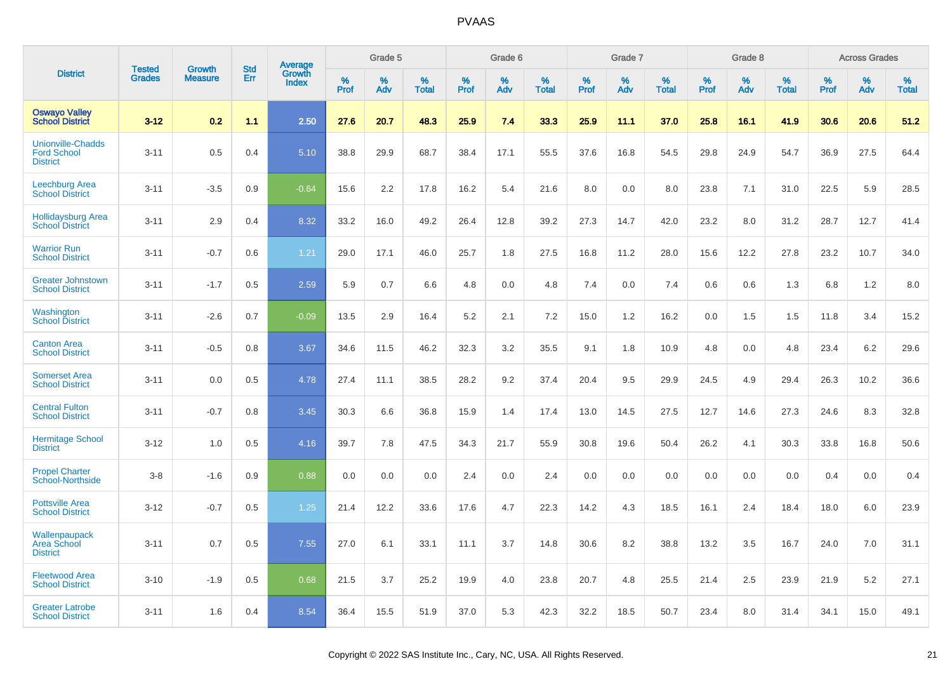|                                                                   | <b>Tested</b> |                                 | <b>Std</b> | Average                |              | Grade 5  |                   |              | Grade 6  |                   |              | Grade 7  |                   |              | Grade 8  |                   |              | <b>Across Grades</b> |                   |
|-------------------------------------------------------------------|---------------|---------------------------------|------------|------------------------|--------------|----------|-------------------|--------------|----------|-------------------|--------------|----------|-------------------|--------------|----------|-------------------|--------------|----------------------|-------------------|
| <b>District</b>                                                   | <b>Grades</b> | <b>Growth</b><br><b>Measure</b> | Err        | Growth<br><b>Index</b> | $\%$<br>Prof | %<br>Adv | %<br><b>Total</b> | $\%$<br>Prof | %<br>Adv | %<br><b>Total</b> | $\%$<br>Prof | %<br>Adv | %<br><b>Total</b> | $\%$<br>Prof | %<br>Adv | %<br><b>Total</b> | $\%$<br>Prof | %<br>Adv             | %<br><b>Total</b> |
| <b>Oswayo Valley</b><br><b>School District</b>                    | $3 - 12$      | 0.2                             | 1.1        | 2.50                   | 27.6         | 20.7     | 48.3              | 25.9         | 7.4      | 33.3              | 25.9         | 11.1     | 37.0              | 25.8         | 16.1     | 41.9              | 30.6         | 20.6                 | 51.2              |
| <b>Unionville-Chadds</b><br><b>Ford School</b><br><b>District</b> | $3 - 11$      | 0.5                             | 0.4        | 5.10                   | 38.8         | 29.9     | 68.7              | 38.4         | 17.1     | 55.5              | 37.6         | 16.8     | 54.5              | 29.8         | 24.9     | 54.7              | 36.9         | 27.5                 | 64.4              |
| <b>Leechburg Area</b><br><b>School District</b>                   | $3 - 11$      | $-3.5$                          | 0.9        | $-0.64$                | 15.6         | 2.2      | 17.8              | 16.2         | 5.4      | 21.6              | 8.0          | 0.0      | 8.0               | 23.8         | 7.1      | 31.0              | 22.5         | 5.9                  | 28.5              |
| <b>Hollidaysburg Area</b><br><b>School District</b>               | $3 - 11$      | 2.9                             | 0.4        | 8.32                   | 33.2         | 16.0     | 49.2              | 26.4         | 12.8     | 39.2              | 27.3         | 14.7     | 42.0              | 23.2         | 8.0      | 31.2              | 28.7         | 12.7                 | 41.4              |
| <b>Warrior Run</b><br><b>School District</b>                      | $3 - 11$      | $-0.7$                          | 0.6        | 1.21                   | 29.0         | 17.1     | 46.0              | 25.7         | 1.8      | 27.5              | 16.8         | 11.2     | 28.0              | 15.6         | 12.2     | 27.8              | 23.2         | 10.7                 | 34.0              |
| <b>Greater Johnstown</b><br><b>School District</b>                | $3 - 11$      | $-1.7$                          | 0.5        | 2.59                   | 5.9          | 0.7      | 6.6               | 4.8          | 0.0      | 4.8               | 7.4          | 0.0      | 7.4               | 0.6          | 0.6      | 1.3               | 6.8          | 1.2                  | 8.0               |
| Washington<br><b>School District</b>                              | $3 - 11$      | $-2.6$                          | 0.7        | $-0.09$                | 13.5         | 2.9      | 16.4              | 5.2          | 2.1      | 7.2               | 15.0         | 1.2      | 16.2              | 0.0          | 1.5      | 1.5               | 11.8         | 3.4                  | 15.2              |
| <b>Canton Area</b><br><b>School District</b>                      | $3 - 11$      | $-0.5$                          | 0.8        | 3.67                   | 34.6         | 11.5     | 46.2              | 32.3         | 3.2      | 35.5              | 9.1          | 1.8      | 10.9              | 4.8          | 0.0      | 4.8               | 23.4         | 6.2                  | 29.6              |
| <b>Somerset Area</b><br><b>School District</b>                    | $3 - 11$      | 0.0                             | 0.5        | 4.78                   | 27.4         | 11.1     | 38.5              | 28.2         | 9.2      | 37.4              | 20.4         | 9.5      | 29.9              | 24.5         | 4.9      | 29.4              | 26.3         | 10.2                 | 36.6              |
| <b>Central Fulton</b><br><b>School District</b>                   | $3 - 11$      | $-0.7$                          | 0.8        | 3.45                   | 30.3         | 6.6      | 36.8              | 15.9         | 1.4      | 17.4              | 13.0         | 14.5     | 27.5              | 12.7         | 14.6     | 27.3              | 24.6         | 8.3                  | 32.8              |
| <b>Hermitage School</b><br><b>District</b>                        | $3 - 12$      | 1.0                             | 0.5        | 4.16                   | 39.7         | 7.8      | 47.5              | 34.3         | 21.7     | 55.9              | 30.8         | 19.6     | 50.4              | 26.2         | 4.1      | 30.3              | 33.8         | 16.8                 | 50.6              |
| <b>Propel Charter</b><br><b>School-Northside</b>                  | $3 - 8$       | $-1.6$                          | 0.9        | 0.88                   | 0.0          | 0.0      | 0.0               | 2.4          | 0.0      | 2.4               | 0.0          | 0.0      | 0.0               | 0.0          | 0.0      | 0.0               | 0.4          | 0.0                  | 0.4               |
| <b>Pottsville Area</b><br><b>School District</b>                  | $3 - 12$      | $-0.7$                          | 0.5        | 1.25                   | 21.4         | 12.2     | 33.6              | 17.6         | 4.7      | 22.3              | 14.2         | 4.3      | 18.5              | 16.1         | 2.4      | 18.4              | 18.0         | 6.0                  | 23.9              |
| Wallenpaupack<br><b>Area School</b><br><b>District</b>            | $3 - 11$      | 0.7                             | 0.5        | 7.55                   | 27.0         | 6.1      | 33.1              | 11.1         | 3.7      | 14.8              | 30.6         | 8.2      | 38.8              | 13.2         | 3.5      | 16.7              | 24.0         | 7.0                  | 31.1              |
| <b>Fleetwood Area</b><br><b>School District</b>                   | $3 - 10$      | $-1.9$                          | 0.5        | 0.68                   | 21.5         | 3.7      | 25.2              | 19.9         | 4.0      | 23.8              | 20.7         | 4.8      | 25.5              | 21.4         | 2.5      | 23.9              | 21.9         | 5.2                  | 27.1              |
| <b>Greater Latrobe</b><br><b>School District</b>                  | $3 - 11$      | 1.6                             | 0.4        | 8.54                   | 36.4         | 15.5     | 51.9              | 37.0         | 5.3      | 42.3              | 32.2         | 18.5     | 50.7              | 23.4         | 8.0      | 31.4              | 34.1         | 15.0                 | 49.1              |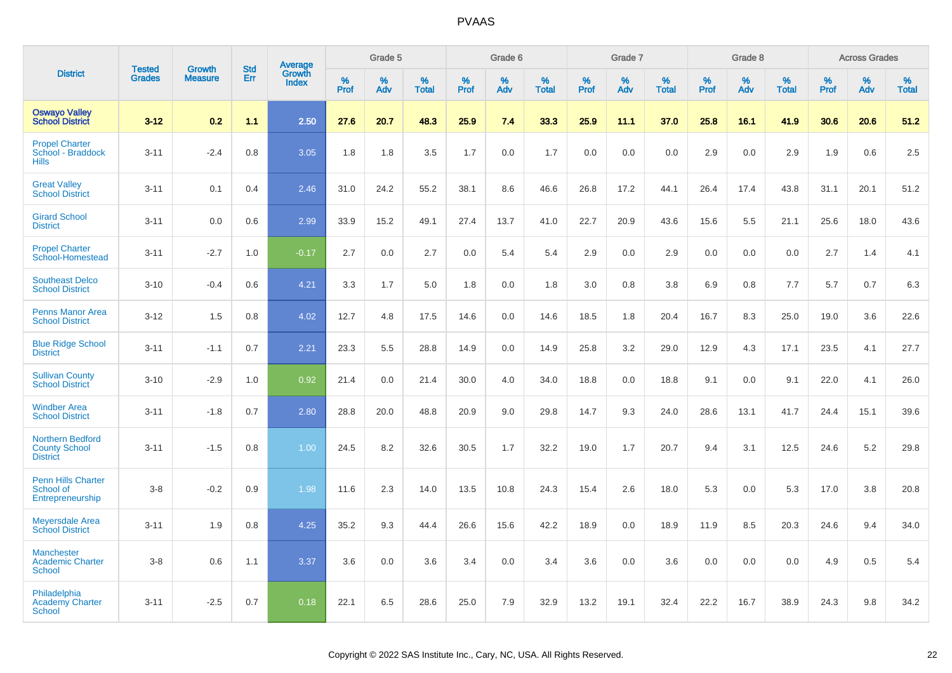|                                                                    |                                |                                 | <b>Std</b> | Average                |                  | Grade 5  |                   |                  | Grade 6  |                   |                  | Grade 7  |                   |           | Grade 8  |                   |                  | <b>Across Grades</b> |                   |
|--------------------------------------------------------------------|--------------------------------|---------------------------------|------------|------------------------|------------------|----------|-------------------|------------------|----------|-------------------|------------------|----------|-------------------|-----------|----------|-------------------|------------------|----------------------|-------------------|
| <b>District</b>                                                    | <b>Tested</b><br><b>Grades</b> | <b>Growth</b><br><b>Measure</b> | Err        | Growth<br><b>Index</b> | %<br><b>Prof</b> | %<br>Adv | %<br><b>Total</b> | %<br><b>Prof</b> | %<br>Adv | %<br><b>Total</b> | %<br><b>Prof</b> | %<br>Adv | %<br><b>Total</b> | %<br>Prof | %<br>Adv | %<br><b>Total</b> | %<br><b>Prof</b> | %<br>Adv             | %<br><b>Total</b> |
| <b>Oswayo Valley</b><br><b>School District</b>                     | $3-12$                         | 0.2                             | 1.1        | 2.50                   | 27.6             | 20.7     | 48.3              | 25.9             | 7.4      | 33.3              | 25.9             | 11.1     | 37.0              | 25.8      | 16.1     | 41.9              | 30.6             | 20.6                 | 51.2              |
| <b>Propel Charter</b><br>School - Braddock<br><b>Hills</b>         | $3 - 11$                       | $-2.4$                          | 0.8        | 3.05                   | 1.8              | 1.8      | 3.5               | 1.7              | 0.0      | 1.7               | 0.0              | 0.0      | 0.0               | 2.9       | 0.0      | 2.9               | 1.9              | 0.6                  | 2.5               |
| <b>Great Valley</b><br><b>School District</b>                      | $3 - 11$                       | 0.1                             | 0.4        | 2.46                   | 31.0             | 24.2     | 55.2              | 38.1             | 8.6      | 46.6              | 26.8             | 17.2     | 44.1              | 26.4      | 17.4     | 43.8              | 31.1             | 20.1                 | 51.2              |
| <b>Girard School</b><br><b>District</b>                            | $3 - 11$                       | 0.0                             | 0.6        | 2.99                   | 33.9             | 15.2     | 49.1              | 27.4             | 13.7     | 41.0              | 22.7             | 20.9     | 43.6              | 15.6      | 5.5      | 21.1              | 25.6             | 18.0                 | 43.6              |
| <b>Propel Charter</b><br>School-Homestead                          | $3 - 11$                       | $-2.7$                          | 1.0        | $-0.17$                | 2.7              | 0.0      | 2.7               | 0.0              | 5.4      | 5.4               | 2.9              | 0.0      | 2.9               | 0.0       | 0.0      | 0.0               | 2.7              | 1.4                  | 4.1               |
| <b>Southeast Delco</b><br><b>School District</b>                   | $3 - 10$                       | $-0.4$                          | 0.6        | 4.21                   | 3.3              | 1.7      | 5.0               | 1.8              | 0.0      | 1.8               | 3.0              | 0.8      | 3.8               | 6.9       | 0.8      | 7.7               | 5.7              | 0.7                  | 6.3               |
| <b>Penns Manor Area</b><br><b>School District</b>                  | $3 - 12$                       | 1.5                             | 0.8        | 4.02                   | 12.7             | 4.8      | 17.5              | 14.6             | 0.0      | 14.6              | 18.5             | 1.8      | 20.4              | 16.7      | 8.3      | 25.0              | 19.0             | 3.6                  | 22.6              |
| <b>Blue Ridge School</b><br><b>District</b>                        | $3 - 11$                       | $-1.1$                          | 0.7        | 2.21                   | 23.3             | 5.5      | 28.8              | 14.9             | 0.0      | 14.9              | 25.8             | 3.2      | 29.0              | 12.9      | 4.3      | 17.1              | 23.5             | 4.1                  | 27.7              |
| <b>Sullivan County</b><br><b>School District</b>                   | $3 - 10$                       | $-2.9$                          | 1.0        | 0.92                   | 21.4             | 0.0      | 21.4              | 30.0             | 4.0      | 34.0              | 18.8             | 0.0      | 18.8              | 9.1       | 0.0      | 9.1               | 22.0             | 4.1                  | 26.0              |
| <b>Windber Area</b><br><b>School District</b>                      | $3 - 11$                       | $-1.8$                          | 0.7        | 2.80                   | 28.8             | 20.0     | 48.8              | 20.9             | 9.0      | 29.8              | 14.7             | 9.3      | 24.0              | 28.6      | 13.1     | 41.7              | 24.4             | 15.1                 | 39.6              |
| <b>Northern Bedford</b><br><b>County School</b><br><b>District</b> | $3 - 11$                       | $-1.5$                          | 0.8        | 1.00                   | 24.5             | 8.2      | 32.6              | 30.5             | 1.7      | 32.2              | 19.0             | 1.7      | 20.7              | 9.4       | 3.1      | 12.5              | 24.6             | 5.2                  | 29.8              |
| <b>Penn Hills Charter</b><br>School of<br>Entrepreneurship         | $3-8$                          | $-0.2$                          | 0.9        | 1.98                   | 11.6             | 2.3      | 14.0              | 13.5             | 10.8     | 24.3              | 15.4             | 2.6      | 18.0              | 5.3       | 0.0      | 5.3               | 17.0             | 3.8                  | 20.8              |
| <b>Meyersdale Area</b><br><b>School District</b>                   | $3 - 11$                       | 1.9                             | 0.8        | 4.25                   | 35.2             | 9.3      | 44.4              | 26.6             | 15.6     | 42.2              | 18.9             | 0.0      | 18.9              | 11.9      | 8.5      | 20.3              | 24.6             | 9.4                  | 34.0              |
| <b>Manchester</b><br><b>Academic Charter</b><br><b>School</b>      | $3-8$                          | 0.6                             | 1.1        | 3.37                   | 3.6              | 0.0      | 3.6               | 3.4              | 0.0      | 3.4               | 3.6              | 0.0      | 3.6               | 0.0       | 0.0      | 0.0               | 4.9              | 0.5                  | 5.4               |
| Philadelphia<br><b>Academy Charter</b><br><b>School</b>            | $3 - 11$                       | $-2.5$                          | 0.7        | 0.18                   | 22.1             | 6.5      | 28.6              | 25.0             | 7.9      | 32.9              | 13.2             | 19.1     | 32.4              | 22.2      | 16.7     | 38.9              | 24.3             | 9.8                  | 34.2              |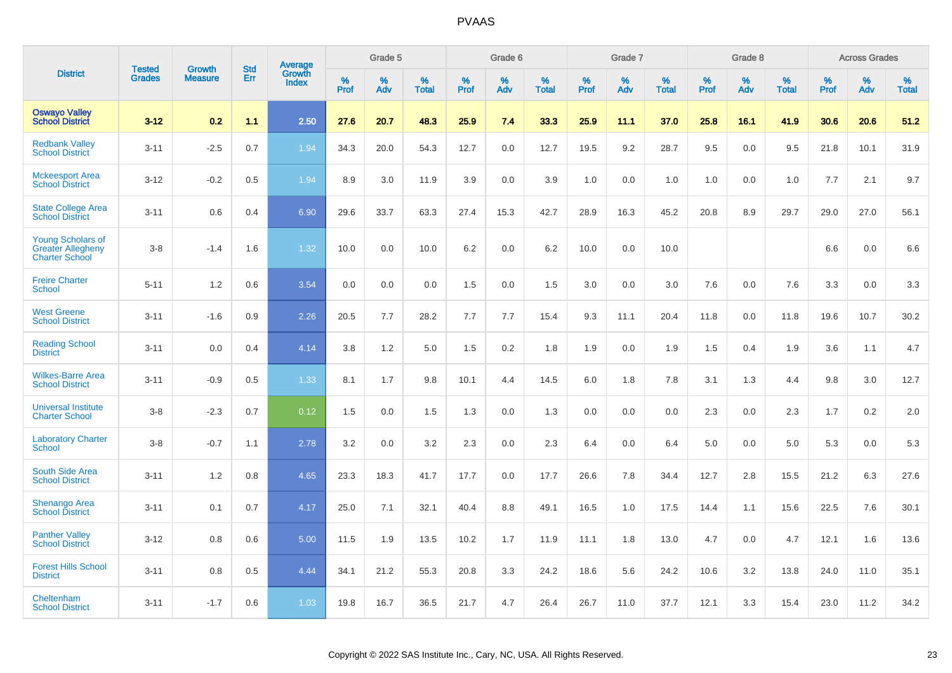|                                                                               |                                |                                 | <b>Std</b> | Average                |           | Grade 5  |                      |           | Grade 6  |                   |           | Grade 7  |                      |           | Grade 8  |                   |           | <b>Across Grades</b> |                   |
|-------------------------------------------------------------------------------|--------------------------------|---------------------------------|------------|------------------------|-----------|----------|----------------------|-----------|----------|-------------------|-----------|----------|----------------------|-----------|----------|-------------------|-----------|----------------------|-------------------|
| <b>District</b>                                                               | <b>Tested</b><br><b>Grades</b> | <b>Growth</b><br><b>Measure</b> | Err        | Growth<br><b>Index</b> | %<br>Prof | %<br>Adv | $\%$<br><b>Total</b> | %<br>Prof | %<br>Adv | %<br><b>Total</b> | %<br>Prof | %<br>Adv | $\%$<br><b>Total</b> | %<br>Prof | %<br>Adv | %<br><b>Total</b> | %<br>Prof | %<br>Adv             | %<br><b>Total</b> |
| <b>Oswayo Valley</b><br><b>School District</b>                                | $3 - 12$                       | 0.2                             | 1.1        | 2.50                   | 27.6      | 20.7     | 48.3                 | 25.9      | 7.4      | 33.3              | 25.9      | 11.1     | 37.0                 | 25.8      | 16.1     | 41.9              | 30.6      | 20.6                 | 51.2              |
| <b>Redbank Valley</b><br><b>School District</b>                               | $3 - 11$                       | $-2.5$                          | 0.7        | 1.94                   | 34.3      | 20.0     | 54.3                 | 12.7      | 0.0      | 12.7              | 19.5      | 9.2      | 28.7                 | 9.5       | 0.0      | 9.5               | 21.8      | 10.1                 | 31.9              |
| <b>Mckeesport Area</b><br><b>School District</b>                              | $3 - 12$                       | $-0.2$                          | 0.5        | 1.94                   | 8.9       | 3.0      | 11.9                 | 3.9       | 0.0      | 3.9               | 1.0       | 0.0      | 1.0                  | 1.0       | 0.0      | 1.0               | 7.7       | 2.1                  | 9.7               |
| <b>State College Area</b><br><b>School District</b>                           | $3 - 11$                       | 0.6                             | 0.4        | 6.90                   | 29.6      | 33.7     | 63.3                 | 27.4      | 15.3     | 42.7              | 28.9      | 16.3     | 45.2                 | 20.8      | 8.9      | 29.7              | 29.0      | 27.0                 | 56.1              |
| <b>Young Scholars of</b><br><b>Greater Allegheny</b><br><b>Charter School</b> | $3 - 8$                        | $-1.4$                          | 1.6        | 1.32                   | 10.0      | 0.0      | 10.0                 | 6.2       | 0.0      | 6.2               | 10.0      | 0.0      | 10.0                 |           |          |                   | 6.6       | 0.0                  | 6.6               |
| <b>Freire Charter</b><br><b>School</b>                                        | $5 - 11$                       | 1.2                             | 0.6        | 3.54                   | 0.0       | 0.0      | 0.0                  | 1.5       | 0.0      | 1.5               | 3.0       | 0.0      | 3.0                  | 7.6       | 0.0      | 7.6               | 3.3       | 0.0                  | 3.3               |
| <b>West Greene</b><br><b>School District</b>                                  | $3 - 11$                       | $-1.6$                          | 0.9        | 2.26                   | 20.5      | 7.7      | 28.2                 | 7.7       | 7.7      | 15.4              | 9.3       | 11.1     | 20.4                 | 11.8      | 0.0      | 11.8              | 19.6      | 10.7                 | 30.2              |
| <b>Reading School</b><br><b>District</b>                                      | $3 - 11$                       | 0.0                             | 0.4        | 4.14                   | 3.8       | 1.2      | 5.0                  | 1.5       | 0.2      | 1.8               | 1.9       | 0.0      | 1.9                  | 1.5       | 0.4      | 1.9               | 3.6       | 1.1                  | 4.7               |
| <b>Wilkes-Barre Area</b><br><b>School District</b>                            | $3 - 11$                       | $-0.9$                          | 0.5        | 1.33                   | 8.1       | 1.7      | 9.8                  | 10.1      | 4.4      | 14.5              | 6.0       | 1.8      | 7.8                  | 3.1       | 1.3      | 4.4               | 9.8       | 3.0                  | 12.7              |
| <b>Universal Institute</b><br><b>Charter School</b>                           | $3 - 8$                        | $-2.3$                          | 0.7        | 0.12                   | 1.5       | 0.0      | 1.5                  | 1.3       | 0.0      | 1.3               | 0.0       | 0.0      | 0.0                  | 2.3       | 0.0      | 2.3               | 1.7       | 0.2                  | 2.0               |
| <b>Laboratory Charter</b><br><b>School</b>                                    | $3 - 8$                        | $-0.7$                          | 1.1        | 2.78                   | 3.2       | 0.0      | 3.2                  | 2.3       | 0.0      | 2.3               | 6.4       | 0.0      | 6.4                  | 5.0       | 0.0      | 5.0               | 5.3       | 0.0                  | 5.3               |
| <b>South Side Area</b><br><b>School District</b>                              | $3 - 11$                       | 1.2                             | 0.8        | 4.65                   | 23.3      | 18.3     | 41.7                 | 17.7      | 0.0      | 17.7              | 26.6      | 7.8      | 34.4                 | 12.7      | 2.8      | 15.5              | 21.2      | 6.3                  | 27.6              |
| <b>Shenango Area</b><br><b>School District</b>                                | $3 - 11$                       | 0.1                             | 0.7        | 4.17                   | 25.0      | 7.1      | 32.1                 | 40.4      | 8.8      | 49.1              | 16.5      | 1.0      | 17.5                 | 14.4      | 1.1      | 15.6              | 22.5      | 7.6                  | 30.1              |
| <b>Panther Valley</b><br><b>School District</b>                               | $3 - 12$                       | 0.8                             | 0.6        | 5.00                   | 11.5      | 1.9      | 13.5                 | 10.2      | 1.7      | 11.9              | 11.1      | 1.8      | 13.0                 | 4.7       | 0.0      | 4.7               | 12.1      | 1.6                  | 13.6              |
| <b>Forest Hills School</b><br><b>District</b>                                 | $3 - 11$                       | 0.8                             | 0.5        | 4.44                   | 34.1      | 21.2     | 55.3                 | 20.8      | 3.3      | 24.2              | 18.6      | 5.6      | 24.2                 | 10.6      | 3.2      | 13.8              | 24.0      | 11.0                 | 35.1              |
| Cheltenham<br><b>School District</b>                                          | $3 - 11$                       | $-1.7$                          | 0.6        | 1.03                   | 19.8      | 16.7     | 36.5                 | 21.7      | 4.7      | 26.4              | 26.7      | 11.0     | 37.7                 | 12.1      | 3.3      | 15.4              | 23.0      | 11.2                 | 34.2              |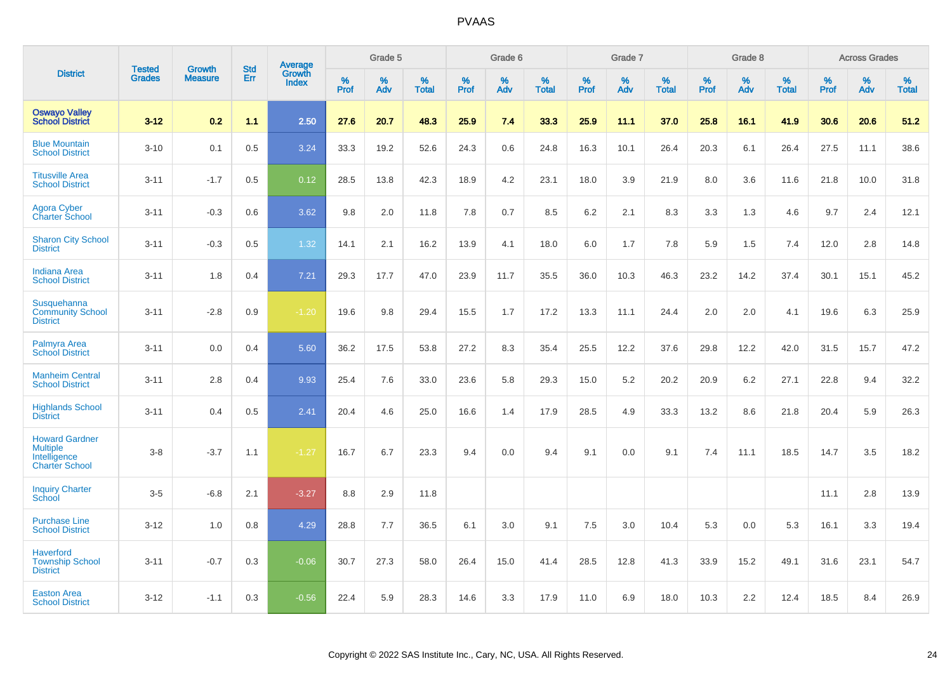|                                                                                   | <b>Tested</b> | <b>Growth</b>  | <b>Std</b> | Average                |              | Grade 5  |                   |           | Grade 6  |                   |              | Grade 7  |                   |              | Grade 8  |                   |              | <b>Across Grades</b> |                   |
|-----------------------------------------------------------------------------------|---------------|----------------|------------|------------------------|--------------|----------|-------------------|-----------|----------|-------------------|--------------|----------|-------------------|--------------|----------|-------------------|--------------|----------------------|-------------------|
| <b>District</b>                                                                   | <b>Grades</b> | <b>Measure</b> | Err        | Growth<br><b>Index</b> | $\%$<br>Prof | %<br>Adv | %<br><b>Total</b> | %<br>Prof | %<br>Adv | %<br><b>Total</b> | $\%$<br>Prof | %<br>Adv | %<br><b>Total</b> | $\%$<br>Prof | %<br>Adv | %<br><b>Total</b> | $\%$<br>Prof | $\%$<br>Adv          | %<br><b>Total</b> |
| <b>Oswayo Valley</b><br><b>School District</b>                                    | $3 - 12$      | 0.2            | 1.1        | 2.50                   | 27.6         | 20.7     | 48.3              | 25.9      | 7.4      | 33.3              | 25.9         | 11.1     | 37.0              | 25.8         | 16.1     | 41.9              | 30.6         | 20.6                 | 51.2              |
| <b>Blue Mountain</b><br><b>School District</b>                                    | $3 - 10$      | 0.1            | 0.5        | 3.24                   | 33.3         | 19.2     | 52.6              | 24.3      | 0.6      | 24.8              | 16.3         | 10.1     | 26.4              | 20.3         | 6.1      | 26.4              | 27.5         | 11.1                 | 38.6              |
| <b>Titusville Area</b><br><b>School District</b>                                  | $3 - 11$      | $-1.7$         | 0.5        | 0.12                   | 28.5         | 13.8     | 42.3              | 18.9      | 4.2      | 23.1              | 18.0         | 3.9      | 21.9              | 8.0          | 3.6      | 11.6              | 21.8         | 10.0                 | 31.8              |
| <b>Agora Cyber</b><br><b>Charter School</b>                                       | $3 - 11$      | $-0.3$         | 0.6        | 3.62                   | 9.8          | 2.0      | 11.8              | 7.8       | 0.7      | 8.5               | 6.2          | 2.1      | 8.3               | 3.3          | 1.3      | 4.6               | 9.7          | 2.4                  | 12.1              |
| <b>Sharon City School</b><br><b>District</b>                                      | $3 - 11$      | $-0.3$         | 0.5        | 1.32                   | 14.1         | 2.1      | 16.2              | 13.9      | 4.1      | 18.0              | 6.0          | 1.7      | 7.8               | 5.9          | 1.5      | 7.4               | 12.0         | 2.8                  | 14.8              |
| <b>Indiana Area</b><br><b>School District</b>                                     | $3 - 11$      | 1.8            | 0.4        | 7.21                   | 29.3         | 17.7     | 47.0              | 23.9      | 11.7     | 35.5              | 36.0         | 10.3     | 46.3              | 23.2         | 14.2     | 37.4              | 30.1         | 15.1                 | 45.2              |
| Susquehanna<br><b>Community School</b><br><b>District</b>                         | $3 - 11$      | $-2.8$         | $0.9\,$    | $-1.20$                | 19.6         | 9.8      | 29.4              | 15.5      | 1.7      | 17.2              | 13.3         | 11.1     | 24.4              | 2.0          | 2.0      | 4.1               | 19.6         | 6.3                  | 25.9              |
| Palmyra Area<br><b>School District</b>                                            | $3 - 11$      | 0.0            | 0.4        | 5.60                   | 36.2         | 17.5     | 53.8              | 27.2      | 8.3      | 35.4              | 25.5         | 12.2     | 37.6              | 29.8         | 12.2     | 42.0              | 31.5         | 15.7                 | 47.2              |
| <b>Manheim Central</b><br><b>School District</b>                                  | $3 - 11$      | 2.8            | 0.4        | 9.93                   | 25.4         | 7.6      | 33.0              | 23.6      | 5.8      | 29.3              | 15.0         | 5.2      | 20.2              | 20.9         | 6.2      | 27.1              | 22.8         | 9.4                  | 32.2              |
| <b>Highlands School</b><br><b>District</b>                                        | $3 - 11$      | 0.4            | 0.5        | 2.41                   | 20.4         | 4.6      | 25.0              | 16.6      | 1.4      | 17.9              | 28.5         | 4.9      | 33.3              | 13.2         | 8.6      | 21.8              | 20.4         | 5.9                  | 26.3              |
| <b>Howard Gardner</b><br><b>Multiple</b><br>Intelligence<br><b>Charter School</b> | $3 - 8$       | $-3.7$         | 1.1        | $-1.27$                | 16.7         | 6.7      | 23.3              | 9.4       | 0.0      | 9.4               | 9.1          | 0.0      | 9.1               | 7.4          | 11.1     | 18.5              | 14.7         | 3.5                  | 18.2              |
| <b>Inquiry Charter</b><br>School                                                  | $3-5$         | $-6.8$         | 2.1        | $-3.27$                | 8.8          | 2.9      | 11.8              |           |          |                   |              |          |                   |              |          |                   | 11.1         | 2.8                  | 13.9              |
| <b>Purchase Line</b><br><b>School District</b>                                    | $3 - 12$      | 1.0            | 0.8        | 4.29                   | 28.8         | 7.7      | 36.5              | 6.1       | 3.0      | 9.1               | 7.5          | 3.0      | 10.4              | 5.3          | 0.0      | 5.3               | 16.1         | 3.3                  | 19.4              |
| <b>Haverford</b><br><b>Township School</b><br><b>District</b>                     | $3 - 11$      | $-0.7$         | 0.3        | $-0.06$                | 30.7         | 27.3     | 58.0              | 26.4      | 15.0     | 41.4              | 28.5         | 12.8     | 41.3              | 33.9         | 15.2     | 49.1              | 31.6         | 23.1                 | 54.7              |
| <b>Easton Area</b><br><b>School District</b>                                      | $3 - 12$      | $-1.1$         | 0.3        | $-0.56$                | 22.4         | 5.9      | 28.3              | 14.6      | 3.3      | 17.9              | 11.0         | 6.9      | 18.0              | 10.3         | 2.2      | 12.4              | 18.5         | 8.4                  | 26.9              |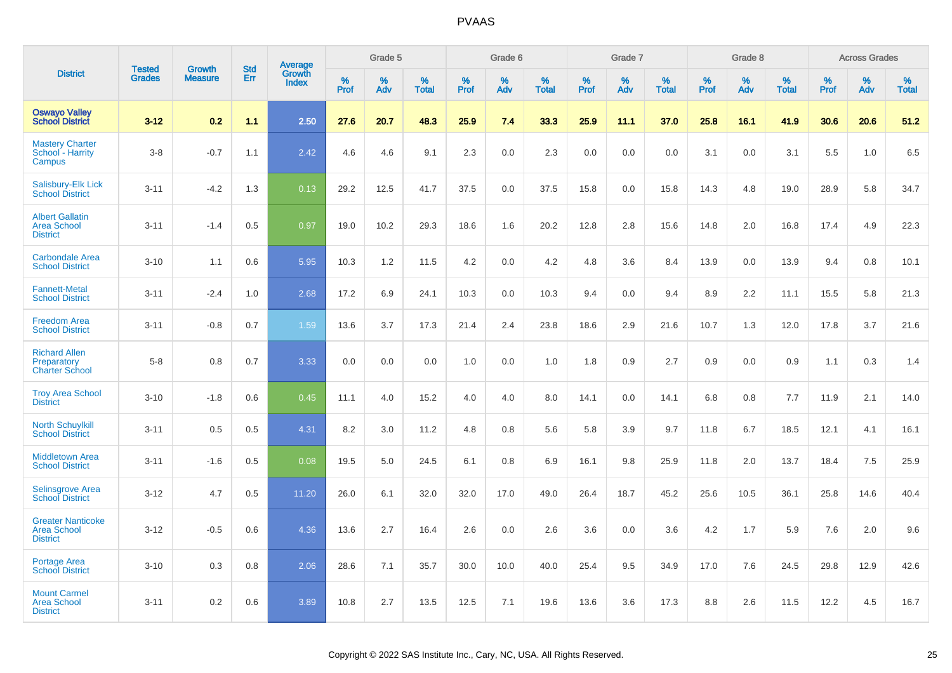|                                                                   |                                |                                 |                   |                                          |                     | Grade 5  |                   |                  | Grade 6  |                   |                  | Grade 7  |                   |           | Grade 8  |                   |                     | <b>Across Grades</b> |                   |
|-------------------------------------------------------------------|--------------------------------|---------------------------------|-------------------|------------------------------------------|---------------------|----------|-------------------|------------------|----------|-------------------|------------------|----------|-------------------|-----------|----------|-------------------|---------------------|----------------------|-------------------|
| <b>District</b>                                                   | <b>Tested</b><br><b>Grades</b> | <b>Growth</b><br><b>Measure</b> | <b>Std</b><br>Err | <b>Average</b><br>Growth<br><b>Index</b> | $\%$<br><b>Prof</b> | %<br>Adv | %<br><b>Total</b> | %<br><b>Prof</b> | %<br>Adv | %<br><b>Total</b> | %<br><b>Prof</b> | %<br>Adv | %<br><b>Total</b> | %<br>Prof | %<br>Adv | %<br><b>Total</b> | $\%$<br><b>Prof</b> | %<br>Adv             | %<br><b>Total</b> |
| <b>Oswayo Valley</b><br><b>School District</b>                    | $3 - 12$                       | 0.2                             | 1.1               | 2.50                                     | 27.6                | 20.7     | 48.3              | 25.9             | 7.4      | 33.3              | 25.9             | 11.1     | 37.0              | 25.8      | 16.1     | 41.9              | 30.6                | 20.6                 | 51.2              |
| <b>Mastery Charter</b><br>School - Harrity<br>Campus              | $3-8$                          | $-0.7$                          | 1.1               | 2.42                                     | 4.6                 | 4.6      | 9.1               | 2.3              | 0.0      | 2.3               | 0.0              | 0.0      | 0.0               | 3.1       | 0.0      | 3.1               | 5.5                 | 1.0                  | 6.5               |
| Salisbury-Elk Lick<br><b>School District</b>                      | $3 - 11$                       | $-4.2$                          | 1.3               | 0.13                                     | 29.2                | 12.5     | 41.7              | 37.5             | 0.0      | 37.5              | 15.8             | 0.0      | 15.8              | 14.3      | 4.8      | 19.0              | 28.9                | 5.8                  | 34.7              |
| <b>Albert Gallatin</b><br><b>Area School</b><br><b>District</b>   | $3 - 11$                       | $-1.4$                          | 0.5               | 0.97                                     | 19.0                | 10.2     | 29.3              | 18.6             | 1.6      | 20.2              | 12.8             | 2.8      | 15.6              | 14.8      | 2.0      | 16.8              | 17.4                | 4.9                  | 22.3              |
| <b>Carbondale Area</b><br><b>School District</b>                  | $3 - 10$                       | 1.1                             | 0.6               | 5.95                                     | 10.3                | 1.2      | 11.5              | 4.2              | 0.0      | 4.2               | 4.8              | 3.6      | 8.4               | 13.9      | 0.0      | 13.9              | 9.4                 | 0.8                  | 10.1              |
| <b>Fannett-Metal</b><br><b>School District</b>                    | $3 - 11$                       | $-2.4$                          | 1.0               | 2.68                                     | 17.2                | 6.9      | 24.1              | 10.3             | 0.0      | 10.3              | 9.4              | 0.0      | 9.4               | 8.9       | 2.2      | 11.1              | 15.5                | 5.8                  | 21.3              |
| <b>Freedom Area</b><br><b>School District</b>                     | $3 - 11$                       | $-0.8$                          | 0.7               | 1.59                                     | 13.6                | 3.7      | 17.3              | 21.4             | 2.4      | 23.8              | 18.6             | 2.9      | 21.6              | 10.7      | 1.3      | 12.0              | 17.8                | 3.7                  | 21.6              |
| <b>Richard Allen</b><br>Preparatory<br><b>Charter School</b>      | $5-8$                          | 0.8                             | 0.7               | 3.33                                     | 0.0                 | 0.0      | 0.0               | 1.0              | 0.0      | 1.0               | 1.8              | 0.9      | 2.7               | 0.9       | 0.0      | 0.9               | 1.1                 | 0.3                  | 1.4               |
| <b>Troy Area School</b><br><b>District</b>                        | $3 - 10$                       | $-1.8$                          | 0.6               | 0.45                                     | 11.1                | 4.0      | 15.2              | 4.0              | 4.0      | 8.0               | 14.1             | 0.0      | 14.1              | 6.8       | 0.8      | 7.7               | 11.9                | 2.1                  | 14.0              |
| <b>North Schuylkill</b><br><b>School District</b>                 | $3 - 11$                       | 0.5                             | 0.5               | 4.31                                     | 8.2                 | 3.0      | 11.2              | 4.8              | 0.8      | 5.6               | 5.8              | 3.9      | 9.7               | 11.8      | 6.7      | 18.5              | 12.1                | 4.1                  | 16.1              |
| <b>Middletown Area</b><br><b>School District</b>                  | $3 - 11$                       | $-1.6$                          | 0.5               | 0.08                                     | 19.5                | 5.0      | 24.5              | 6.1              | 0.8      | 6.9               | 16.1             | 9.8      | 25.9              | 11.8      | 2.0      | 13.7              | 18.4                | 7.5                  | 25.9              |
| <b>Selinsgrove Area</b><br><b>School District</b>                 | $3 - 12$                       | 4.7                             | 0.5               | 11.20                                    | 26.0                | 6.1      | 32.0              | 32.0             | 17.0     | 49.0              | 26.4             | 18.7     | 45.2              | 25.6      | 10.5     | 36.1              | 25.8                | 14.6                 | 40.4              |
| <b>Greater Nanticoke</b><br><b>Area School</b><br><b>District</b> | $3 - 12$                       | $-0.5$                          | 0.6               | 4.36                                     | 13.6                | 2.7      | 16.4              | 2.6              | 0.0      | 2.6               | 3.6              | 0.0      | 3.6               | 4.2       | 1.7      | 5.9               | 7.6                 | 2.0                  | 9.6               |
| Portage Area<br><b>School District</b>                            | $3 - 10$                       | 0.3                             | 0.8               | 2.06                                     | 28.6                | 7.1      | 35.7              | 30.0             | 10.0     | 40.0              | 25.4             | 9.5      | 34.9              | 17.0      | 7.6      | 24.5              | 29.8                | 12.9                 | 42.6              |
| <b>Mount Carmel</b><br><b>Area School</b><br><b>District</b>      | $3 - 11$                       | 0.2                             | 0.6               | 3.89                                     | 10.8                | 2.7      | 13.5              | 12.5             | 7.1      | 19.6              | 13.6             | 3.6      | 17.3              | 8.8       | 2.6      | 11.5              | 12.2                | 4.5                  | 16.7              |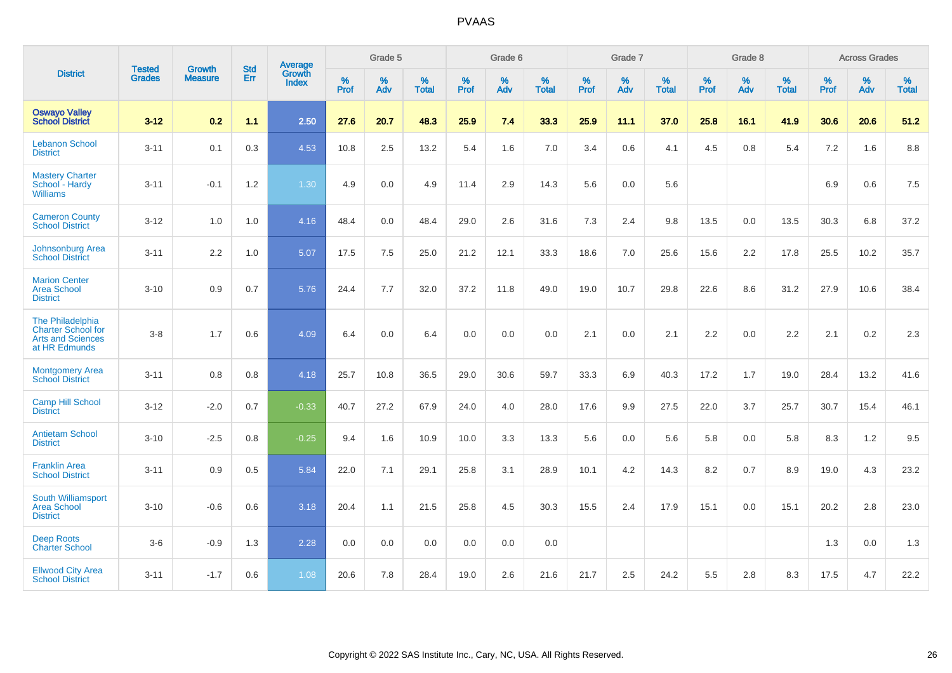|                                                                                            | <b>Tested</b> | <b>Growth</b>    | <b>Std</b> | Average                |                     | Grade 5  |                   |                     | Grade 6  |                   |              | Grade 7  |                   |                     | Grade 8  |                   |                     | <b>Across Grades</b> |                   |
|--------------------------------------------------------------------------------------------|---------------|------------------|------------|------------------------|---------------------|----------|-------------------|---------------------|----------|-------------------|--------------|----------|-------------------|---------------------|----------|-------------------|---------------------|----------------------|-------------------|
| <b>District</b>                                                                            | <b>Grades</b> | <b>Measure</b>   | <b>Err</b> | Growth<br><b>Index</b> | $\%$<br><b>Prof</b> | %<br>Adv | %<br><b>Total</b> | $\%$<br><b>Prof</b> | %<br>Adv | %<br><b>Total</b> | $\%$<br>Prof | %<br>Adv | %<br><b>Total</b> | $\%$<br><b>Prof</b> | %<br>Adv | %<br><b>Total</b> | $\%$<br><b>Prof</b> | %<br>Adv             | %<br><b>Total</b> |
| <b>Oswayo Valley</b><br><b>School District</b>                                             | $3 - 12$      | 0.2              | 1.1        | 2.50                   | 27.6                | 20.7     | 48.3              | 25.9                | 7.4      | 33.3              | 25.9         | 11.1     | 37.0              | 25.8                | 16.1     | 41.9              | 30.6                | 20.6                 | 51.2              |
| <b>Lebanon School</b><br><b>District</b>                                                   | $3 - 11$      | 0.1              | 0.3        | 4.53                   | 10.8                | 2.5      | 13.2              | 5.4                 | 1.6      | 7.0               | 3.4          | 0.6      | 4.1               | 4.5                 | 0.8      | 5.4               | 7.2                 | 1.6                  | 8.8               |
| <b>Mastery Charter</b><br>School - Hardy<br><b>Williams</b>                                | $3 - 11$      | $-0.1$           | $1.2$      | 1.30                   | 4.9                 | 0.0      | 4.9               | 11.4                | 2.9      | 14.3              | 5.6          | 0.0      | 5.6               |                     |          |                   | 6.9                 | 0.6                  | 7.5               |
| <b>Cameron County</b><br><b>School District</b>                                            | $3 - 12$      | 1.0              | 1.0        | 4.16                   | 48.4                | 0.0      | 48.4              | 29.0                | 2.6      | 31.6              | 7.3          | 2.4      | 9.8               | 13.5                | $0.0\,$  | 13.5              | 30.3                | 6.8                  | 37.2              |
| Johnsonburg Area<br><b>School District</b>                                                 | $3 - 11$      | $2.2\phantom{0}$ | 1.0        | 5.07                   | 17.5                | 7.5      | 25.0              | 21.2                | 12.1     | 33.3              | 18.6         | 7.0      | 25.6              | 15.6                | 2.2      | 17.8              | 25.5                | 10.2                 | 35.7              |
| <b>Marion Center</b><br><b>Area School</b><br><b>District</b>                              | $3 - 10$      | 0.9              | 0.7        | 5.76                   | 24.4                | 7.7      | 32.0              | 37.2                | 11.8     | 49.0              | 19.0         | 10.7     | 29.8              | 22.6                | 8.6      | 31.2              | 27.9                | 10.6                 | 38.4              |
| The Philadelphia<br><b>Charter School for</b><br><b>Arts and Sciences</b><br>at HR Edmunds | $3 - 8$       | 1.7              | 0.6        | 4.09                   | 6.4                 | 0.0      | 6.4               | 0.0                 | 0.0      | 0.0               | 2.1          | 0.0      | 2.1               | 2.2                 | 0.0      | 2.2               | 2.1                 | 0.2                  | 2.3               |
| Montgomery Area<br><b>School District</b>                                                  | $3 - 11$      | 0.8              | 0.8        | 4.18                   | 25.7                | 10.8     | 36.5              | 29.0                | 30.6     | 59.7              | 33.3         | 6.9      | 40.3              | 17.2                | 1.7      | 19.0              | 28.4                | 13.2                 | 41.6              |
| <b>Camp Hill School</b><br><b>District</b>                                                 | $3 - 12$      | $-2.0$           | 0.7        | $-0.33$                | 40.7                | 27.2     | 67.9              | 24.0                | 4.0      | 28.0              | 17.6         | 9.9      | 27.5              | 22.0                | 3.7      | 25.7              | 30.7                | 15.4                 | 46.1              |
| <b>Antietam School</b><br><b>District</b>                                                  | $3 - 10$      | $-2.5$           | 0.8        | $-0.25$                | 9.4                 | 1.6      | 10.9              | 10.0                | 3.3      | 13.3              | 5.6          | 0.0      | 5.6               | 5.8                 | 0.0      | 5.8               | 8.3                 | 1.2                  | 9.5               |
| <b>Franklin Area</b><br><b>School District</b>                                             | $3 - 11$      | 0.9              | 0.5        | 5.84                   | 22.0                | 7.1      | 29.1              | 25.8                | 3.1      | 28.9              | 10.1         | 4.2      | 14.3              | 8.2                 | 0.7      | 8.9               | 19.0                | 4.3                  | 23.2              |
| South Williamsport<br><b>Area School</b><br><b>District</b>                                | $3 - 10$      | $-0.6$           | 0.6        | 3.18                   | 20.4                | 1.1      | 21.5              | 25.8                | 4.5      | 30.3              | 15.5         | 2.4      | 17.9              | 15.1                | 0.0      | 15.1              | 20.2                | 2.8                  | 23.0              |
| <b>Deep Roots</b><br><b>Charter School</b>                                                 | $3-6$         | $-0.9$           | 1.3        | 2.28                   | 0.0                 | 0.0      | 0.0               | 0.0                 | 0.0      | 0.0               |              |          |                   |                     |          |                   | 1.3                 | 0.0                  | 1.3               |
| <b>Ellwood City Area</b><br><b>School District</b>                                         | $3 - 11$      | $-1.7$           | 0.6        | 1.08                   | 20.6                | 7.8      | 28.4              | 19.0                | 2.6      | 21.6              | 21.7         | 2.5      | 24.2              | 5.5                 | 2.8      | 8.3               | 17.5                | 4.7                  | 22.2              |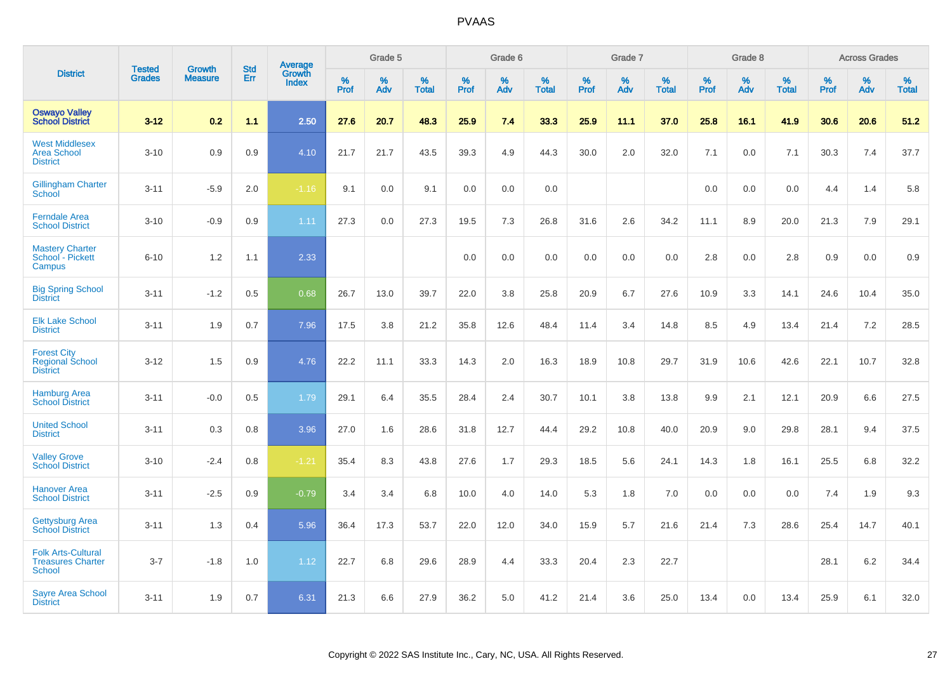|                                                                 |                                |                                 | <b>Std</b> | Average                |                     | Grade 5  |                   |                  | Grade 6  |                   |              | Grade 7  |                   |              | Grade 8  |                   |                     | <b>Across Grades</b> |                   |
|-----------------------------------------------------------------|--------------------------------|---------------------------------|------------|------------------------|---------------------|----------|-------------------|------------------|----------|-------------------|--------------|----------|-------------------|--------------|----------|-------------------|---------------------|----------------------|-------------------|
| <b>District</b>                                                 | <b>Tested</b><br><b>Grades</b> | <b>Growth</b><br><b>Measure</b> | Err        | Growth<br><b>Index</b> | $\%$<br><b>Prof</b> | %<br>Adv | %<br><b>Total</b> | %<br><b>Prof</b> | %<br>Adv | %<br><b>Total</b> | $\%$<br>Prof | %<br>Adv | %<br><b>Total</b> | $\%$<br>Prof | %<br>Adv | %<br><b>Total</b> | $\%$<br><b>Prof</b> | $\%$<br>Adv          | %<br><b>Total</b> |
| <b>Oswayo Valley</b><br><b>School District</b>                  | $3 - 12$                       | 0.2                             | 1.1        | 2.50                   | 27.6                | 20.7     | 48.3              | 25.9             | 7.4      | 33.3              | 25.9         | 11.1     | 37.0              | 25.8         | 16.1     | 41.9              | 30.6                | 20.6                 | 51.2              |
| <b>West Middlesex</b><br><b>Area School</b><br><b>District</b>  | $3 - 10$                       | 0.9                             | 0.9        | 4.10                   | 21.7                | 21.7     | 43.5              | 39.3             | 4.9      | 44.3              | 30.0         | 2.0      | 32.0              | 7.1          | 0.0      | 7.1               | 30.3                | 7.4                  | 37.7              |
| <b>Gillingham Charter</b><br>School                             | $3 - 11$                       | $-5.9$                          | 2.0        | $-1.16$                | 9.1                 | 0.0      | 9.1               | 0.0              | 0.0      | 0.0               |              |          |                   | 0.0          | 0.0      | 0.0               | 4.4                 | 1.4                  | 5.8               |
| <b>Ferndale Area</b><br><b>School District</b>                  | $3 - 10$                       | $-0.9$                          | 0.9        | 1.11                   | 27.3                | 0.0      | 27.3              | 19.5             | 7.3      | 26.8              | 31.6         | 2.6      | 34.2              | 11.1         | 8.9      | 20.0              | 21.3                | 7.9                  | 29.1              |
| <b>Mastery Charter</b><br>School - Pickett<br>Campus            | $6 - 10$                       | 1.2                             | 1.1        | 2.33                   |                     |          |                   | 0.0              | 0.0      | 0.0               | 0.0          | 0.0      | 0.0               | 2.8          | 0.0      | 2.8               | 0.9                 | 0.0                  | 0.9               |
| <b>Big Spring School</b><br><b>District</b>                     | $3 - 11$                       | $-1.2$                          | 0.5        | 0.68                   | 26.7                | 13.0     | 39.7              | 22.0             | 3.8      | 25.8              | 20.9         | 6.7      | 27.6              | 10.9         | 3.3      | 14.1              | 24.6                | 10.4                 | 35.0              |
| <b>Elk Lake School</b><br><b>District</b>                       | $3 - 11$                       | 1.9                             | 0.7        | 7.96                   | 17.5                | 3.8      | 21.2              | 35.8             | 12.6     | 48.4              | 11.4         | 3.4      | 14.8              | 8.5          | 4.9      | 13.4              | 21.4                | 7.2                  | 28.5              |
| <b>Forest City</b><br><b>Regional School</b><br><b>District</b> | $3 - 12$                       | 1.5                             | 0.9        | 4.76                   | 22.2                | 11.1     | 33.3              | 14.3             | 2.0      | 16.3              | 18.9         | 10.8     | 29.7              | 31.9         | 10.6     | 42.6              | 22.1                | 10.7                 | 32.8              |
| <b>Hamburg Area</b><br><b>School District</b>                   | $3 - 11$                       | $-0.0$                          | 0.5        | 1.79                   | 29.1                | 6.4      | 35.5              | 28.4             | 2.4      | 30.7              | 10.1         | 3.8      | 13.8              | 9.9          | 2.1      | 12.1              | 20.9                | 6.6                  | 27.5              |
| <b>United School</b><br><b>District</b>                         | $3 - 11$                       | 0.3                             | 0.8        | 3.96                   | 27.0                | 1.6      | 28.6              | 31.8             | 12.7     | 44.4              | 29.2         | 10.8     | 40.0              | 20.9         | 9.0      | 29.8              | 28.1                | 9.4                  | 37.5              |
| <b>Valley Grove</b><br><b>School District</b>                   | $3 - 10$                       | $-2.4$                          | 0.8        | $-1.21$                | 35.4                | 8.3      | 43.8              | 27.6             | 1.7      | 29.3              | 18.5         | 5.6      | 24.1              | 14.3         | 1.8      | 16.1              | 25.5                | 6.8                  | 32.2              |
| <b>Hanover Area</b><br><b>School District</b>                   | $3 - 11$                       | $-2.5$                          | 0.9        | $-0.79$                | 3.4                 | 3.4      | 6.8               | 10.0             | 4.0      | 14.0              | 5.3          | 1.8      | 7.0               | 0.0          | 0.0      | 0.0               | 7.4                 | 1.9                  | 9.3               |
| <b>Gettysburg Area</b><br><b>School District</b>                | $3 - 11$                       | 1.3                             | 0.4        | 5.96                   | 36.4                | 17.3     | 53.7              | 22.0             | 12.0     | 34.0              | 15.9         | 5.7      | 21.6              | 21.4         | 7.3      | 28.6              | 25.4                | 14.7                 | 40.1              |
| <b>Folk Arts-Cultural</b><br><b>Treasures Charter</b><br>School | $3 - 7$                        | $-1.8$                          | 1.0        | 1.12                   | 22.7                | 6.8      | 29.6              | 28.9             | 4.4      | 33.3              | 20.4         | 2.3      | 22.7              |              |          |                   | 28.1                | 6.2                  | 34.4              |
| <b>Sayre Area School</b><br><b>District</b>                     | $3 - 11$                       | 1.9                             | 0.7        | 6.31                   | 21.3                | 6.6      | 27.9              | 36.2             | 5.0      | 41.2              | 21.4         | 3.6      | 25.0              | 13.4         | 0.0      | 13.4              | 25.9                | 6.1                  | 32.0              |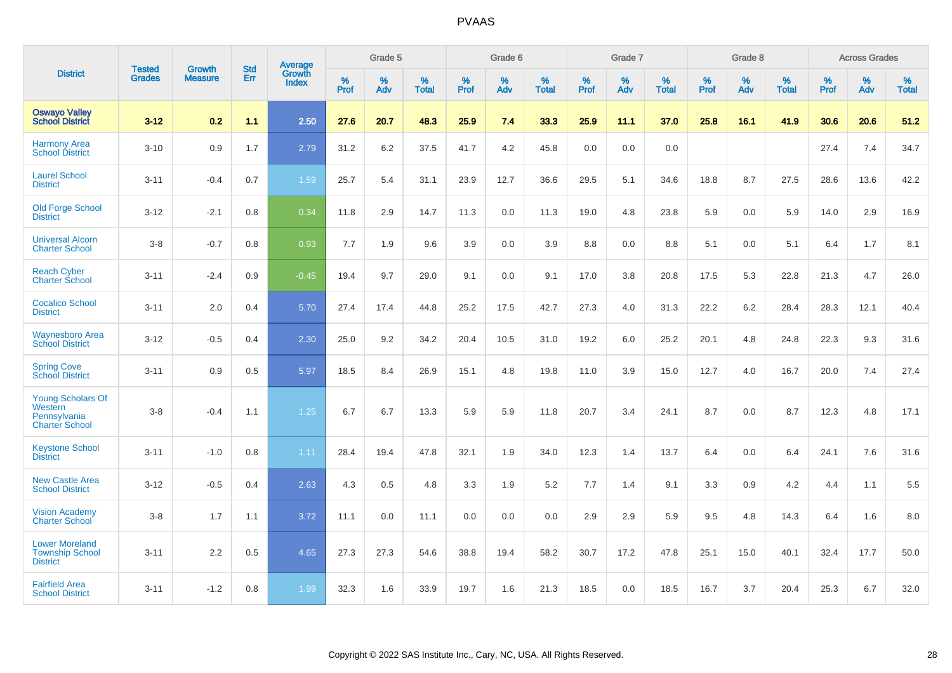|                                                                              |                                |                                 | <b>Std</b> | Average                       |           | Grade 5  |                   |           | Grade 6  |                   |           | Grade 7  |                   |           | Grade 8  |                   |           | <b>Across Grades</b> |                   |
|------------------------------------------------------------------------------|--------------------------------|---------------------------------|------------|-------------------------------|-----------|----------|-------------------|-----------|----------|-------------------|-----------|----------|-------------------|-----------|----------|-------------------|-----------|----------------------|-------------------|
| <b>District</b>                                                              | <b>Tested</b><br><b>Grades</b> | <b>Growth</b><br><b>Measure</b> | Err        | <b>Growth</b><br><b>Index</b> | %<br>Prof | %<br>Adv | %<br><b>Total</b> | %<br>Prof | %<br>Adv | %<br><b>Total</b> | %<br>Prof | %<br>Adv | %<br><b>Total</b> | %<br>Prof | %<br>Adv | %<br><b>Total</b> | %<br>Prof | %<br>Adv             | %<br><b>Total</b> |
| <b>Oswayo Valley</b><br><b>School District</b>                               | $3 - 12$                       | 0.2                             | 1.1        | 2.50                          | 27.6      | 20.7     | 48.3              | 25.9      | 7.4      | 33.3              | 25.9      | 11.1     | 37.0              | 25.8      | 16.1     | 41.9              | 30.6      | 20.6                 | 51.2              |
| <b>Harmony Area</b><br><b>School District</b>                                | $3 - 10$                       | 0.9                             | 1.7        | 2.79                          | 31.2      | 6.2      | 37.5              | 41.7      | 4.2      | 45.8              | 0.0       | 0.0      | 0.0               |           |          |                   | 27.4      | 7.4                  | 34.7              |
| <b>Laurel School</b><br><b>District</b>                                      | $3 - 11$                       | $-0.4$                          | 0.7        | 1.59                          | 25.7      | 5.4      | 31.1              | 23.9      | 12.7     | 36.6              | 29.5      | 5.1      | 34.6              | 18.8      | 8.7      | 27.5              | 28.6      | 13.6                 | 42.2              |
| <b>Old Forge School</b><br><b>District</b>                                   | $3 - 12$                       | $-2.1$                          | 0.8        | 0.34                          | 11.8      | 2.9      | 14.7              | 11.3      | 0.0      | 11.3              | 19.0      | 4.8      | 23.8              | 5.9       | 0.0      | 5.9               | 14.0      | 2.9                  | 16.9              |
| <b>Universal Alcorn</b><br><b>Charter School</b>                             | $3 - 8$                        | $-0.7$                          | 0.8        | 0.93                          | 7.7       | 1.9      | 9.6               | 3.9       | 0.0      | 3.9               | 8.8       | 0.0      | 8.8               | 5.1       | 0.0      | 5.1               | 6.4       | 1.7                  | 8.1               |
| <b>Reach Cyber</b><br><b>Charter School</b>                                  | $3 - 11$                       | $-2.4$                          | 0.9        | $-0.45$                       | 19.4      | 9.7      | 29.0              | 9.1       | 0.0      | 9.1               | 17.0      | 3.8      | 20.8              | 17.5      | 5.3      | 22.8              | 21.3      | 4.7                  | 26.0              |
| <b>Cocalico School</b><br><b>District</b>                                    | $3 - 11$                       | 2.0                             | 0.4        | 5.70                          | 27.4      | 17.4     | 44.8              | 25.2      | 17.5     | 42.7              | 27.3      | 4.0      | 31.3              | 22.2      | $6.2\,$  | 28.4              | 28.3      | 12.1                 | 40.4              |
| <b>Waynesboro Area</b><br><b>School District</b>                             | $3 - 12$                       | $-0.5$                          | 0.4        | 2.30                          | 25.0      | 9.2      | 34.2              | 20.4      | 10.5     | 31.0              | 19.2      | 6.0      | 25.2              | 20.1      | 4.8      | 24.8              | 22.3      | 9.3                  | 31.6              |
| <b>Spring Cove</b><br><b>School District</b>                                 | $3 - 11$                       | 0.9                             | 0.5        | 5.97                          | 18.5      | 8.4      | 26.9              | 15.1      | 4.8      | 19.8              | 11.0      | 3.9      | 15.0              | 12.7      | 4.0      | 16.7              | 20.0      | 7.4                  | 27.4              |
| <b>Young Scholars Of</b><br>Western<br>Pennsylvania<br><b>Charter School</b> | $3 - 8$                        | $-0.4$                          | 1.1        | 1.25                          | 6.7       | 6.7      | 13.3              | 5.9       | 5.9      | 11.8              | 20.7      | 3.4      | 24.1              | 8.7       | 0.0      | 8.7               | 12.3      | 4.8                  | 17.1              |
| <b>Keystone School</b><br><b>District</b>                                    | $3 - 11$                       | $-1.0$                          | 0.8        | 1.11                          | 28.4      | 19.4     | 47.8              | 32.1      | 1.9      | 34.0              | 12.3      | 1.4      | 13.7              | 6.4       | 0.0      | 6.4               | 24.1      | 7.6                  | 31.6              |
| <b>New Castle Area</b><br><b>School District</b>                             | $3 - 12$                       | $-0.5$                          | 0.4        | 2.63                          | 4.3       | 0.5      | 4.8               | 3.3       | 1.9      | 5.2               | 7.7       | 1.4      | 9.1               | 3.3       | 0.9      | 4.2               | 4.4       | 1.1                  | 5.5               |
| <b>Vision Academy</b><br>Charter School                                      | $3 - 8$                        | 1.7                             | 1.1        | 3.72                          | 11.1      | 0.0      | 11.1              | 0.0       | 0.0      | 0.0               | 2.9       | 2.9      | 5.9               | 9.5       | 4.8      | 14.3              | 6.4       | 1.6                  | 8.0               |
| <b>Lower Moreland</b><br><b>Township School</b><br><b>District</b>           | $3 - 11$                       | 2.2                             | 0.5        | 4.65                          | 27.3      | 27.3     | 54.6              | 38.8      | 19.4     | 58.2              | 30.7      | 17.2     | 47.8              | 25.1      | 15.0     | 40.1              | 32.4      | 17.7                 | 50.0              |
| <b>Fairfield Area</b><br><b>School District</b>                              | $3 - 11$                       | $-1.2$                          | 0.8        | 1.99                          | 32.3      | 1.6      | 33.9              | 19.7      | 1.6      | 21.3              | 18.5      | 0.0      | 18.5              | 16.7      | 3.7      | 20.4              | 25.3      | 6.7                  | 32.0              |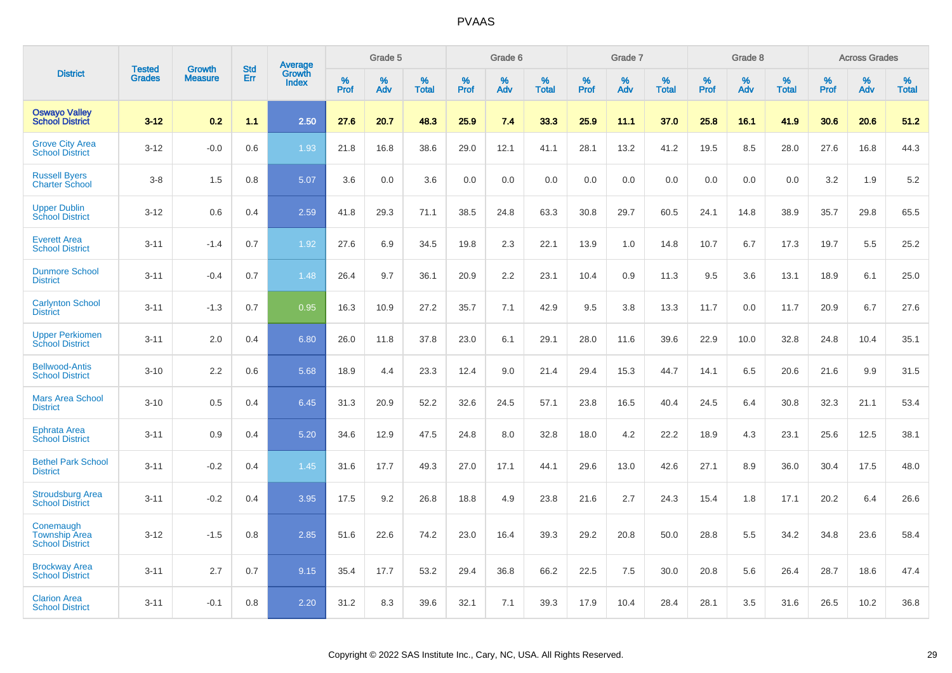|                                                             |                         | <b>Growth</b>  | <b>Std</b> | Average                |              | Grade 5     |                      |                     | Grade 6     |                      |              | Grade 7     |                      |              | Grade 8     |                      |                     | <b>Across Grades</b> |                      |
|-------------------------------------------------------------|-------------------------|----------------|------------|------------------------|--------------|-------------|----------------------|---------------------|-------------|----------------------|--------------|-------------|----------------------|--------------|-------------|----------------------|---------------------|----------------------|----------------------|
| <b>District</b>                                             | Tested<br><b>Grades</b> | <b>Measure</b> | Err        | Growth<br><b>Index</b> | $\%$<br>Prof | $\%$<br>Adv | $\%$<br><b>Total</b> | $\%$<br><b>Prof</b> | $\%$<br>Adv | $\%$<br><b>Total</b> | $\%$<br>Prof | $\%$<br>Adv | $\%$<br><b>Total</b> | $\%$<br>Prof | $\%$<br>Adv | $\%$<br><b>Total</b> | $\%$<br><b>Prof</b> | $\%$<br>Adv          | $\%$<br><b>Total</b> |
| <b>Oswayo Valley</b><br><b>School District</b>              | $3 - 12$                | 0.2            | 1.1        | 2.50                   | 27.6         | 20.7        | 48.3                 | 25.9                | 7.4         | 33.3                 | 25.9         | 11.1        | 37.0                 | 25.8         | 16.1        | 41.9                 | 30.6                | 20.6                 | 51.2                 |
| <b>Grove City Area</b><br><b>School District</b>            | $3 - 12$                | $-0.0$         | 0.6        | 1.93                   | 21.8         | 16.8        | 38.6                 | 29.0                | 12.1        | 41.1                 | 28.1         | 13.2        | 41.2                 | 19.5         | 8.5         | 28.0                 | 27.6                | 16.8                 | 44.3                 |
| <b>Russell Byers</b><br><b>Charter School</b>               | $3 - 8$                 | 1.5            | 0.8        | 5.07                   | 3.6          | 0.0         | 3.6                  | 0.0                 | 0.0         | 0.0                  | 0.0          | 0.0         | 0.0                  | 0.0          | 0.0         | 0.0                  | 3.2                 | 1.9                  | 5.2                  |
| <b>Upper Dublin</b><br><b>School District</b>               | $3 - 12$                | 0.6            | 0.4        | 2.59                   | 41.8         | 29.3        | 71.1                 | 38.5                | 24.8        | 63.3                 | 30.8         | 29.7        | 60.5                 | 24.1         | 14.8        | 38.9                 | 35.7                | 29.8                 | 65.5                 |
| <b>Everett Area</b><br><b>School District</b>               | $3 - 11$                | $-1.4$         | 0.7        | 1.92                   | 27.6         | 6.9         | 34.5                 | 19.8                | 2.3         | 22.1                 | 13.9         | 1.0         | 14.8                 | 10.7         | 6.7         | 17.3                 | 19.7                | 5.5                  | 25.2                 |
| <b>Dunmore School</b><br><b>District</b>                    | $3 - 11$                | $-0.4$         | 0.7        | 1.48                   | 26.4         | 9.7         | 36.1                 | 20.9                | 2.2         | 23.1                 | 10.4         | 0.9         | 11.3                 | 9.5          | 3.6         | 13.1                 | 18.9                | 6.1                  | 25.0                 |
| <b>Carlynton School</b><br><b>District</b>                  | $3 - 11$                | $-1.3$         | 0.7        | 0.95                   | 16.3         | 10.9        | 27.2                 | 35.7                | 7.1         | 42.9                 | 9.5          | 3.8         | 13.3                 | 11.7         | 0.0         | 11.7                 | 20.9                | 6.7                  | 27.6                 |
| <b>Upper Perkiomen</b><br><b>School District</b>            | $3 - 11$                | 2.0            | 0.4        | 6.80                   | 26.0         | 11.8        | 37.8                 | 23.0                | 6.1         | 29.1                 | 28.0         | 11.6        | 39.6                 | 22.9         | 10.0        | 32.8                 | 24.8                | 10.4                 | 35.1                 |
| <b>Bellwood-Antis</b><br><b>School District</b>             | $3 - 10$                | 2.2            | 0.6        | 5.68                   | 18.9         | 4.4         | 23.3                 | 12.4                | 9.0         | 21.4                 | 29.4         | 15.3        | 44.7                 | 14.1         | 6.5         | 20.6                 | 21.6                | 9.9                  | 31.5                 |
| <b>Mars Area School</b><br><b>District</b>                  | $3 - 10$                | 0.5            | 0.4        | 6.45                   | 31.3         | 20.9        | 52.2                 | 32.6                | 24.5        | 57.1                 | 23.8         | 16.5        | 40.4                 | 24.5         | 6.4         | 30.8                 | 32.3                | 21.1                 | 53.4                 |
| Ephrata Area<br><b>School District</b>                      | $3 - 11$                | 0.9            | 0.4        | 5.20                   | 34.6         | 12.9        | 47.5                 | 24.8                | 8.0         | 32.8                 | 18.0         | 4.2         | 22.2                 | 18.9         | 4.3         | 23.1                 | 25.6                | 12.5                 | 38.1                 |
| <b>Bethel Park School</b><br><b>District</b>                | $3 - 11$                | $-0.2$         | 0.4        | 1.45                   | 31.6         | 17.7        | 49.3                 | 27.0                | 17.1        | 44.1                 | 29.6         | 13.0        | 42.6                 | 27.1         | 8.9         | 36.0                 | 30.4                | 17.5                 | 48.0                 |
| <b>Stroudsburg Area</b><br><b>School District</b>           | $3 - 11$                | $-0.2$         | 0.4        | 3.95                   | 17.5         | 9.2         | 26.8                 | 18.8                | 4.9         | 23.8                 | 21.6         | 2.7         | 24.3                 | 15.4         | 1.8         | 17.1                 | 20.2                | 6.4                  | 26.6                 |
| Conemaugh<br><b>Township Area</b><br><b>School District</b> | $3 - 12$                | $-1.5$         | 0.8        | 2.85                   | 51.6         | 22.6        | 74.2                 | 23.0                | 16.4        | 39.3                 | 29.2         | 20.8        | 50.0                 | 28.8         | 5.5         | 34.2                 | 34.8                | 23.6                 | 58.4                 |
| <b>Brockway Area</b><br><b>School District</b>              | $3 - 11$                | 2.7            | 0.7        | 9.15                   | 35.4         | 17.7        | 53.2                 | 29.4                | 36.8        | 66.2                 | 22.5         | 7.5         | 30.0                 | 20.8         | 5.6         | 26.4                 | 28.7                | 18.6                 | 47.4                 |
| <b>Clarion Area</b><br><b>School District</b>               | $3 - 11$                | $-0.1$         | 0.8        | 2.20                   | 31.2         | 8.3         | 39.6                 | 32.1                | 7.1         | 39.3                 | 17.9         | 10.4        | 28.4                 | 28.1         | 3.5         | 31.6                 | 26.5                | 10.2                 | 36.8                 |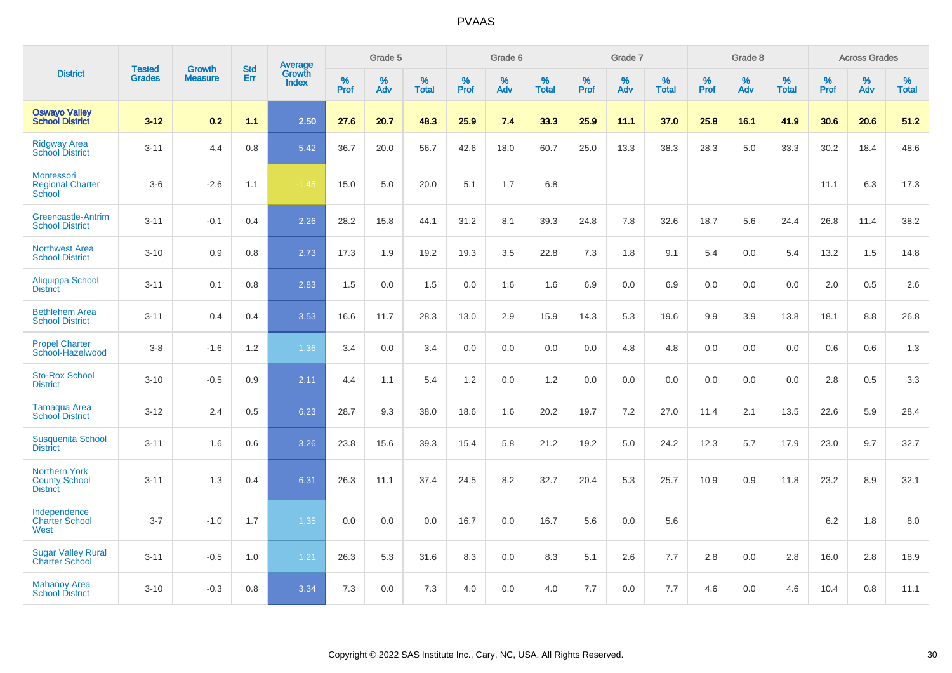|                                                                 | <b>Tested</b> | <b>Growth</b>  | <b>Std</b> | Average                |              | Grade 5  |                   |           | Grade 6  |                   |           | Grade 7  |                   |           | Grade 8  |                   |           | <b>Across Grades</b> |                   |
|-----------------------------------------------------------------|---------------|----------------|------------|------------------------|--------------|----------|-------------------|-----------|----------|-------------------|-----------|----------|-------------------|-----------|----------|-------------------|-----------|----------------------|-------------------|
| <b>District</b>                                                 | <b>Grades</b> | <b>Measure</b> | Err        | Growth<br><b>Index</b> | $\%$<br>Prof | %<br>Adv | %<br><b>Total</b> | %<br>Prof | %<br>Adv | %<br><b>Total</b> | %<br>Prof | %<br>Adv | %<br><b>Total</b> | %<br>Prof | %<br>Adv | %<br><b>Total</b> | %<br>Prof | %<br>Adv             | %<br><b>Total</b> |
| <b>Oswayo Valley</b><br><b>School District</b>                  | $3 - 12$      | 0.2            | 1.1        | 2.50                   | 27.6         | 20.7     | 48.3              | 25.9      | 7.4      | 33.3              | 25.9      | 11.1     | 37.0              | 25.8      | 16.1     | 41.9              | 30.6      | 20.6                 | 51.2              |
| <b>Ridgway Area</b><br><b>School District</b>                   | $3 - 11$      | 4.4            | 0.8        | 5.42                   | 36.7         | 20.0     | 56.7              | 42.6      | 18.0     | 60.7              | 25.0      | 13.3     | 38.3              | 28.3      | 5.0      | 33.3              | 30.2      | 18.4                 | 48.6              |
| Montessori<br><b>Regional Charter</b><br>School                 | $3-6$         | $-2.6$         | 1.1        | $-1.45$                | 15.0         | 5.0      | 20.0              | 5.1       | 1.7      | 6.8               |           |          |                   |           |          |                   | 11.1      | 6.3                  | 17.3              |
| Greencastle-Antrim<br><b>School District</b>                    | $3 - 11$      | $-0.1$         | 0.4        | 2.26                   | 28.2         | 15.8     | 44.1              | 31.2      | 8.1      | 39.3              | 24.8      | 7.8      | 32.6              | 18.7      | 5.6      | 24.4              | 26.8      | 11.4                 | 38.2              |
| <b>Northwest Area</b><br><b>School District</b>                 | $3 - 10$      | 0.9            | 0.8        | 2.73                   | 17.3         | 1.9      | 19.2              | 19.3      | 3.5      | 22.8              | 7.3       | 1.8      | 9.1               | 5.4       | 0.0      | 5.4               | 13.2      | 1.5                  | 14.8              |
| Aliquippa School<br><b>District</b>                             | $3 - 11$      | 0.1            | 0.8        | 2.83                   | 1.5          | 0.0      | 1.5               | 0.0       | 1.6      | 1.6               | 6.9       | 0.0      | 6.9               | 0.0       | 0.0      | 0.0               | 2.0       | 0.5                  | 2.6               |
| <b>Bethlehem Area</b><br><b>School District</b>                 | $3 - 11$      | 0.4            | 0.4        | 3.53                   | 16.6         | 11.7     | 28.3              | 13.0      | 2.9      | 15.9              | 14.3      | 5.3      | 19.6              | 9.9       | 3.9      | 13.8              | 18.1      | 8.8                  | 26.8              |
| <b>Propel Charter</b><br>School-Hazelwood                       | $3 - 8$       | $-1.6$         | $1.2$      | 1.36                   | 3.4          | 0.0      | 3.4               | 0.0       | 0.0      | 0.0               | 0.0       | 4.8      | 4.8               | 0.0       | 0.0      | 0.0               | 0.6       | 0.6                  | 1.3               |
| <b>Sto-Rox School</b><br><b>District</b>                        | $3 - 10$      | $-0.5$         | 0.9        | 2.11                   | 4.4          | 1.1      | 5.4               | 1.2       | 0.0      | 1.2               | 0.0       | 0.0      | 0.0               | 0.0       | 0.0      | 0.0               | 2.8       | 0.5                  | 3.3               |
| Tamaqua Area<br><b>School District</b>                          | $3 - 12$      | 2.4            | 0.5        | 6.23                   | 28.7         | 9.3      | 38.0              | 18.6      | 1.6      | 20.2              | 19.7      | $7.2\,$  | 27.0              | 11.4      | 2.1      | 13.5              | 22.6      | 5.9                  | 28.4              |
| <b>Susquenita School</b><br><b>District</b>                     | $3 - 11$      | 1.6            | 0.6        | 3.26                   | 23.8         | 15.6     | 39.3              | 15.4      | 5.8      | 21.2              | 19.2      | 5.0      | 24.2              | 12.3      | 5.7      | 17.9              | 23.0      | 9.7                  | 32.7              |
| <b>Northern York</b><br><b>County School</b><br><b>District</b> | $3 - 11$      | 1.3            | 0.4        | 6.31                   | 26.3         | 11.1     | 37.4              | 24.5      | 8.2      | 32.7              | 20.4      | 5.3      | 25.7              | 10.9      | 0.9      | 11.8              | 23.2      | 8.9                  | 32.1              |
| Independence<br><b>Charter School</b><br>West                   | $3 - 7$       | $-1.0$         | 1.7        | 1.35                   | 0.0          | 0.0      | 0.0               | 16.7      | 0.0      | 16.7              | 5.6       | 0.0      | 5.6               |           |          |                   | $6.2\,$   | 1.8                  | $8.0\,$           |
| <b>Sugar Valley Rural</b><br><b>Charter School</b>              | $3 - 11$      | $-0.5$         | 1.0        | 1.21                   | 26.3         | 5.3      | 31.6              | 8.3       | 0.0      | 8.3               | 5.1       | 2.6      | 7.7               | 2.8       | 0.0      | 2.8               | 16.0      | 2.8                  | 18.9              |
| <b>Mahanoy Area</b><br><b>School District</b>                   | $3 - 10$      | $-0.3$         | 0.8        | 3.34                   | 7.3          | 0.0      | 7.3               | 4.0       | 0.0      | 4.0               | 7.7       | 0.0      | 7.7               | 4.6       | 0.0      | 4.6               | 10.4      | 0.8                  | 11.1              |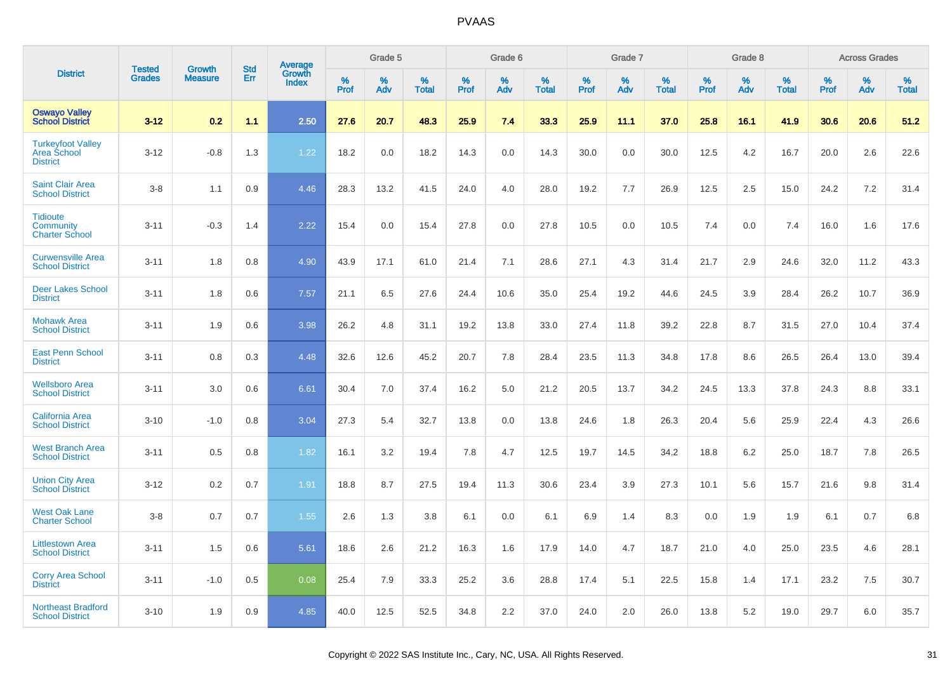|                                                                   |                                |                                 | <b>Std</b> |                                          |              | Grade 5  |                   |           | Grade 6  |                   |              | Grade 7  |                   |              | Grade 8  |                   |              | <b>Across Grades</b> |                   |
|-------------------------------------------------------------------|--------------------------------|---------------------------------|------------|------------------------------------------|--------------|----------|-------------------|-----------|----------|-------------------|--------------|----------|-------------------|--------------|----------|-------------------|--------------|----------------------|-------------------|
| <b>District</b>                                                   | <b>Tested</b><br><b>Grades</b> | <b>Growth</b><br><b>Measure</b> | Err        | <b>Average</b><br>Growth<br><b>Index</b> | $\%$<br>Prof | %<br>Adv | %<br><b>Total</b> | %<br>Prof | %<br>Adv | %<br><b>Total</b> | $\%$<br>Prof | %<br>Adv | %<br><b>Total</b> | $\%$<br>Prof | %<br>Adv | %<br><b>Total</b> | $\%$<br>Prof | %<br>Adv             | %<br><b>Total</b> |
| <b>Oswayo Valley</b><br><b>School District</b>                    | $3 - 12$                       | 0.2                             | 1.1        | 2.50                                     | 27.6         | 20.7     | 48.3              | 25.9      | 7.4      | 33.3              | 25.9         | 11.1     | 37.0              | 25.8         | 16.1     | 41.9              | 30.6         | 20.6                 | 51.2              |
| <b>Turkeyfoot Valley</b><br><b>Area School</b><br><b>District</b> | $3 - 12$                       | $-0.8$                          | 1.3        | 1.22                                     | 18.2         | 0.0      | 18.2              | 14.3      | 0.0      | 14.3              | 30.0         | 0.0      | 30.0              | 12.5         | 4.2      | 16.7              | 20.0         | 2.6                  | 22.6              |
| <b>Saint Clair Area</b><br><b>School District</b>                 | $3 - 8$                        | 1.1                             | 0.9        | 4.46                                     | 28.3         | 13.2     | 41.5              | 24.0      | 4.0      | 28.0              | 19.2         | 7.7      | 26.9              | 12.5         | 2.5      | 15.0              | 24.2         | 7.2                  | 31.4              |
| <b>Tidioute</b><br><b>Community</b><br><b>Charter School</b>      | $3 - 11$                       | $-0.3$                          | 1.4        | 2.22                                     | 15.4         | 0.0      | 15.4              | 27.8      | 0.0      | 27.8              | 10.5         | 0.0      | 10.5              | 7.4          | 0.0      | 7.4               | 16.0         | 1.6                  | 17.6              |
| <b>Curwensville Area</b><br><b>School District</b>                | $3 - 11$                       | 1.8                             | 0.8        | 4.90                                     | 43.9         | 17.1     | 61.0              | 21.4      | 7.1      | 28.6              | 27.1         | 4.3      | 31.4              | 21.7         | 2.9      | 24.6              | 32.0         | 11.2                 | 43.3              |
| <b>Deer Lakes School</b><br><b>District</b>                       | $3 - 11$                       | 1.8                             | 0.6        | 7.57                                     | 21.1         | 6.5      | 27.6              | 24.4      | 10.6     | 35.0              | 25.4         | 19.2     | 44.6              | 24.5         | 3.9      | 28.4              | 26.2         | 10.7                 | 36.9              |
| <b>Mohawk Area</b><br><b>School District</b>                      | $3 - 11$                       | 1.9                             | 0.6        | 3.98                                     | 26.2         | 4.8      | 31.1              | 19.2      | 13.8     | 33.0              | 27.4         | 11.8     | 39.2              | 22.8         | 8.7      | 31.5              | 27.0         | 10.4                 | 37.4              |
| <b>East Penn School</b><br><b>District</b>                        | $3 - 11$                       | 0.8                             | 0.3        | 4.48                                     | 32.6         | 12.6     | 45.2              | 20.7      | 7.8      | 28.4              | 23.5         | 11.3     | 34.8              | 17.8         | 8.6      | 26.5              | 26.4         | 13.0                 | 39.4              |
| <b>Wellsboro Area</b><br><b>School District</b>                   | $3 - 11$                       | 3.0                             | 0.6        | 6.61                                     | 30.4         | 7.0      | 37.4              | 16.2      | 5.0      | 21.2              | 20.5         | 13.7     | 34.2              | 24.5         | 13.3     | 37.8              | 24.3         | 8.8                  | 33.1              |
| <b>California Area</b><br><b>School District</b>                  | $3 - 10$                       | $-1.0$                          | 0.8        | 3.04                                     | 27.3         | 5.4      | 32.7              | 13.8      | 0.0      | 13.8              | 24.6         | 1.8      | 26.3              | 20.4         | 5.6      | 25.9              | 22.4         | 4.3                  | 26.6              |
| <b>West Branch Area</b><br><b>School District</b>                 | $3 - 11$                       | 0.5                             | 0.8        | 1.82                                     | 16.1         | 3.2      | 19.4              | 7.8       | 4.7      | 12.5              | 19.7         | 14.5     | 34.2              | 18.8         | 6.2      | 25.0              | 18.7         | 7.8                  | 26.5              |
| <b>Union City Area</b><br><b>School District</b>                  | $3 - 12$                       | 0.2                             | 0.7        | 1.91                                     | 18.8         | 8.7      | 27.5              | 19.4      | 11.3     | 30.6              | 23.4         | 3.9      | 27.3              | 10.1         | 5.6      | 15.7              | 21.6         | 9.8                  | 31.4              |
| <b>West Oak Lane</b><br><b>Charter School</b>                     | $3 - 8$                        | 0.7                             | 0.7        | 1.55                                     | 2.6          | 1.3      | 3.8               | 6.1       | 0.0      | 6.1               | 6.9          | 1.4      | 8.3               | 0.0          | 1.9      | 1.9               | 6.1          | 0.7                  | 6.8               |
| <b>Littlestown Area</b><br><b>School District</b>                 | $3 - 11$                       | 1.5                             | 0.6        | 5.61                                     | 18.6         | 2.6      | 21.2              | 16.3      | 1.6      | 17.9              | 14.0         | 4.7      | 18.7              | 21.0         | 4.0      | 25.0              | 23.5         | 4.6                  | 28.1              |
| <b>Corry Area School</b><br><b>District</b>                       | $3 - 11$                       | $-1.0$                          | 0.5        | 0.08                                     | 25.4         | 7.9      | 33.3              | 25.2      | 3.6      | 28.8              | 17.4         | 5.1      | 22.5              | 15.8         | 1.4      | 17.1              | 23.2         | 7.5                  | 30.7              |
| <b>Northeast Bradford</b><br><b>School District</b>               | $3 - 10$                       | 1.9                             | 0.9        | 4.85                                     | 40.0         | 12.5     | 52.5              | 34.8      | 2.2      | 37.0              | 24.0         | 2.0      | 26.0              | 13.8         | 5.2      | 19.0              | 29.7         | 6.0                  | 35.7              |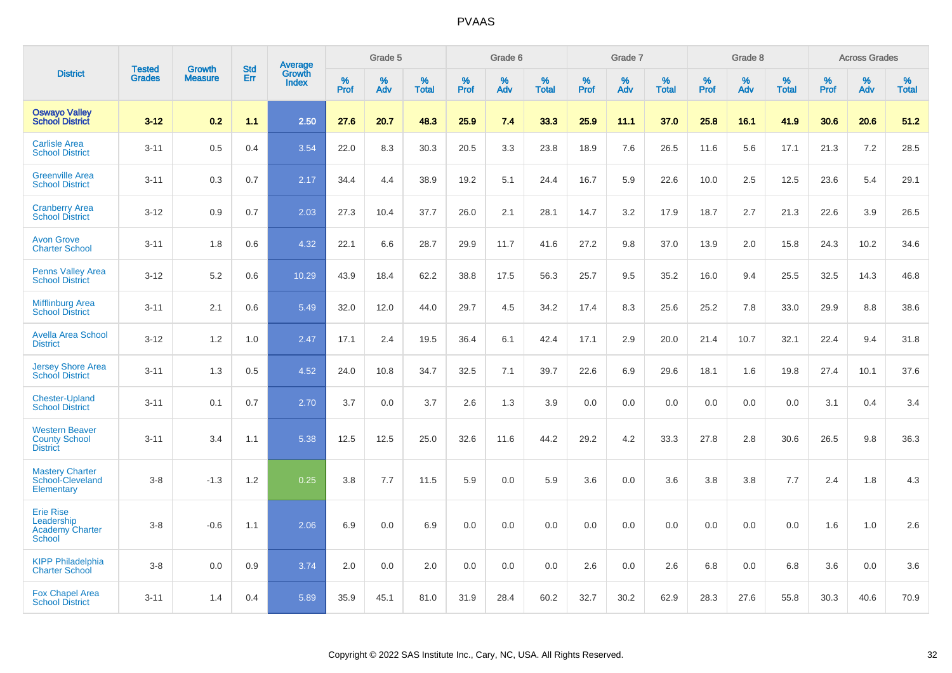|                                                                           | <b>Tested</b> | <b>Growth</b>  | <b>Std</b> | Average                |              | Grade 5  |                   |           | Grade 6  |                   |              | Grade 7  |                   |              | Grade 8  |                   |              | <b>Across Grades</b> |                   |
|---------------------------------------------------------------------------|---------------|----------------|------------|------------------------|--------------|----------|-------------------|-----------|----------|-------------------|--------------|----------|-------------------|--------------|----------|-------------------|--------------|----------------------|-------------------|
| <b>District</b>                                                           | <b>Grades</b> | <b>Measure</b> | Err        | Growth<br><b>Index</b> | $\%$<br>Prof | %<br>Adv | %<br><b>Total</b> | %<br>Prof | %<br>Adv | %<br><b>Total</b> | $\%$<br>Prof | %<br>Adv | %<br><b>Total</b> | $\%$<br>Prof | %<br>Adv | %<br><b>Total</b> | $\%$<br>Prof | $\%$<br>Adv          | %<br><b>Total</b> |
| <b>Oswayo Valley</b><br><b>School District</b>                            | $3 - 12$      | 0.2            | 1.1        | 2.50                   | 27.6         | 20.7     | 48.3              | 25.9      | 7.4      | 33.3              | 25.9         | 11.1     | 37.0              | 25.8         | 16.1     | 41.9              | 30.6         | 20.6                 | 51.2              |
| <b>Carlisle Area</b><br><b>School District</b>                            | $3 - 11$      | 0.5            | 0.4        | 3.54                   | 22.0         | 8.3      | 30.3              | 20.5      | 3.3      | 23.8              | 18.9         | 7.6      | 26.5              | 11.6         | 5.6      | 17.1              | 21.3         | 7.2                  | 28.5              |
| <b>Greenville Area</b><br><b>School District</b>                          | $3 - 11$      | 0.3            | 0.7        | 2.17                   | 34.4         | 4.4      | 38.9              | 19.2      | 5.1      | 24.4              | 16.7         | 5.9      | 22.6              | 10.0         | 2.5      | 12.5              | 23.6         | 5.4                  | 29.1              |
| <b>Cranberry Area</b><br><b>School District</b>                           | $3 - 12$      | 0.9            | 0.7        | 2.03                   | 27.3         | 10.4     | 37.7              | 26.0      | 2.1      | 28.1              | 14.7         | 3.2      | 17.9              | 18.7         | 2.7      | 21.3              | 22.6         | 3.9                  | 26.5              |
| <b>Avon Grove</b><br><b>Charter School</b>                                | $3 - 11$      | 1.8            | 0.6        | 4.32                   | 22.1         | 6.6      | 28.7              | 29.9      | 11.7     | 41.6              | 27.2         | 9.8      | 37.0              | 13.9         | 2.0      | 15.8              | 24.3         | 10.2                 | 34.6              |
| <b>Penns Valley Area</b><br><b>School District</b>                        | $3 - 12$      | 5.2            | 0.6        | 10.29                  | 43.9         | 18.4     | 62.2              | 38.8      | 17.5     | 56.3              | 25.7         | 9.5      | 35.2              | 16.0         | 9.4      | 25.5              | 32.5         | 14.3                 | 46.8              |
| <b>Mifflinburg Area</b><br><b>School District</b>                         | $3 - 11$      | 2.1            | 0.6        | 5.49                   | 32.0         | 12.0     | 44.0              | 29.7      | 4.5      | 34.2              | 17.4         | 8.3      | 25.6              | 25.2         | 7.8      | 33.0              | 29.9         | 8.8                  | 38.6              |
| <b>Avella Area School</b><br><b>District</b>                              | $3 - 12$      | 1.2            | 1.0        | 2.47                   | 17.1         | 2.4      | 19.5              | 36.4      | 6.1      | 42.4              | 17.1         | 2.9      | 20.0              | 21.4         | 10.7     | 32.1              | 22.4         | 9.4                  | 31.8              |
| <b>Jersey Shore Area</b><br><b>School District</b>                        | $3 - 11$      | 1.3            | 0.5        | 4.52                   | 24.0         | 10.8     | 34.7              | 32.5      | 7.1      | 39.7              | 22.6         | 6.9      | 29.6              | 18.1         | 1.6      | 19.8              | 27.4         | 10.1                 | 37.6              |
| <b>Chester-Upland</b><br><b>School District</b>                           | $3 - 11$      | 0.1            | 0.7        | 2.70                   | 3.7          | 0.0      | 3.7               | 2.6       | 1.3      | 3.9               | 0.0          | 0.0      | 0.0               | 0.0          | 0.0      | 0.0               | 3.1          | 0.4                  | 3.4               |
| <b>Western Beaver</b><br><b>County School</b><br><b>District</b>          | $3 - 11$      | 3.4            | 1.1        | 5.38                   | 12.5         | 12.5     | 25.0              | 32.6      | 11.6     | 44.2              | 29.2         | 4.2      | 33.3              | 27.8         | 2.8      | 30.6              | 26.5         | 9.8                  | 36.3              |
| <b>Mastery Charter</b><br>School-Cleveland<br>Elementary                  | $3 - 8$       | $-1.3$         | 1.2        | 0.25                   | 3.8          | 7.7      | 11.5              | 5.9       | 0.0      | 5.9               | 3.6          | 0.0      | 3.6               | 3.8          | 3.8      | 7.7               | 2.4          | 1.8                  | 4.3               |
| <b>Erie Rise</b><br>Leadership<br><b>Academy Charter</b><br><b>School</b> | $3 - 8$       | $-0.6$         | 1.1        | 2.06                   | 6.9          | 0.0      | 6.9               | 0.0       | 0.0      | 0.0               | 0.0          | 0.0      | 0.0               | 0.0          | 0.0      | 0.0               | 1.6          | 1.0                  | 2.6               |
| <b>KIPP Philadelphia</b><br><b>Charter School</b>                         | $3 - 8$       | 0.0            | 0.9        | 3.74                   | 2.0          | 0.0      | 2.0               | 0.0       | 0.0      | 0.0               | 2.6          | 0.0      | 2.6               | 6.8          | 0.0      | 6.8               | 3.6          | 0.0                  | 3.6               |
| <b>Fox Chapel Area</b><br><b>School District</b>                          | $3 - 11$      | 1.4            | 0.4        | 5.89                   | 35.9         | 45.1     | 81.0              | 31.9      | 28.4     | 60.2              | 32.7         | 30.2     | 62.9              | 28.3         | 27.6     | 55.8              | 30.3         | 40.6                 | 70.9              |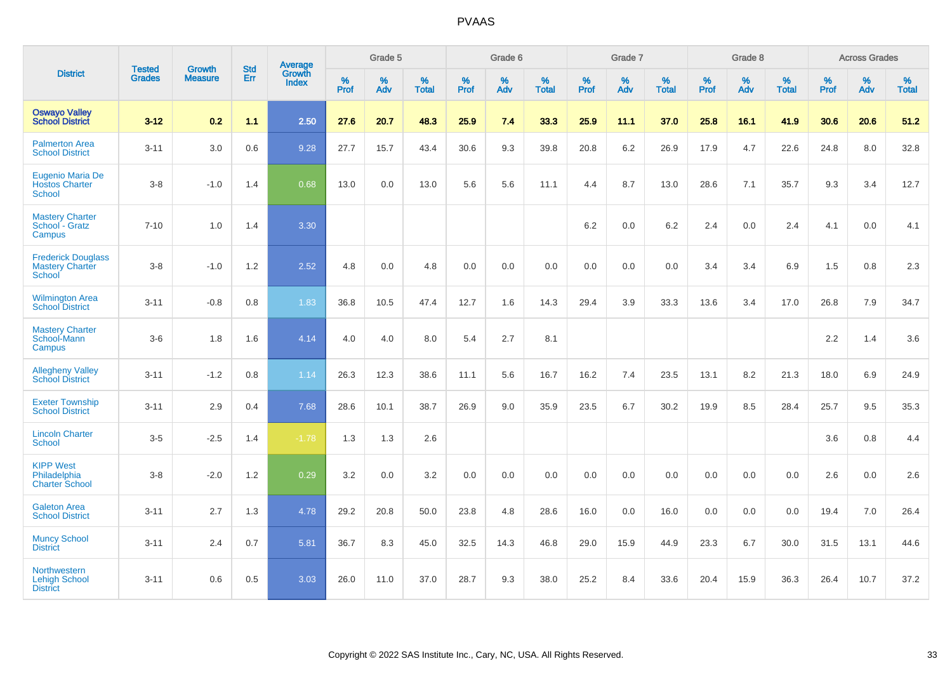|                                                               |                                | <b>Growth</b>  | <b>Std</b> | Average         |              | Grade 5  |                   |              | Grade 6  |                   |              | Grade 7  |                   |              | Grade 8  |                   |              | <b>Across Grades</b> |                   |
|---------------------------------------------------------------|--------------------------------|----------------|------------|-----------------|--------------|----------|-------------------|--------------|----------|-------------------|--------------|----------|-------------------|--------------|----------|-------------------|--------------|----------------------|-------------------|
| <b>District</b>                                               | <b>Tested</b><br><b>Grades</b> | <b>Measure</b> | Err        | Growth<br>Index | $\%$<br>Prof | %<br>Adv | %<br><b>Total</b> | $\%$<br>Prof | %<br>Adv | %<br><b>Total</b> | $\%$<br>Prof | %<br>Adv | %<br><b>Total</b> | $\%$<br>Prof | %<br>Adv | %<br><b>Total</b> | $\%$<br>Prof | $\%$<br>Adv          | %<br><b>Total</b> |
| <b>Oswayo Valley</b><br><b>School District</b>                | $3 - 12$                       | 0.2            | 1.1        | 2.50            | 27.6         | 20.7     | 48.3              | 25.9         | 7.4      | 33.3              | 25.9         | 11.1     | 37.0              | 25.8         | 16.1     | 41.9              | 30.6         | 20.6                 | 51.2              |
| <b>Palmerton Area</b><br><b>School District</b>               | $3 - 11$                       | 3.0            | 0.6        | 9.28            | 27.7         | 15.7     | 43.4              | 30.6         | 9.3      | 39.8              | 20.8         | 6.2      | 26.9              | 17.9         | 4.7      | 22.6              | 24.8         | 8.0                  | 32.8              |
| Eugenio Maria De<br><b>Hostos Charter</b><br><b>School</b>    | $3 - 8$                        | $-1.0$         | 1.4        | 0.68            | 13.0         | 0.0      | 13.0              | 5.6          | 5.6      | 11.1              | 4.4          | 8.7      | 13.0              | 28.6         | 7.1      | 35.7              | 9.3          | 3.4                  | 12.7              |
| <b>Mastery Charter</b><br>School - Gratz<br>Campus            | $7 - 10$                       | 1.0            | 1.4        | 3.30            |              |          |                   |              |          |                   | 6.2          | 0.0      | 6.2               | 2.4          | 0.0      | 2.4               | 4.1          | 0.0                  | 4.1               |
| <b>Frederick Douglass</b><br><b>Mastery Charter</b><br>School | $3 - 8$                        | $-1.0$         | 1.2        | 2.52            | 4.8          | 0.0      | 4.8               | 0.0          | 0.0      | 0.0               | 0.0          | 0.0      | 0.0               | 3.4          | 3.4      | 6.9               | 1.5          | 0.8                  | $2.3\,$           |
| <b>Wilmington Area</b><br><b>School District</b>              | $3 - 11$                       | $-0.8$         | 0.8        | 1.83            | 36.8         | 10.5     | 47.4              | 12.7         | 1.6      | 14.3              | 29.4         | 3.9      | 33.3              | 13.6         | 3.4      | 17.0              | 26.8         | 7.9                  | 34.7              |
| <b>Mastery Charter</b><br>School-Mann<br>Campus               | $3-6$                          | 1.8            | 1.6        | 4.14            | 4.0          | 4.0      | 8.0               | 5.4          | 2.7      | 8.1               |              |          |                   |              |          |                   | $2.2\,$      | 1.4                  | 3.6               |
| <b>Allegheny Valley</b><br><b>School District</b>             | $3 - 11$                       | $-1.2$         | $0.8\,$    | 1.14            | 26.3         | 12.3     | 38.6              | 11.1         | 5.6      | 16.7              | 16.2         | 7.4      | 23.5              | 13.1         | 8.2      | 21.3              | 18.0         | 6.9                  | 24.9              |
| <b>Exeter Township</b><br><b>School District</b>              | $3 - 11$                       | 2.9            | 0.4        | 7.68            | 28.6         | 10.1     | 38.7              | 26.9         | 9.0      | 35.9              | 23.5         | 6.7      | 30.2              | 19.9         | 8.5      | 28.4              | 25.7         | 9.5                  | 35.3              |
| <b>Lincoln Charter</b><br><b>School</b>                       | $3 - 5$                        | $-2.5$         | 1.4        | $-1.78$         | 1.3          | 1.3      | 2.6               |              |          |                   |              |          |                   |              |          |                   | 3.6          | 0.8                  | 4.4               |
| <b>KIPP West</b><br>Philadelphia<br><b>Charter School</b>     | $3 - 8$                        | $-2.0$         | 1.2        | 0.29            | 3.2          | 0.0      | 3.2               | 0.0          | 0.0      | 0.0               | 0.0          | 0.0      | 0.0               | 0.0          | 0.0      | 0.0               | 2.6          | 0.0                  | 2.6               |
| <b>Galeton Area</b><br><b>School District</b>                 | $3 - 11$                       | 2.7            | 1.3        | 4.78            | 29.2         | 20.8     | 50.0              | 23.8         | 4.8      | 28.6              | 16.0         | 0.0      | 16.0              | 0.0          | 0.0      | 0.0               | 19.4         | 7.0                  | 26.4              |
| <b>Muncy School</b><br><b>District</b>                        | $3 - 11$                       | 2.4            | 0.7        | 5.81            | 36.7         | 8.3      | 45.0              | 32.5         | 14.3     | 46.8              | 29.0         | 15.9     | 44.9              | 23.3         | 6.7      | 30.0              | 31.5         | 13.1                 | 44.6              |
| Northwestern<br><b>Lehigh School</b><br><b>District</b>       | $3 - 11$                       | 0.6            | 0.5        | 3.03            | 26.0         | 11.0     | 37.0              | 28.7         | 9.3      | 38.0              | 25.2         | 8.4      | 33.6              | 20.4         | 15.9     | 36.3              | 26.4         | 10.7                 | 37.2              |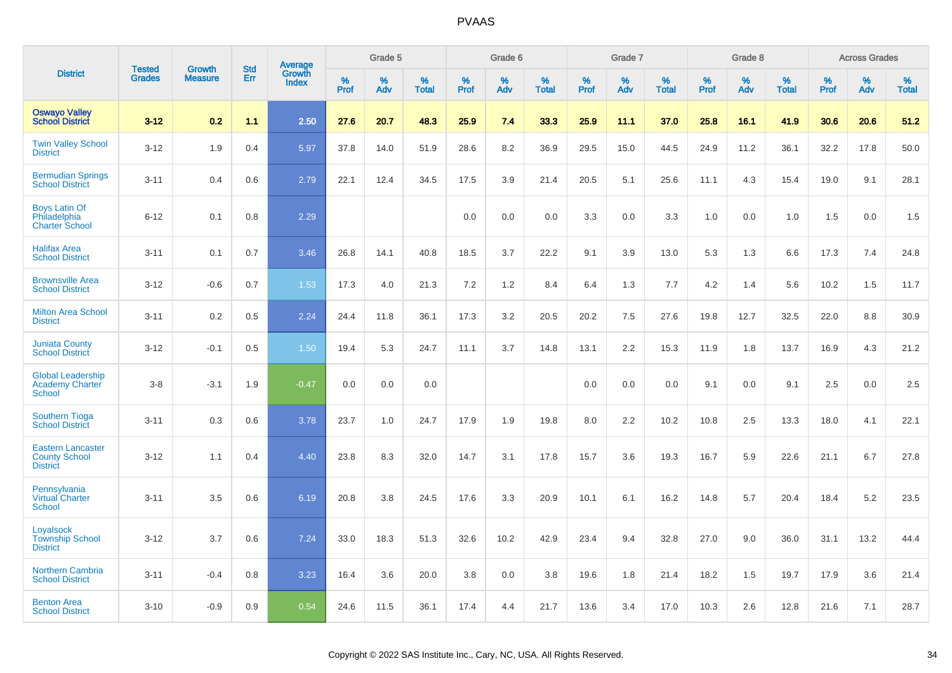|                                                                     | <b>Tested</b> | <b>Growth</b>  | <b>Std</b> |                                          |              | Grade 5  |                   |           | Grade 6  |                   |           | Grade 7  |                   |           | Grade 8  |                   |              | <b>Across Grades</b> |                   |
|---------------------------------------------------------------------|---------------|----------------|------------|------------------------------------------|--------------|----------|-------------------|-----------|----------|-------------------|-----------|----------|-------------------|-----------|----------|-------------------|--------------|----------------------|-------------------|
| <b>District</b>                                                     | <b>Grades</b> | <b>Measure</b> | <b>Err</b> | <b>Average</b><br>Growth<br><b>Index</b> | $\%$<br>Prof | %<br>Adv | %<br><b>Total</b> | %<br>Prof | %<br>Adv | %<br><b>Total</b> | %<br>Prof | %<br>Adv | %<br><b>Total</b> | %<br>Prof | %<br>Adv | %<br><b>Total</b> | $\%$<br>Prof | %<br>Adv             | %<br><b>Total</b> |
| <b>Oswayo Valley</b><br><b>School District</b>                      | $3 - 12$      | 0.2            | 1.1        | 2.50                                     | 27.6         | 20.7     | 48.3              | 25.9      | 7.4      | 33.3              | 25.9      | 11.1     | 37.0              | 25.8      | 16.1     | 41.9              | 30.6         | 20.6                 | 51.2              |
| <b>Twin Valley School</b><br><b>District</b>                        | $3 - 12$      | 1.9            | 0.4        | 5.97                                     | 37.8         | 14.0     | 51.9              | 28.6      | 8.2      | 36.9              | 29.5      | 15.0     | 44.5              | 24.9      | 11.2     | 36.1              | 32.2         | 17.8                 | 50.0              |
| <b>Bermudian Springs</b><br><b>School District</b>                  | $3 - 11$      | 0.4            | 0.6        | 2.79                                     | 22.1         | 12.4     | 34.5              | 17.5      | 3.9      | 21.4              | 20.5      | 5.1      | 25.6              | 11.1      | 4.3      | 15.4              | 19.0         | 9.1                  | 28.1              |
| <b>Boys Latin Of</b><br>Philadelphia<br><b>Charter School</b>       | $6 - 12$      | 0.1            | 0.8        | 2.29                                     |              |          |                   | 0.0       | 0.0      | 0.0               | 3.3       | 0.0      | 3.3               | 1.0       | 0.0      | 1.0               | 1.5          | 0.0                  | 1.5               |
| <b>Halifax Area</b><br><b>School District</b>                       | $3 - 11$      | 0.1            | 0.7        | 3.46                                     | 26.8         | 14.1     | 40.8              | 18.5      | 3.7      | 22.2              | 9.1       | 3.9      | 13.0              | 5.3       | 1.3      | 6.6               | 17.3         | 7.4                  | 24.8              |
| <b>Brownsville Area</b><br><b>School District</b>                   | $3 - 12$      | $-0.6$         | 0.7        | 1.53                                     | 17.3         | 4.0      | 21.3              | 7.2       | 1.2      | 8.4               | 6.4       | 1.3      | 7.7               | 4.2       | 1.4      | 5.6               | 10.2         | 1.5                  | 11.7              |
| <b>Milton Area School</b><br><b>District</b>                        | $3 - 11$      | 0.2            | 0.5        | 2.24                                     | 24.4         | 11.8     | 36.1              | 17.3      | 3.2      | 20.5              | 20.2      | 7.5      | 27.6              | 19.8      | 12.7     | 32.5              | 22.0         | 8.8                  | 30.9              |
| <b>Juniata County</b><br><b>School District</b>                     | $3 - 12$      | $-0.1$         | 0.5        | 1.50                                     | 19.4         | 5.3      | 24.7              | 11.1      | 3.7      | 14.8              | 13.1      | 2.2      | 15.3              | 11.9      | 1.8      | 13.7              | 16.9         | 4.3                  | 21.2              |
| <b>Global Leadership</b><br><b>Academy Charter</b><br>School        | $3 - 8$       | $-3.1$         | 1.9        | $-0.47$                                  | 0.0          | 0.0      | 0.0               |           |          |                   | 0.0       | 0.0      | 0.0               | 9.1       | 0.0      | 9.1               | 2.5          | 0.0                  | 2.5               |
| <b>Southern Tioga</b><br><b>School District</b>                     | $3 - 11$      | 0.3            | 0.6        | 3.78                                     | 23.7         | 1.0      | 24.7              | 17.9      | 1.9      | 19.8              | 8.0       | 2.2      | 10.2              | 10.8      | 2.5      | 13.3              | 18.0         | 4.1                  | 22.1              |
| <b>Eastern Lancaster</b><br><b>County School</b><br><b>District</b> | $3 - 12$      | 1.1            | 0.4        | 4.40                                     | 23.8         | 8.3      | 32.0              | 14.7      | 3.1      | 17.8              | 15.7      | 3.6      | 19.3              | 16.7      | 5.9      | 22.6              | 21.1         | 6.7                  | 27.8              |
| Pennsylvania<br><b>Virtual Charter</b><br><b>School</b>             | $3 - 11$      | 3.5            | 0.6        | 6.19                                     | 20.8         | 3.8      | 24.5              | 17.6      | 3.3      | 20.9              | 10.1      | 6.1      | 16.2              | 14.8      | 5.7      | 20.4              | 18.4         | 5.2                  | 23.5              |
| Loyalsock<br><b>Township School</b><br><b>District</b>              | $3 - 12$      | 3.7            | 0.6        | 7.24                                     | 33.0         | 18.3     | 51.3              | 32.6      | 10.2     | 42.9              | 23.4      | 9.4      | 32.8              | 27.0      | 9.0      | 36.0              | 31.1         | 13.2                 | 44.4              |
| <b>Northern Cambria</b><br><b>School District</b>                   | $3 - 11$      | $-0.4$         | 0.8        | 3.23                                     | 16.4         | 3.6      | 20.0              | 3.8       | 0.0      | 3.8               | 19.6      | 1.8      | 21.4              | 18.2      | 1.5      | 19.7              | 17.9         | 3.6                  | 21.4              |
| <b>Benton Area</b><br><b>School District</b>                        | $3 - 10$      | $-0.9$         | 0.9        | 0.54                                     | 24.6         | 11.5     | 36.1              | 17.4      | 4.4      | 21.7              | 13.6      | 3.4      | 17.0              | 10.3      | 2.6      | 12.8              | 21.6         | 7.1                  | 28.7              |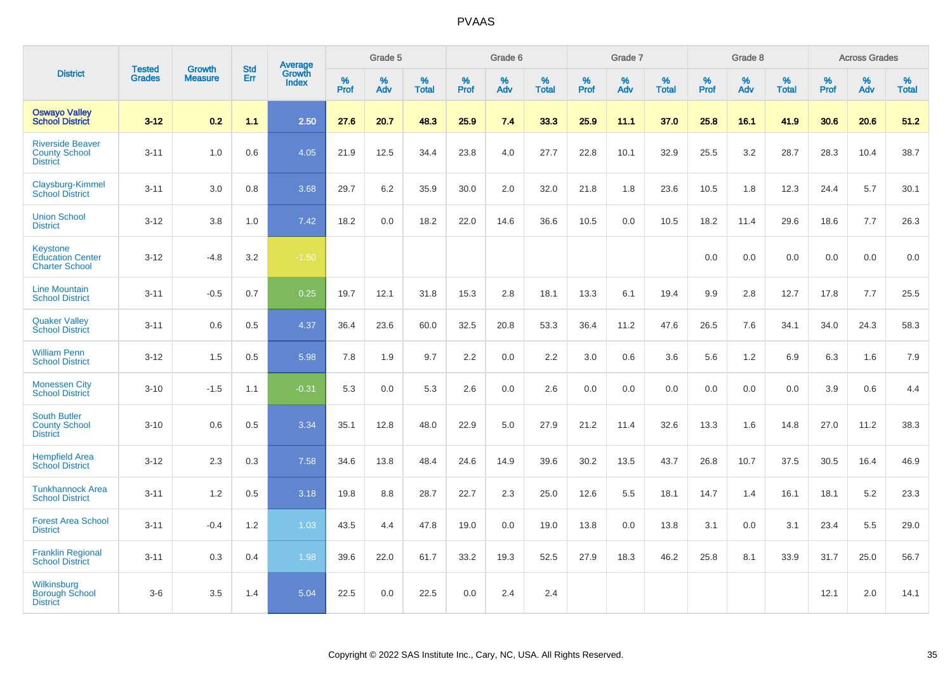|                                                                    |                                |                                 | <b>Std</b> | <b>Average</b>                |                  | Grade 5  |                   |                  | Grade 6  |                   |                  | Grade 7  |                   |                  | Grade 8  |                   |                  | <b>Across Grades</b> |                   |
|--------------------------------------------------------------------|--------------------------------|---------------------------------|------------|-------------------------------|------------------|----------|-------------------|------------------|----------|-------------------|------------------|----------|-------------------|------------------|----------|-------------------|------------------|----------------------|-------------------|
| <b>District</b>                                                    | <b>Tested</b><br><b>Grades</b> | <b>Growth</b><br><b>Measure</b> | Err        | <b>Growth</b><br><b>Index</b> | %<br><b>Prof</b> | %<br>Adv | %<br><b>Total</b> | %<br><b>Prof</b> | %<br>Adv | %<br><b>Total</b> | %<br><b>Prof</b> | %<br>Adv | %<br><b>Total</b> | %<br><b>Prof</b> | %<br>Adv | %<br><b>Total</b> | %<br><b>Prof</b> | %<br>Adv             | %<br><b>Total</b> |
| <b>Oswayo Valley</b><br><b>School District</b>                     | $3 - 12$                       | 0.2                             | 1.1        | 2.50                          | 27.6             | 20.7     | 48.3              | 25.9             | 7.4      | 33.3              | 25.9             | 11.1     | 37.0              | 25.8             | 16.1     | 41.9              | 30.6             | 20.6                 | 51.2              |
| <b>Riverside Beaver</b><br><b>County School</b><br><b>District</b> | $3 - 11$                       | 1.0                             | 0.6        | 4.05                          | 21.9             | 12.5     | 34.4              | 23.8             | 4.0      | 27.7              | 22.8             | 10.1     | 32.9              | 25.5             | 3.2      | 28.7              | 28.3             | 10.4                 | 38.7              |
| Claysburg-Kimmel<br><b>School District</b>                         | $3 - 11$                       | 3.0                             | 0.8        | 3.68                          | 29.7             | 6.2      | 35.9              | 30.0             | 2.0      | 32.0              | 21.8             | 1.8      | 23.6              | 10.5             | 1.8      | 12.3              | 24.4             | 5.7                  | 30.1              |
| <b>Union School</b><br><b>District</b>                             | $3 - 12$                       | 3.8                             | 1.0        | 7.42                          | 18.2             | 0.0      | 18.2              | 22.0             | 14.6     | 36.6              | 10.5             | 0.0      | 10.5              | 18.2             | 11.4     | 29.6              | 18.6             | 7.7                  | 26.3              |
| Keystone<br><b>Education Center</b><br><b>Charter School</b>       | $3 - 12$                       | $-4.8$                          | 3.2        | $-1.50$                       |                  |          |                   |                  |          |                   |                  |          |                   | 0.0              | 0.0      | 0.0               | 0.0              | 0.0                  | 0.0               |
| <b>Line Mountain</b><br><b>School District</b>                     | $3 - 11$                       | $-0.5$                          | 0.7        | 0.25                          | 19.7             | 12.1     | 31.8              | 15.3             | 2.8      | 18.1              | 13.3             | 6.1      | 19.4              | 9.9              | 2.8      | 12.7              | 17.8             | 7.7                  | 25.5              |
| <b>Quaker Valley</b><br><b>School District</b>                     | $3 - 11$                       | 0.6                             | 0.5        | 4.37                          | 36.4             | 23.6     | 60.0              | 32.5             | 20.8     | 53.3              | 36.4             | 11.2     | 47.6              | 26.5             | 7.6      | 34.1              | 34.0             | 24.3                 | 58.3              |
| <b>William Penn</b><br><b>School District</b>                      | $3 - 12$                       | 1.5                             | 0.5        | 5.98                          | 7.8              | 1.9      | 9.7               | 2.2              | 0.0      | 2.2               | 3.0              | 0.6      | 3.6               | 5.6              | 1.2      | 6.9               | 6.3              | 1.6                  | 7.9               |
| <b>Monessen City</b><br><b>School District</b>                     | $3 - 10$                       | $-1.5$                          | 1.1        | $-0.31$                       | 5.3              | 0.0      | 5.3               | 2.6              | 0.0      | 2.6               | 0.0              | 0.0      | 0.0               | 0.0              | 0.0      | 0.0               | 3.9              | 0.6                  | 4.4               |
| <b>South Butler</b><br><b>County School</b><br><b>District</b>     | $3 - 10$                       | 0.6                             | 0.5        | 3.34                          | 35.1             | 12.8     | 48.0              | 22.9             | 5.0      | 27.9              | 21.2             | 11.4     | 32.6              | 13.3             | 1.6      | 14.8              | 27.0             | 11.2                 | 38.3              |
| <b>Hempfield Area</b><br><b>School District</b>                    | $3 - 12$                       | 2.3                             | 0.3        | 7.58                          | 34.6             | 13.8     | 48.4              | 24.6             | 14.9     | 39.6              | 30.2             | 13.5     | 43.7              | 26.8             | 10.7     | 37.5              | 30.5             | 16.4                 | 46.9              |
| <b>Tunkhannock Area</b><br><b>School District</b>                  | $3 - 11$                       | 1.2                             | 0.5        | 3.18                          | 19.8             | 8.8      | 28.7              | 22.7             | 2.3      | 25.0              | 12.6             | 5.5      | 18.1              | 14.7             | 1.4      | 16.1              | 18.1             | 5.2                  | 23.3              |
| <b>Forest Area School</b><br><b>District</b>                       | $3 - 11$                       | $-0.4$                          | 1.2        | 1.03                          | 43.5             | 4.4      | 47.8              | 19.0             | 0.0      | 19.0              | 13.8             | 0.0      | 13.8              | 3.1              | 0.0      | 3.1               | 23.4             | 5.5                  | 29.0              |
| <b>Franklin Regional</b><br><b>School District</b>                 | $3 - 11$                       | 0.3                             | 0.4        | 1.98                          | 39.6             | 22.0     | 61.7              | 33.2             | 19.3     | 52.5              | 27.9             | 18.3     | 46.2              | 25.8             | 8.1      | 33.9              | 31.7             | 25.0                 | 56.7              |
| Wilkinsburg<br><b>Borough School</b><br><b>District</b>            | $3-6$                          | 3.5                             | 1.4        | 5.04                          | 22.5             | 0.0      | 22.5              | 0.0              | 2.4      | 2.4               |                  |          |                   |                  |          |                   | 12.1             | 2.0                  | 14.1              |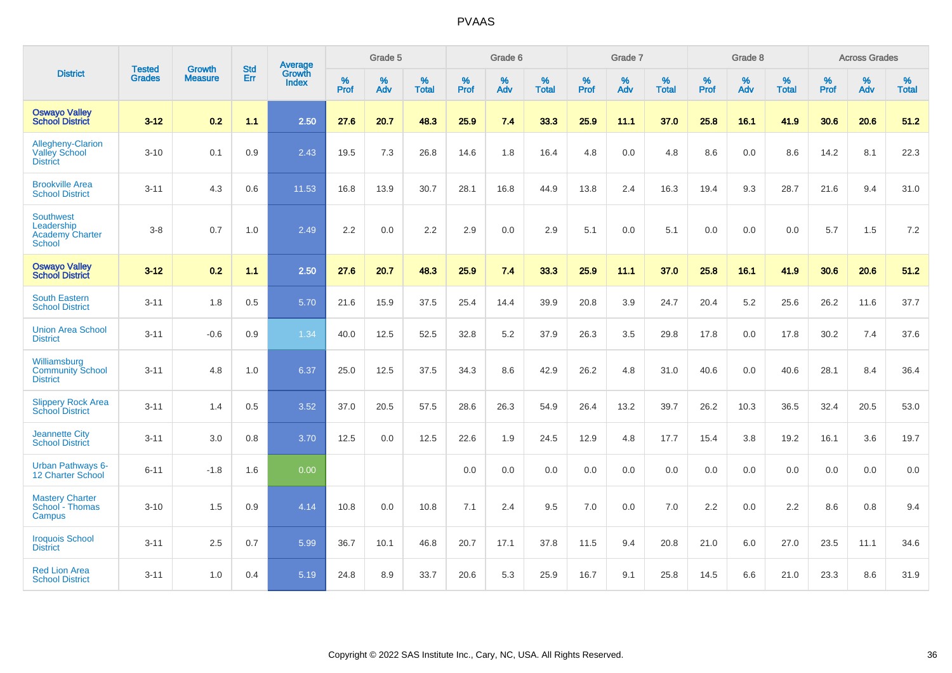|                                                                           | <b>Tested</b> | <b>Growth</b>  | <b>Std</b> | Average                |                     | Grade 5     |                   |                     | Grade 6  |                   |                     | Grade 7  |                   |              | Grade 8  |                   |                     | <b>Across Grades</b> |                   |
|---------------------------------------------------------------------------|---------------|----------------|------------|------------------------|---------------------|-------------|-------------------|---------------------|----------|-------------------|---------------------|----------|-------------------|--------------|----------|-------------------|---------------------|----------------------|-------------------|
| <b>District</b>                                                           | <b>Grades</b> | <b>Measure</b> | Err        | Growth<br><b>Index</b> | $\%$<br><b>Prof</b> | $\%$<br>Adv | %<br><b>Total</b> | $\%$<br><b>Prof</b> | %<br>Adv | %<br><b>Total</b> | $\%$<br><b>Prof</b> | %<br>Adv | %<br><b>Total</b> | $\%$<br>Prof | %<br>Adv | %<br><b>Total</b> | $\%$<br><b>Prof</b> | %<br>Adv             | %<br><b>Total</b> |
| <b>Oswayo Valley</b><br><b>School District</b>                            | $3 - 12$      | 0.2            | 1.1        | 2.50                   | 27.6                | 20.7        | 48.3              | 25.9                | 7.4      | 33.3              | 25.9                | 11.1     | 37.0              | 25.8         | 16.1     | 41.9              | 30.6                | 20.6                 | 51.2              |
| Allegheny-Clarion<br><b>Valley School</b><br><b>District</b>              | $3 - 10$      | 0.1            | 0.9        | 2.43                   | 19.5                | 7.3         | 26.8              | 14.6                | 1.8      | 16.4              | 4.8                 | 0.0      | 4.8               | 8.6          | 0.0      | 8.6               | 14.2                | 8.1                  | 22.3              |
| <b>Brookville Area</b><br><b>School District</b>                          | $3 - 11$      | 4.3            | 0.6        | 11.53                  | 16.8                | 13.9        | 30.7              | 28.1                | 16.8     | 44.9              | 13.8                | 2.4      | 16.3              | 19.4         | 9.3      | 28.7              | 21.6                | 9.4                  | 31.0              |
| <b>Southwest</b><br>Leadership<br><b>Academy Charter</b><br><b>School</b> | $3-8$         | 0.7            | 1.0        | 2.49                   | 2.2                 | 0.0         | 2.2               | 2.9                 | 0.0      | 2.9               | 5.1                 | 0.0      | 5.1               | 0.0          | 0.0      | 0.0               | 5.7                 | 1.5                  | 7.2               |
| <b>Oswayo Valley</b><br><b>School District</b>                            | $3 - 12$      | 0.2            | 11         | 2.50                   | 27.6                | 20.7        | 48.3              | 25.9                | 7.4      | 33.3              | 25.9                | 11.1     | 37.0              | 25.8         | 16.1     | 41.9              | 30.6                | 20.6                 | 51.2              |
| <b>South Eastern</b><br><b>School District</b>                            | $3 - 11$      | 1.8            | 0.5        | 5.70                   | 21.6                | 15.9        | 37.5              | 25.4                | 14.4     | 39.9              | 20.8                | 3.9      | 24.7              | 20.4         | 5.2      | 25.6              | 26.2                | 11.6                 | 37.7              |
| <b>Union Area School</b><br><b>District</b>                               | $3 - 11$      | $-0.6$         | 0.9        | 1.34                   | 40.0                | 12.5        | 52.5              | 32.8                | 5.2      | 37.9              | 26.3                | 3.5      | 29.8              | 17.8         | 0.0      | 17.8              | 30.2                | 7.4                  | 37.6              |
| Williamsburg<br><b>Community School</b><br><b>District</b>                | $3 - 11$      | 4.8            | 1.0        | 6.37                   | 25.0                | 12.5        | 37.5              | 34.3                | 8.6      | 42.9              | 26.2                | 4.8      | 31.0              | 40.6         | 0.0      | 40.6              | 28.1                | 8.4                  | 36.4              |
| <b>Slippery Rock Area</b><br><b>School District</b>                       | $3 - 11$      | 1.4            | 0.5        | 3.52                   | 37.0                | 20.5        | 57.5              | 28.6                | 26.3     | 54.9              | 26.4                | 13.2     | 39.7              | 26.2         | 10.3     | 36.5              | 32.4                | 20.5                 | 53.0              |
| <b>Jeannette City</b><br><b>School District</b>                           | $3 - 11$      | 3.0            | 0.8        | 3.70                   | 12.5                | 0.0         | 12.5              | 22.6                | 1.9      | 24.5              | 12.9                | 4.8      | 17.7              | 15.4         | 3.8      | 19.2              | 16.1                | 3.6                  | 19.7              |
| <b>Urban Pathways 6-</b><br>12 Charter School                             | $6 - 11$      | $-1.8$         | 1.6        | 0.00                   |                     |             |                   | 0.0                 | 0.0      | 0.0               | 0.0                 | 0.0      | 0.0               | 0.0          | 0.0      | 0.0               | 0.0                 | 0.0                  | 0.0               |
| <b>Mastery Charter</b><br>School - Thomas<br>Campus                       | $3 - 10$      | 1.5            | 0.9        | 4.14                   | 10.8                | 0.0         | 10.8              | 7.1                 | 2.4      | 9.5               | 7.0                 | $0.0\,$  | 7.0               | 2.2          | $0.0\,$  | 2.2               | 8.6                 | $0.8\,$              | 9.4               |
| <b>Iroquois School</b><br><b>District</b>                                 | $3 - 11$      | 2.5            | 0.7        | 5.99                   | 36.7                | 10.1        | 46.8              | 20.7                | 17.1     | 37.8              | 11.5                | 9.4      | 20.8              | 21.0         | 6.0      | 27.0              | 23.5                | 11.1                 | 34.6              |
| <b>Red Lion Area</b><br><b>School District</b>                            | $3 - 11$      | 1.0            | 0.4        | 5.19                   | 24.8                | 8.9         | 33.7              | 20.6                | 5.3      | 25.9              | 16.7                | 9.1      | 25.8              | 14.5         | 6.6      | 21.0              | 23.3                | 8.6                  | 31.9              |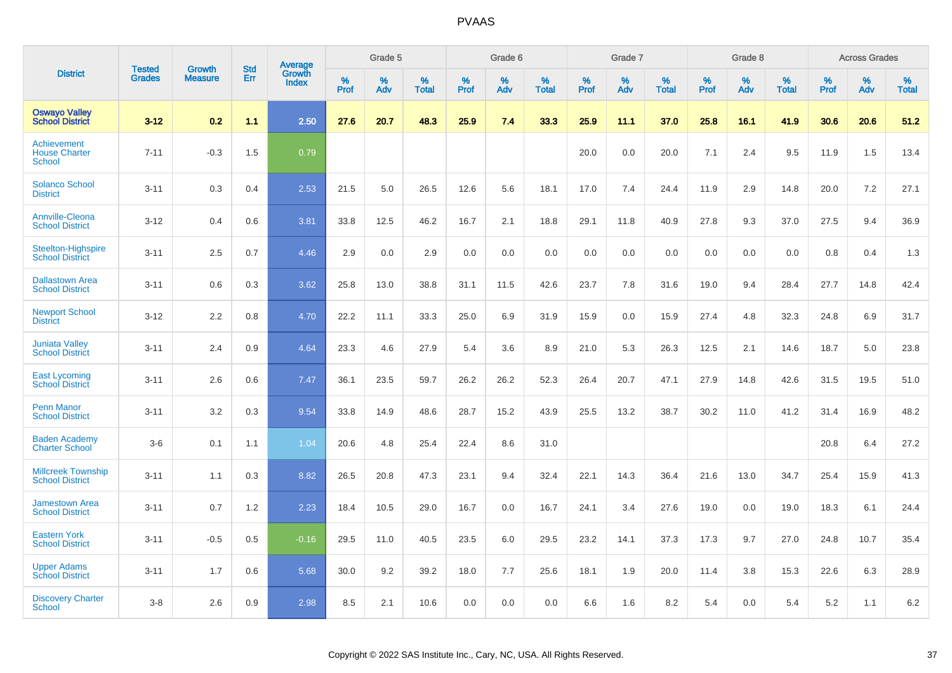|                                                      |                                |                                 | <b>Std</b> | Average                |           | Grade 5  |                      |           | Grade 6  |                   |           | Grade 7  |                   |              | Grade 8  |                   |           | <b>Across Grades</b> |                   |
|------------------------------------------------------|--------------------------------|---------------------------------|------------|------------------------|-----------|----------|----------------------|-----------|----------|-------------------|-----------|----------|-------------------|--------------|----------|-------------------|-----------|----------------------|-------------------|
| <b>District</b>                                      | <b>Tested</b><br><b>Grades</b> | <b>Growth</b><br><b>Measure</b> | Err        | Growth<br><b>Index</b> | %<br>Prof | %<br>Adv | $\%$<br><b>Total</b> | %<br>Prof | %<br>Adv | %<br><b>Total</b> | %<br>Prof | %<br>Adv | %<br><b>Total</b> | $\%$<br>Prof | %<br>Adv | %<br><b>Total</b> | %<br>Prof | %<br>Adv             | %<br><b>Total</b> |
| <b>Oswayo Valley</b><br><b>School District</b>       | $3 - 12$                       | 0.2                             | 1.1        | 2.50                   | 27.6      | 20.7     | 48.3                 | 25.9      | 7.4      | 33.3              | 25.9      | 11.1     | 37.0              | 25.8         | 16.1     | 41.9              | 30.6      | 20.6                 | 51.2              |
| Achievement<br><b>House Charter</b><br><b>School</b> | $7 - 11$                       | $-0.3$                          | 1.5        | 0.79                   |           |          |                      |           |          |                   | 20.0      | 0.0      | 20.0              | 7.1          | 2.4      | 9.5               | 11.9      | 1.5                  | 13.4              |
| <b>Solanco School</b><br><b>District</b>             | $3 - 11$                       | 0.3                             | 0.4        | 2.53                   | 21.5      | 5.0      | 26.5                 | 12.6      | 5.6      | 18.1              | 17.0      | 7.4      | 24.4              | 11.9         | 2.9      | 14.8              | 20.0      | 7.2                  | 27.1              |
| <b>Annville-Cleona</b><br><b>School District</b>     | $3 - 12$                       | 0.4                             | 0.6        | 3.81                   | 33.8      | 12.5     | 46.2                 | 16.7      | 2.1      | 18.8              | 29.1      | 11.8     | 40.9              | 27.8         | 9.3      | 37.0              | 27.5      | 9.4                  | 36.9              |
| <b>Steelton-Highspire</b><br><b>School District</b>  | $3 - 11$                       | 2.5                             | 0.7        | 4.46                   | 2.9       | 0.0      | 2.9                  | 0.0       | 0.0      | 0.0               | 0.0       | 0.0      | 0.0               | 0.0          | 0.0      | 0.0               | 0.8       | 0.4                  | 1.3               |
| <b>Dallastown Area</b><br><b>School District</b>     | $3 - 11$                       | 0.6                             | 0.3        | 3.62                   | 25.8      | 13.0     | 38.8                 | 31.1      | 11.5     | 42.6              | 23.7      | 7.8      | 31.6              | 19.0         | 9.4      | 28.4              | 27.7      | 14.8                 | 42.4              |
| <b>Newport School</b><br><b>District</b>             | $3 - 12$                       | 2.2                             | 0.8        | 4.70                   | 22.2      | 11.1     | 33.3                 | 25.0      | 6.9      | 31.9              | 15.9      | 0.0      | 15.9              | 27.4         | 4.8      | 32.3              | 24.8      | 6.9                  | 31.7              |
| <b>Juniata Valley</b><br><b>School District</b>      | $3 - 11$                       | 2.4                             | 0.9        | 4.64                   | 23.3      | 4.6      | 27.9                 | 5.4       | 3.6      | 8.9               | 21.0      | 5.3      | 26.3              | 12.5         | 2.1      | 14.6              | 18.7      | 5.0                  | 23.8              |
| <b>East Lycoming</b><br><b>School District</b>       | $3 - 11$                       | 2.6                             | 0.6        | 7.47                   | 36.1      | 23.5     | 59.7                 | 26.2      | 26.2     | 52.3              | 26.4      | 20.7     | 47.1              | 27.9         | 14.8     | 42.6              | 31.5      | 19.5                 | 51.0              |
| <b>Penn Manor</b><br><b>School District</b>          | $3 - 11$                       | 3.2                             | 0.3        | 9.54                   | 33.8      | 14.9     | 48.6                 | 28.7      | 15.2     | 43.9              | 25.5      | 13.2     | 38.7              | 30.2         | 11.0     | 41.2              | 31.4      | 16.9                 | 48.2              |
| <b>Baden Academy</b><br><b>Charter School</b>        | $3-6$                          | 0.1                             | 1.1        | 1.04                   | 20.6      | 4.8      | 25.4                 | 22.4      | 8.6      | 31.0              |           |          |                   |              |          |                   | 20.8      | 6.4                  | 27.2              |
| <b>Millcreek Township</b><br><b>School District</b>  | $3 - 11$                       | 1.1                             | 0.3        | 8.82                   | 26.5      | 20.8     | 47.3                 | 23.1      | 9.4      | 32.4              | 22.1      | 14.3     | 36.4              | 21.6         | 13.0     | 34.7              | 25.4      | 15.9                 | 41.3              |
| <b>Jamestown Area</b><br><b>School District</b>      | $3 - 11$                       | 0.7                             | 1.2        | 2.23                   | 18.4      | 10.5     | 29.0                 | 16.7      | 0.0      | 16.7              | 24.1      | 3.4      | 27.6              | 19.0         | 0.0      | 19.0              | 18.3      | 6.1                  | 24.4              |
| <b>Eastern York</b><br><b>School District</b>        | $3 - 11$                       | $-0.5$                          | 0.5        | $-0.16$                | 29.5      | 11.0     | 40.5                 | 23.5      | 6.0      | 29.5              | 23.2      | 14.1     | 37.3              | 17.3         | 9.7      | 27.0              | 24.8      | 10.7                 | 35.4              |
| <b>Upper Adams</b><br><b>School District</b>         | $3 - 11$                       | 1.7                             | 0.6        | 5.68                   | 30.0      | 9.2      | 39.2                 | 18.0      | 7.7      | 25.6              | 18.1      | 1.9      | 20.0              | 11.4         | 3.8      | 15.3              | 22.6      | 6.3                  | 28.9              |
| <b>Discovery Charter</b><br><b>School</b>            | $3 - 8$                        | 2.6                             | 0.9        | 2.98                   | 8.5       | 2.1      | 10.6                 | 0.0       | 0.0      | 0.0               | 6.6       | 1.6      | 8.2               | 5.4          | $0.0\,$  | 5.4               | 5.2       | 1.1                  | 6.2               |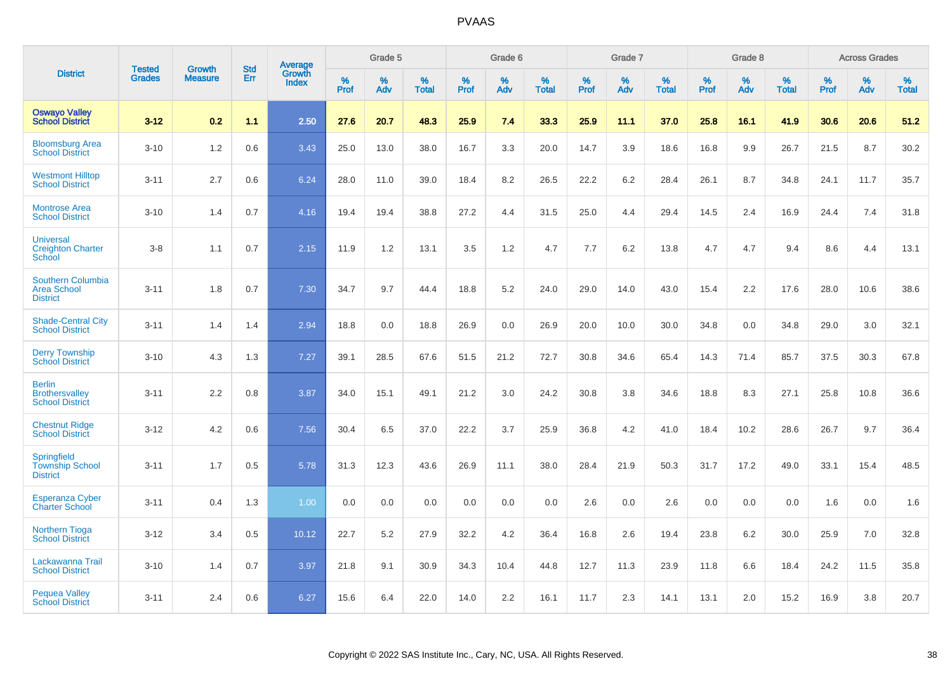|                                                                   | <b>Tested</b> | <b>Growth</b>  | <b>Std</b> | Average                |              | Grade 5  |                   |           | Grade 6  |                   |           | Grade 7  |                   |           | Grade 8  |                   |              | <b>Across Grades</b> |                   |
|-------------------------------------------------------------------|---------------|----------------|------------|------------------------|--------------|----------|-------------------|-----------|----------|-------------------|-----------|----------|-------------------|-----------|----------|-------------------|--------------|----------------------|-------------------|
| <b>District</b>                                                   | <b>Grades</b> | <b>Measure</b> | Err        | Growth<br><b>Index</b> | $\%$<br>Prof | %<br>Adv | %<br><b>Total</b> | %<br>Prof | %<br>Adv | %<br><b>Total</b> | %<br>Prof | %<br>Adv | %<br><b>Total</b> | %<br>Prof | %<br>Adv | %<br><b>Total</b> | $\%$<br>Prof | $\%$<br>Adv          | %<br><b>Total</b> |
| <b>Oswayo Valley</b><br><b>School District</b>                    | $3 - 12$      | 0.2            | 1.1        | 2.50                   | 27.6         | 20.7     | 48.3              | 25.9      | 7.4      | 33.3              | 25.9      | 11.1     | 37.0              | 25.8      | 16.1     | 41.9              | 30.6         | 20.6                 | 51.2              |
| <b>Bloomsburg Area</b><br><b>School District</b>                  | $3 - 10$      | 1.2            | 0.6        | 3.43                   | 25.0         | 13.0     | 38.0              | 16.7      | 3.3      | 20.0              | 14.7      | 3.9      | 18.6              | 16.8      | 9.9      | 26.7              | 21.5         | 8.7                  | 30.2              |
| <b>Westmont Hilltop</b><br><b>School District</b>                 | $3 - 11$      | 2.7            | 0.6        | 6.24                   | 28.0         | 11.0     | 39.0              | 18.4      | 8.2      | 26.5              | 22.2      | 6.2      | 28.4              | 26.1      | 8.7      | 34.8              | 24.1         | 11.7                 | 35.7              |
| <b>Montrose Area</b><br><b>School District</b>                    | $3 - 10$      | 1.4            | 0.7        | 4.16                   | 19.4         | 19.4     | 38.8              | 27.2      | 4.4      | 31.5              | 25.0      | 4.4      | 29.4              | 14.5      | 2.4      | 16.9              | 24.4         | 7.4                  | 31.8              |
| <b>Universal</b><br><b>Creighton Charter</b><br>School            | $3 - 8$       | 1.1            | 0.7        | 2.15                   | 11.9         | 1.2      | 13.1              | 3.5       | 1.2      | 4.7               | 7.7       | 6.2      | 13.8              | 4.7       | 4.7      | 9.4               | 8.6          | 4.4                  | 13.1              |
| <b>Southern Columbia</b><br><b>Area School</b><br><b>District</b> | $3 - 11$      | 1.8            | 0.7        | 7.30                   | 34.7         | 9.7      | 44.4              | 18.8      | 5.2      | 24.0              | 29.0      | 14.0     | 43.0              | 15.4      | 2.2      | 17.6              | 28.0         | 10.6                 | 38.6              |
| <b>Shade-Central City</b><br><b>School District</b>               | $3 - 11$      | 1.4            | 1.4        | 2.94                   | 18.8         | 0.0      | 18.8              | 26.9      | 0.0      | 26.9              | 20.0      | 10.0     | 30.0              | 34.8      | 0.0      | 34.8              | 29.0         | 3.0                  | 32.1              |
| <b>Derry Township</b><br><b>School District</b>                   | $3 - 10$      | 4.3            | 1.3        | 7.27                   | 39.1         | 28.5     | 67.6              | 51.5      | 21.2     | 72.7              | 30.8      | 34.6     | 65.4              | 14.3      | 71.4     | 85.7              | 37.5         | 30.3                 | 67.8              |
| <b>Berlin</b><br><b>Brothersvalley</b><br><b>School District</b>  | $3 - 11$      | 2.2            | 0.8        | 3.87                   | 34.0         | 15.1     | 49.1              | 21.2      | 3.0      | 24.2              | 30.8      | 3.8      | 34.6              | 18.8      | 8.3      | 27.1              | 25.8         | 10.8                 | 36.6              |
| <b>Chestnut Ridge</b><br><b>School District</b>                   | $3 - 12$      | 4.2            | 0.6        | 7.56                   | 30.4         | 6.5      | 37.0              | 22.2      | 3.7      | 25.9              | 36.8      | 4.2      | 41.0              | 18.4      | 10.2     | 28.6              | 26.7         | 9.7                  | 36.4              |
| Springfield<br><b>Township School</b><br><b>District</b>          | $3 - 11$      | 1.7            | 0.5        | 5.78                   | 31.3         | 12.3     | 43.6              | 26.9      | 11.1     | 38.0              | 28.4      | 21.9     | 50.3              | 31.7      | 17.2     | 49.0              | 33.1         | 15.4                 | 48.5              |
| <b>Esperanza Cyber</b><br><b>Charter School</b>                   | $3 - 11$      | 0.4            | 1.3        | 1.00                   | 0.0          | 0.0      | 0.0               | 0.0       | 0.0      | 0.0               | 2.6       | 0.0      | 2.6               | 0.0       | 0.0      | 0.0               | 1.6          | 0.0                  | 1.6               |
| <b>Northern Tioga</b><br><b>School District</b>                   | $3 - 12$      | 3.4            | 0.5        | 10.12                  | 22.7         | 5.2      | 27.9              | 32.2      | 4.2      | 36.4              | 16.8      | 2.6      | 19.4              | 23.8      | 6.2      | 30.0              | 25.9         | 7.0                  | 32.8              |
| Lackawanna Trail<br><b>School District</b>                        | $3 - 10$      | 1.4            | 0.7        | 3.97                   | 21.8         | 9.1      | 30.9              | 34.3      | 10.4     | 44.8              | 12.7      | 11.3     | 23.9              | 11.8      | 6.6      | 18.4              | 24.2         | 11.5                 | 35.8              |
| <b>Pequea Valley</b><br><b>School District</b>                    | $3 - 11$      | 2.4            | 0.6        | 6.27                   | 15.6         | 6.4      | 22.0              | 14.0      | 2.2      | 16.1              | 11.7      | 2.3      | 14.1              | 13.1      | 2.0      | 15.2              | 16.9         | 3.8                  | 20.7              |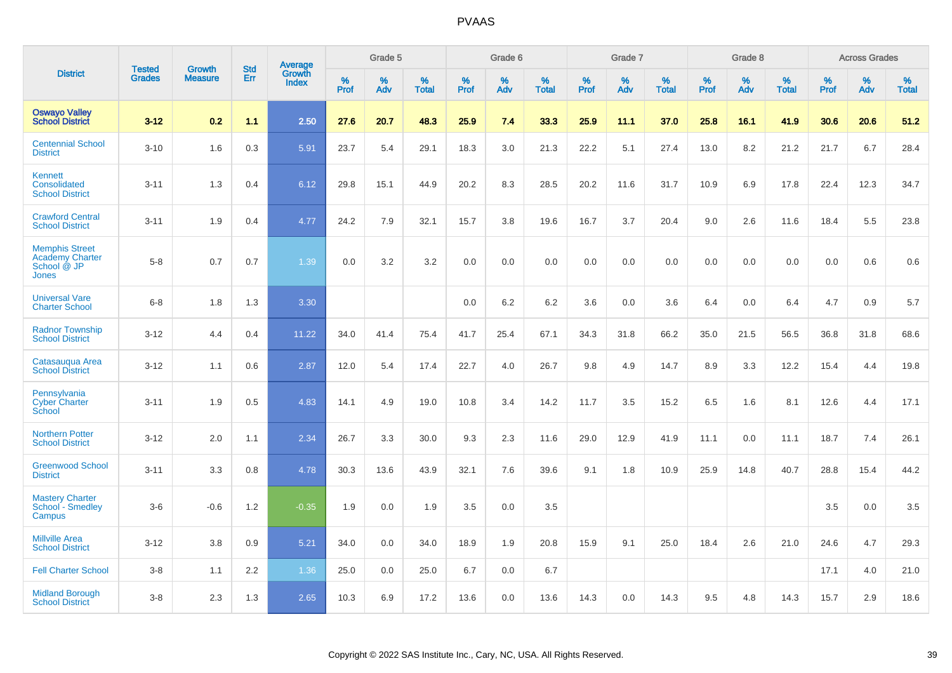|                                                                                |                                |                                 | <b>Std</b> | Average                |           | Grade 5  |                   |           | Grade 6  |                   |           | Grade 7  |                   |           | Grade 8  |                   |              | <b>Across Grades</b> |                   |
|--------------------------------------------------------------------------------|--------------------------------|---------------------------------|------------|------------------------|-----------|----------|-------------------|-----------|----------|-------------------|-----------|----------|-------------------|-----------|----------|-------------------|--------------|----------------------|-------------------|
| <b>District</b>                                                                | <b>Tested</b><br><b>Grades</b> | <b>Growth</b><br><b>Measure</b> | <b>Err</b> | Growth<br><b>Index</b> | %<br>Prof | %<br>Adv | %<br><b>Total</b> | %<br>Prof | %<br>Adv | %<br><b>Total</b> | %<br>Prof | %<br>Adv | %<br><b>Total</b> | %<br>Prof | %<br>Adv | %<br><b>Total</b> | $\%$<br>Prof | %<br>Adv             | %<br><b>Total</b> |
| <b>Oswayo Valley</b><br><b>School District</b>                                 | $3 - 12$                       | 0.2                             | 1.1        | 2.50                   | 27.6      | 20.7     | 48.3              | 25.9      | 7.4      | 33.3              | 25.9      | 11.1     | 37.0              | 25.8      | 16.1     | 41.9              | 30.6         | 20.6                 | 51.2              |
| <b>Centennial School</b><br><b>District</b>                                    | $3 - 10$                       | 1.6                             | 0.3        | 5.91                   | 23.7      | 5.4      | 29.1              | 18.3      | 3.0      | 21.3              | 22.2      | 5.1      | 27.4              | 13.0      | 8.2      | 21.2              | 21.7         | 6.7                  | 28.4              |
| <b>Kennett</b><br>Consolidated<br><b>School District</b>                       | $3 - 11$                       | 1.3                             | 0.4        | 6.12                   | 29.8      | 15.1     | 44.9              | 20.2      | 8.3      | 28.5              | 20.2      | 11.6     | 31.7              | 10.9      | 6.9      | 17.8              | 22.4         | 12.3                 | 34.7              |
| <b>Crawford Central</b><br><b>School District</b>                              | $3 - 11$                       | 1.9                             | 0.4        | 4.77                   | 24.2      | 7.9      | 32.1              | 15.7      | 3.8      | 19.6              | 16.7      | 3.7      | 20.4              | 9.0       | 2.6      | 11.6              | 18.4         | 5.5                  | 23.8              |
| <b>Memphis Street</b><br><b>Academy Charter</b><br>School @ JP<br><b>Jones</b> | $5 - 8$                        | 0.7                             | 0.7        | 1.39                   | 0.0       | 3.2      | 3.2               | 0.0       | 0.0      | 0.0               | 0.0       | 0.0      | 0.0               | 0.0       | 0.0      | 0.0               | 0.0          | 0.6                  | 0.6               |
| <b>Universal Vare</b><br><b>Charter School</b>                                 | $6-8$                          | 1.8                             | 1.3        | 3.30                   |           |          |                   | 0.0       | 6.2      | 6.2               | 3.6       | 0.0      | 3.6               | 6.4       | 0.0      | 6.4               | 4.7          | 0.9                  | 5.7               |
| <b>Radnor Township</b><br><b>School District</b>                               | $3 - 12$                       | 4.4                             | 0.4        | 11.22                  | 34.0      | 41.4     | 75.4              | 41.7      | 25.4     | 67.1              | 34.3      | 31.8     | 66.2              | 35.0      | 21.5     | 56.5              | 36.8         | 31.8                 | 68.6              |
| Catasauqua Area<br><b>School District</b>                                      | $3 - 12$                       | 1.1                             | 0.6        | 2.87                   | 12.0      | 5.4      | 17.4              | 22.7      | 4.0      | 26.7              | 9.8       | 4.9      | 14.7              | 8.9       | 3.3      | 12.2              | 15.4         | 4.4                  | 19.8              |
| Pennsylvania<br><b>Cyber Charter</b><br>School                                 | $3 - 11$                       | 1.9                             | 0.5        | 4.83                   | 14.1      | 4.9      | 19.0              | 10.8      | 3.4      | 14.2              | 11.7      | 3.5      | 15.2              | 6.5       | 1.6      | 8.1               | 12.6         | 4.4                  | 17.1              |
| <b>Northern Potter</b><br><b>School District</b>                               | $3 - 12$                       | 2.0                             | 1.1        | 2.34                   | 26.7      | 3.3      | 30.0              | 9.3       | 2.3      | 11.6              | 29.0      | 12.9     | 41.9              | 11.1      | 0.0      | 11.1              | 18.7         | 7.4                  | 26.1              |
| <b>Greenwood School</b><br><b>District</b>                                     | $3 - 11$                       | 3.3                             | 0.8        | 4.78                   | 30.3      | 13.6     | 43.9              | 32.1      | 7.6      | 39.6              | 9.1       | 1.8      | 10.9              | 25.9      | 14.8     | 40.7              | 28.8         | 15.4                 | 44.2              |
| <b>Mastery Charter</b><br>School - Smedley<br>Campus                           | $3-6$                          | $-0.6$                          | 1.2        | $-0.35$                | 1.9       | 0.0      | 1.9               | 3.5       | 0.0      | 3.5               |           |          |                   |           |          |                   | 3.5          | 0.0                  | 3.5               |
| <b>Millville Area</b><br><b>School District</b>                                | $3 - 12$                       | 3.8                             | 0.9        | 5.21                   | 34.0      | 0.0      | 34.0              | 18.9      | 1.9      | 20.8              | 15.9      | 9.1      | 25.0              | 18.4      | 2.6      | 21.0              | 24.6         | 4.7                  | 29.3              |
| <b>Fell Charter School</b>                                                     | $3 - 8$                        | 1.1                             | 2.2        | 1.36                   | 25.0      | 0.0      | 25.0              | 6.7       | 0.0      | 6.7               |           |          |                   |           |          |                   | 17.1         | 4.0                  | 21.0              |
| <b>Midland Borough</b><br><b>School District</b>                               | $3 - 8$                        | 2.3                             | 1.3        | 2.65                   | 10.3      | 6.9      | 17.2              | 13.6      | 0.0      | 13.6              | 14.3      | 0.0      | 14.3              | 9.5       | 4.8      | 14.3              | 15.7         | 2.9                  | 18.6              |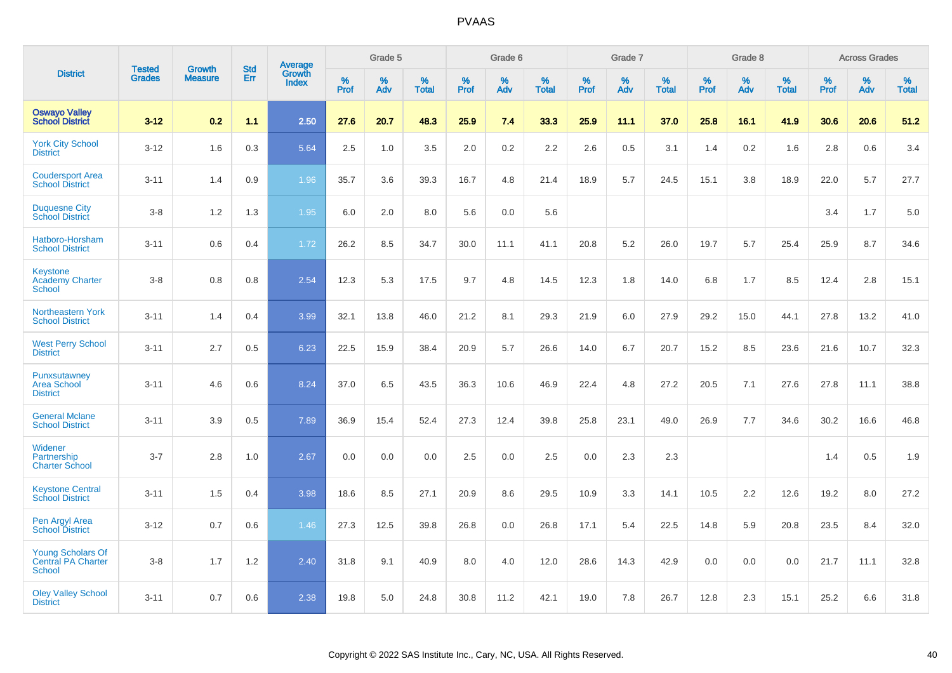|                                                                 |                                | <b>Growth</b>  | <b>Std</b> | Average                |           | Grade 5  |                   |           | Grade 6  |                   |           | Grade 7  |                   |           | Grade 8  |                   |           | <b>Across Grades</b> |                   |
|-----------------------------------------------------------------|--------------------------------|----------------|------------|------------------------|-----------|----------|-------------------|-----------|----------|-------------------|-----------|----------|-------------------|-----------|----------|-------------------|-----------|----------------------|-------------------|
| <b>District</b>                                                 | <b>Tested</b><br><b>Grades</b> | <b>Measure</b> | <b>Err</b> | Growth<br><b>Index</b> | %<br>Prof | %<br>Adv | %<br><b>Total</b> | %<br>Prof | %<br>Adv | %<br><b>Total</b> | %<br>Prof | %<br>Adv | %<br><b>Total</b> | %<br>Prof | %<br>Adv | %<br><b>Total</b> | %<br>Prof | %<br>Adv             | %<br><b>Total</b> |
| <b>Oswayo Valley</b><br><b>School District</b>                  | $3 - 12$                       | 0.2            | 1.1        | 2.50                   | 27.6      | 20.7     | 48.3              | 25.9      | 7.4      | 33.3              | 25.9      | 11.1     | 37.0              | 25.8      | 16.1     | 41.9              | 30.6      | 20.6                 | 51.2              |
| <b>York City School</b><br><b>District</b>                      | $3 - 12$                       | 1.6            | 0.3        | 5.64                   | 2.5       | 1.0      | 3.5               | 2.0       | 0.2      | 2.2               | 2.6       | 0.5      | 3.1               | 1.4       | 0.2      | 1.6               | 2.8       | 0.6                  | 3.4               |
| <b>Coudersport Area</b><br><b>School District</b>               | $3 - 11$                       | 1.4            | 0.9        | 1.96                   | 35.7      | 3.6      | 39.3              | 16.7      | 4.8      | 21.4              | 18.9      | 5.7      | 24.5              | 15.1      | 3.8      | 18.9              | 22.0      | 5.7                  | 27.7              |
| <b>Duquesne City</b><br><b>School District</b>                  | $3 - 8$                        | 1.2            | 1.3        | 1.95                   | 6.0       | 2.0      | 8.0               | 5.6       | 0.0      | 5.6               |           |          |                   |           |          |                   | 3.4       | 1.7                  | 5.0               |
| Hatboro-Horsham<br><b>School District</b>                       | $3 - 11$                       | 0.6            | 0.4        | 1.72                   | 26.2      | 8.5      | 34.7              | 30.0      | 11.1     | 41.1              | 20.8      | 5.2      | 26.0              | 19.7      | 5.7      | 25.4              | 25.9      | 8.7                  | 34.6              |
| <b>Keystone</b><br><b>Academy Charter</b><br><b>School</b>      | $3 - 8$                        | 0.8            | 0.8        | 2.54                   | 12.3      | 5.3      | 17.5              | 9.7       | 4.8      | 14.5              | 12.3      | 1.8      | 14.0              | 6.8       | 1.7      | 8.5               | 12.4      | 2.8                  | 15.1              |
| <b>Northeastern York</b><br><b>School District</b>              | $3 - 11$                       | 1.4            | 0.4        | 3.99                   | 32.1      | 13.8     | 46.0              | 21.2      | 8.1      | 29.3              | 21.9      | 6.0      | 27.9              | 29.2      | 15.0     | 44.1              | 27.8      | 13.2                 | 41.0              |
| <b>West Perry School</b><br><b>District</b>                     | $3 - 11$                       | 2.7            | 0.5        | 6.23                   | 22.5      | 15.9     | 38.4              | 20.9      | 5.7      | 26.6              | 14.0      | 6.7      | 20.7              | 15.2      | 8.5      | 23.6              | 21.6      | 10.7                 | 32.3              |
| Punxsutawney<br><b>Area School</b><br><b>District</b>           | $3 - 11$                       | 4.6            | 0.6        | 8.24                   | 37.0      | 6.5      | 43.5              | 36.3      | 10.6     | 46.9              | 22.4      | 4.8      | 27.2              | 20.5      | 7.1      | 27.6              | 27.8      | 11.1                 | 38.8              |
| <b>General Mclane</b><br><b>School District</b>                 | $3 - 11$                       | 3.9            | 0.5        | 7.89                   | 36.9      | 15.4     | 52.4              | 27.3      | 12.4     | 39.8              | 25.8      | 23.1     | 49.0              | 26.9      | 7.7      | 34.6              | 30.2      | 16.6                 | 46.8              |
| Widener<br>Partnership<br><b>Charter School</b>                 | $3 - 7$                        | 2.8            | 1.0        | 2.67                   | 0.0       | 0.0      | 0.0               | 2.5       | 0.0      | 2.5               | 0.0       | 2.3      | 2.3               |           |          |                   | 1.4       | 0.5                  | 1.9               |
| <b>Keystone Central</b><br><b>School District</b>               | $3 - 11$                       | 1.5            | 0.4        | 3.98                   | 18.6      | 8.5      | 27.1              | 20.9      | 8.6      | 29.5              | 10.9      | 3.3      | 14.1              | 10.5      | 2.2      | 12.6              | 19.2      | 8.0                  | 27.2              |
| Pen Argyl Area<br><b>School District</b>                        | $3 - 12$                       | 0.7            | 0.6        | 1.46                   | 27.3      | 12.5     | 39.8              | 26.8      | 0.0      | 26.8              | 17.1      | 5.4      | 22.5              | 14.8      | 5.9      | 20.8              | 23.5      | 8.4                  | 32.0              |
| <b>Young Scholars Of</b><br>Central PA Charter<br><b>School</b> | $3 - 8$                        | 1.7            | $1.2$      | 2.40                   | 31.8      | 9.1      | 40.9              | 8.0       | 4.0      | 12.0              | 28.6      | 14.3     | 42.9              | 0.0       | 0.0      | 0.0               | 21.7      | 11.1                 | 32.8              |
| <b>Oley Valley School</b><br><b>District</b>                    | $3 - 11$                       | 0.7            | 0.6        | 2.38                   | 19.8      | 5.0      | 24.8              | 30.8      | 11.2     | 42.1              | 19.0      | 7.8      | 26.7              | 12.8      | 2.3      | 15.1              | 25.2      | 6.6                  | 31.8              |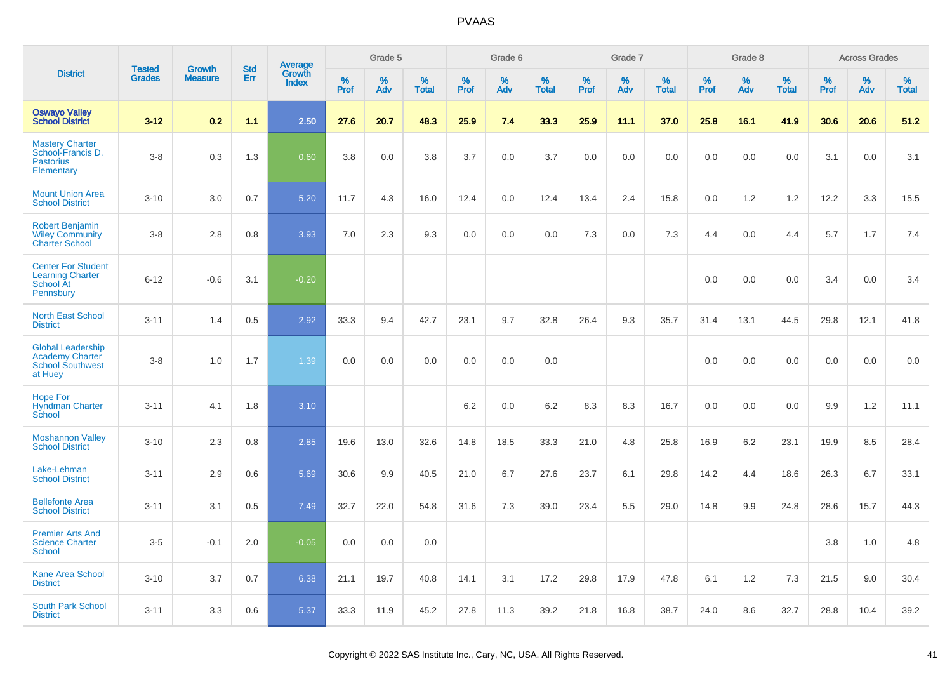|                                                                                          | <b>Tested</b> | <b>Growth</b>  | <b>Std</b> |                                   |                     | Grade 5  |                   |              | Grade 6  |                   |              | Grade 7  |                   |              | Grade 8  |                   |              | <b>Across Grades</b> |                   |
|------------------------------------------------------------------------------------------|---------------|----------------|------------|-----------------------------------|---------------------|----------|-------------------|--------------|----------|-------------------|--------------|----------|-------------------|--------------|----------|-------------------|--------------|----------------------|-------------------|
| <b>District</b>                                                                          | <b>Grades</b> | <b>Measure</b> | Err        | Average<br>Growth<br><b>Index</b> | $\%$<br><b>Prof</b> | %<br>Adv | %<br><b>Total</b> | $\%$<br>Prof | %<br>Adv | %<br><b>Total</b> | $\%$<br>Prof | %<br>Adv | %<br><b>Total</b> | $\%$<br>Prof | %<br>Adv | %<br><b>Total</b> | $\%$<br>Prof | %<br>Adv             | %<br><b>Total</b> |
| <b>Oswayo Valley</b><br><b>School District</b>                                           | $3 - 12$      | 0.2            | 1.1        | 2.50                              | 27.6                | 20.7     | 48.3              | 25.9         | 7.4      | 33.3              | 25.9         | 11.1     | 37.0              | 25.8         | 16.1     | 41.9              | 30.6         | 20.6                 | 51.2              |
| <b>Mastery Charter</b><br>School-Francis D.<br><b>Pastorius</b><br>Elementary            | $3-8$         | 0.3            | 1.3        | 0.60                              | 3.8                 | 0.0      | 3.8               | 3.7          | 0.0      | 3.7               | 0.0          | 0.0      | 0.0               | 0.0          | 0.0      | 0.0               | 3.1          | 0.0                  | 3.1               |
| <b>Mount Union Area</b><br><b>School District</b>                                        | $3 - 10$      | 3.0            | 0.7        | 5.20                              | 11.7                | 4.3      | 16.0              | 12.4         | 0.0      | 12.4              | 13.4         | 2.4      | 15.8              | 0.0          | 1.2      | 1.2               | 12.2         | 3.3                  | 15.5              |
| <b>Robert Benjamin</b><br><b>Wiley Community</b><br><b>Charter School</b>                | $3-8$         | 2.8            | 0.8        | 3.93                              | 7.0                 | 2.3      | 9.3               | 0.0          | 0.0      | 0.0               | 7.3          | 0.0      | 7.3               | 4.4          | 0.0      | 4.4               | 5.7          | 1.7                  | 7.4               |
| <b>Center For Student</b><br><b>Learning Charter</b><br><b>School At</b><br>Pennsbury    | $6 - 12$      | $-0.6$         | 3.1        | $-0.20$                           |                     |          |                   |              |          |                   |              |          |                   | 0.0          | 0.0      | 0.0               | 3.4          | 0.0                  | 3.4               |
| <b>North East School</b><br><b>District</b>                                              | $3 - 11$      | 1.4            | 0.5        | 2.92                              | 33.3                | 9.4      | 42.7              | 23.1         | 9.7      | 32.8              | 26.4         | 9.3      | 35.7              | 31.4         | 13.1     | 44.5              | 29.8         | 12.1                 | 41.8              |
| <b>Global Leadership</b><br><b>Academy Charter</b><br><b>School Southwest</b><br>at Huey | $3-8$         | 1.0            | 1.7        | 1.39                              | 0.0                 | 0.0      | 0.0               | 0.0          | 0.0      | 0.0               |              |          |                   | 0.0          | 0.0      | 0.0               | 0.0          | 0.0                  | 0.0               |
| <b>Hope For</b><br><b>Hyndman Charter</b><br>School                                      | $3 - 11$      | 4.1            | 1.8        | 3.10                              |                     |          |                   | $6.2\,$      | 0.0      | 6.2               | 8.3          | 8.3      | 16.7              | 0.0          | 0.0      | 0.0               | 9.9          | $1.2$                | 11.1              |
| <b>Moshannon Valley</b><br><b>School District</b>                                        | $3 - 10$      | 2.3            | 0.8        | 2.85                              | 19.6                | 13.0     | 32.6              | 14.8         | 18.5     | 33.3              | 21.0         | 4.8      | 25.8              | 16.9         | 6.2      | 23.1              | 19.9         | 8.5                  | 28.4              |
| Lake-Lehman<br><b>School District</b>                                                    | $3 - 11$      | 2.9            | 0.6        | 5.69                              | 30.6                | 9.9      | 40.5              | 21.0         | 6.7      | 27.6              | 23.7         | 6.1      | 29.8              | 14.2         | 4.4      | 18.6              | 26.3         | 6.7                  | 33.1              |
| <b>Bellefonte Area</b><br><b>School District</b>                                         | $3 - 11$      | 3.1            | 0.5        | 7.49                              | 32.7                | 22.0     | 54.8              | 31.6         | 7.3      | 39.0              | 23.4         | 5.5      | 29.0              | 14.8         | 9.9      | 24.8              | 28.6         | 15.7                 | 44.3              |
| <b>Premier Arts And</b><br><b>Science Charter</b><br>School                              | $3-5$         | $-0.1$         | 2.0        | $-0.05$                           | 0.0                 | 0.0      | 0.0               |              |          |                   |              |          |                   |              |          |                   | 3.8          | 1.0                  | 4.8               |
| <b>Kane Area School</b><br><b>District</b>                                               | $3 - 10$      | 3.7            | 0.7        | 6.38                              | 21.1                | 19.7     | 40.8              | 14.1         | 3.1      | 17.2              | 29.8         | 17.9     | 47.8              | 6.1          | 1.2      | 7.3               | 21.5         | 9.0                  | 30.4              |
| <b>South Park School</b><br><b>District</b>                                              | $3 - 11$      | 3.3            | 0.6        | 5.37                              | 33.3                | 11.9     | 45.2              | 27.8         | 11.3     | 39.2              | 21.8         | 16.8     | 38.7              | 24.0         | 8.6      | 32.7              | 28.8         | 10.4                 | 39.2              |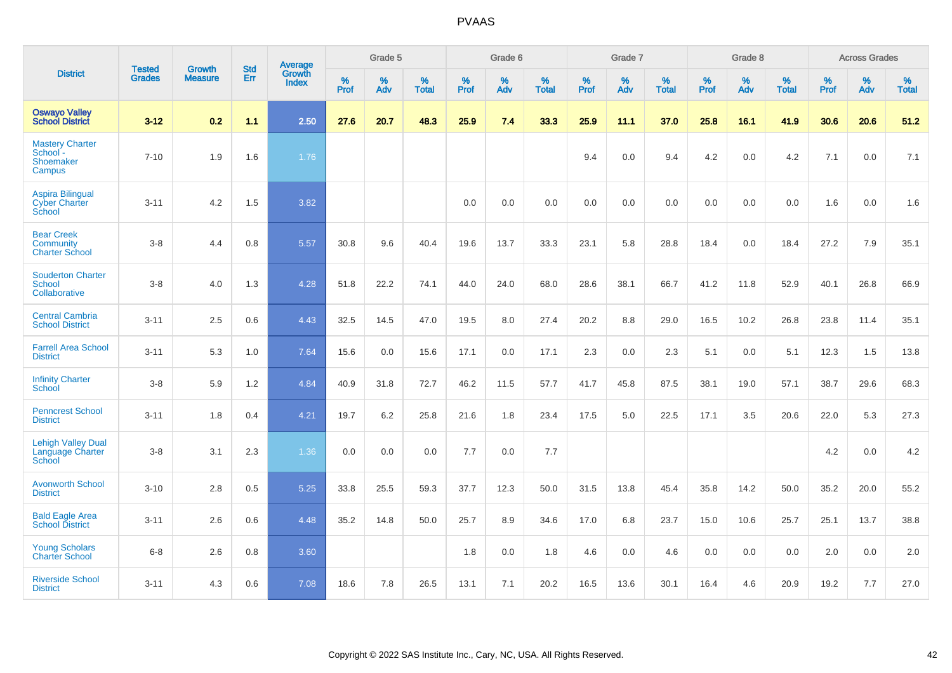|                                                                  | <b>Tested</b> | <b>Growth</b>  | <b>Std</b> | <b>Average</b>         |           | Grade 5  |                   |           | Grade 6  |                   |           | Grade 7  |                   |           | Grade 8  |                   |           | <b>Across Grades</b> |                   |
|------------------------------------------------------------------|---------------|----------------|------------|------------------------|-----------|----------|-------------------|-----------|----------|-------------------|-----------|----------|-------------------|-----------|----------|-------------------|-----------|----------------------|-------------------|
| <b>District</b>                                                  | <b>Grades</b> | <b>Measure</b> | Err        | Growth<br><b>Index</b> | %<br>Prof | %<br>Adv | %<br><b>Total</b> | %<br>Prof | %<br>Adv | %<br><b>Total</b> | %<br>Prof | %<br>Adv | %<br><b>Total</b> | %<br>Prof | %<br>Adv | %<br><b>Total</b> | %<br>Prof | %<br>Adv             | %<br><b>Total</b> |
| <b>Oswayo Valley</b><br><b>School District</b>                   | $3 - 12$      | 0.2            | 1.1        | 2.50                   | 27.6      | 20.7     | 48.3              | 25.9      | 7.4      | 33.3              | 25.9      | 11.1     | 37.0              | 25.8      | 16.1     | 41.9              | 30.6      | 20.6                 | 51.2              |
| <b>Mastery Charter</b><br>School -<br><b>Shoemaker</b><br>Campus | $7 - 10$      | 1.9            | 1.6        | 1.76                   |           |          |                   |           |          |                   | 9.4       | 0.0      | 9.4               | 4.2       | 0.0      | 4.2               | 7.1       | 0.0                  | 7.1               |
| <b>Aspira Bilingual</b><br><b>Cyber Charter</b><br>School        | $3 - 11$      | 4.2            | 1.5        | 3.82                   |           |          |                   | 0.0       | 0.0      | 0.0               | 0.0       | 0.0      | 0.0               | 0.0       | 0.0      | 0.0               | 1.6       | 0.0                  | 1.6               |
| <b>Bear Creek</b><br><b>Community</b><br><b>Charter School</b>   | $3 - 8$       | 4.4            | 0.8        | 5.57                   | 30.8      | 9.6      | 40.4              | 19.6      | 13.7     | 33.3              | 23.1      | 5.8      | 28.8              | 18.4      | 0.0      | 18.4              | 27.2      | 7.9                  | 35.1              |
| <b>Souderton Charter</b><br>School<br>Collaborative              | $3 - 8$       | 4.0            | 1.3        | 4.28                   | 51.8      | 22.2     | 74.1              | 44.0      | 24.0     | 68.0              | 28.6      | 38.1     | 66.7              | 41.2      | 11.8     | 52.9              | 40.1      | 26.8                 | 66.9              |
| <b>Central Cambria</b><br><b>School District</b>                 | $3 - 11$      | 2.5            | 0.6        | 4.43                   | 32.5      | 14.5     | 47.0              | 19.5      | 8.0      | 27.4              | 20.2      | 8.8      | 29.0              | 16.5      | 10.2     | 26.8              | 23.8      | 11.4                 | 35.1              |
| <b>Farrell Area School</b><br><b>District</b>                    | $3 - 11$      | 5.3            | 1.0        | 7.64                   | 15.6      | 0.0      | 15.6              | 17.1      | 0.0      | 17.1              | 2.3       | 0.0      | 2.3               | 5.1       | 0.0      | 5.1               | 12.3      | 1.5                  | 13.8              |
| <b>Infinity Charter</b><br>School                                | $3-8$         | 5.9            | 1.2        | 4.84                   | 40.9      | 31.8     | 72.7              | 46.2      | 11.5     | 57.7              | 41.7      | 45.8     | 87.5              | 38.1      | 19.0     | 57.1              | 38.7      | 29.6                 | 68.3              |
| <b>Penncrest School</b><br><b>District</b>                       | $3 - 11$      | 1.8            | 0.4        | 4.21                   | 19.7      | 6.2      | 25.8              | 21.6      | 1.8      | 23.4              | 17.5      | 5.0      | 22.5              | 17.1      | 3.5      | 20.6              | 22.0      | 5.3                  | 27.3              |
| <b>Lehigh Valley Dual</b><br>Language Charter<br>School          | $3 - 8$       | 3.1            | 2.3        | 1.36                   | 0.0       | 0.0      | 0.0               | 7.7       | 0.0      | 7.7               |           |          |                   |           |          |                   | 4.2       | 0.0                  | 4.2               |
| <b>Avonworth School</b><br><b>District</b>                       | $3 - 10$      | 2.8            | 0.5        | 5.25                   | 33.8      | 25.5     | 59.3              | 37.7      | 12.3     | 50.0              | 31.5      | 13.8     | 45.4              | 35.8      | 14.2     | 50.0              | 35.2      | 20.0                 | 55.2              |
| <b>Bald Eagle Area</b><br><b>School District</b>                 | $3 - 11$      | 2.6            | 0.6        | 4.48                   | 35.2      | 14.8     | 50.0              | 25.7      | 8.9      | 34.6              | 17.0      | 6.8      | 23.7              | 15.0      | 10.6     | 25.7              | 25.1      | 13.7                 | 38.8              |
| <b>Young Scholars</b><br><b>Charter School</b>                   | $6 - 8$       | 2.6            | 0.8        | 3.60                   |           |          |                   | 1.8       | 0.0      | 1.8               | 4.6       | 0.0      | 4.6               | 0.0       | 0.0      | 0.0               | 2.0       | 0.0                  | 2.0               |
| <b>Riverside School</b><br><b>District</b>                       | $3 - 11$      | 4.3            | 0.6        | 7.08                   | 18.6      | 7.8      | 26.5              | 13.1      | 7.1      | 20.2              | 16.5      | 13.6     | 30.1              | 16.4      | 4.6      | 20.9              | 19.2      | 7.7                  | 27.0              |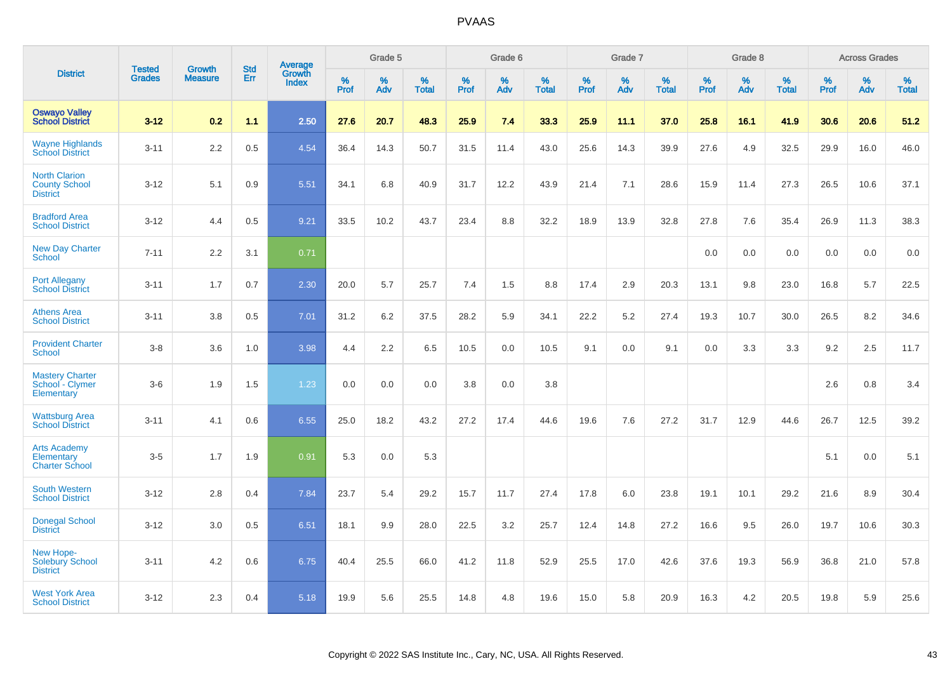|                                                                 |                                | <b>Growth</b>  | <b>Std</b> | Average                |              | Grade 5  |                   |           | Grade 6  |                   |           | Grade 7  |                   |           | Grade 8  |                   |           | <b>Across Grades</b> |                   |
|-----------------------------------------------------------------|--------------------------------|----------------|------------|------------------------|--------------|----------|-------------------|-----------|----------|-------------------|-----------|----------|-------------------|-----------|----------|-------------------|-----------|----------------------|-------------------|
| <b>District</b>                                                 | <b>Tested</b><br><b>Grades</b> | <b>Measure</b> | <b>Err</b> | Growth<br><b>Index</b> | $\%$<br>Prof | %<br>Adv | %<br><b>Total</b> | %<br>Prof | %<br>Adv | %<br><b>Total</b> | %<br>Prof | %<br>Adv | %<br><b>Total</b> | %<br>Prof | %<br>Adv | %<br><b>Total</b> | %<br>Prof | %<br>Adv             | %<br><b>Total</b> |
| <b>Oswayo Valley</b><br><b>School District</b>                  | $3 - 12$                       | 0.2            | 1.1        | 2.50                   | 27.6         | 20.7     | 48.3              | 25.9      | 7.4      | 33.3              | 25.9      | 11.1     | 37.0              | 25.8      | 16.1     | 41.9              | 30.6      | 20.6                 | 51.2              |
| <b>Wayne Highlands</b><br><b>School District</b>                | $3 - 11$                       | 2.2            | 0.5        | 4.54                   | 36.4         | 14.3     | 50.7              | 31.5      | 11.4     | 43.0              | 25.6      | 14.3     | 39.9              | 27.6      | 4.9      | 32.5              | 29.9      | 16.0                 | 46.0              |
| <b>North Clarion</b><br><b>County School</b><br><b>District</b> | $3 - 12$                       | 5.1            | 0.9        | 5.51                   | 34.1         | 6.8      | 40.9              | 31.7      | 12.2     | 43.9              | 21.4      | 7.1      | 28.6              | 15.9      | 11.4     | 27.3              | 26.5      | 10.6                 | 37.1              |
| <b>Bradford Area</b><br><b>School District</b>                  | $3 - 12$                       | 4.4            | 0.5        | 9.21                   | 33.5         | 10.2     | 43.7              | 23.4      | 8.8      | 32.2              | 18.9      | 13.9     | 32.8              | 27.8      | 7.6      | 35.4              | 26.9      | 11.3                 | 38.3              |
| <b>New Day Charter</b><br><b>School</b>                         | $7 - 11$                       | 2.2            | 3.1        | 0.71                   |              |          |                   |           |          |                   |           |          |                   | 0.0       | 0.0      | 0.0               | 0.0       | 0.0                  | 0.0               |
| <b>Port Allegany</b><br><b>School District</b>                  | $3 - 11$                       | 1.7            | 0.7        | 2.30                   | 20.0         | 5.7      | 25.7              | 7.4       | 1.5      | 8.8               | 17.4      | 2.9      | 20.3              | 13.1      | 9.8      | 23.0              | 16.8      | 5.7                  | 22.5              |
| <b>Athens Area</b><br><b>School District</b>                    | $3 - 11$                       | 3.8            | 0.5        | 7.01                   | 31.2         | 6.2      | 37.5              | 28.2      | 5.9      | 34.1              | 22.2      | 5.2      | 27.4              | 19.3      | 10.7     | 30.0              | 26.5      | 8.2                  | 34.6              |
| <b>Provident Charter</b><br><b>School</b>                       | $3 - 8$                        | 3.6            | 1.0        | 3.98                   | 4.4          | 2.2      | 6.5               | 10.5      | 0.0      | 10.5              | 9.1       | 0.0      | 9.1               | 0.0       | 3.3      | 3.3               | 9.2       | 2.5                  | 11.7              |
| <b>Mastery Charter</b><br>School - Clymer<br>Elementary         | $3-6$                          | 1.9            | 1.5        | 1.23                   | 0.0          | 0.0      | 0.0               | 3.8       | 0.0      | 3.8               |           |          |                   |           |          |                   | 2.6       | 0.8                  | 3.4               |
| <b>Wattsburg Area</b><br><b>School District</b>                 | $3 - 11$                       | 4.1            | 0.6        | 6.55                   | 25.0         | 18.2     | 43.2              | 27.2      | 17.4     | 44.6              | 19.6      | 7.6      | 27.2              | 31.7      | 12.9     | 44.6              | 26.7      | 12.5                 | 39.2              |
| <b>Arts Academy</b><br>Elementary<br><b>Charter School</b>      | $3-5$                          | 1.7            | 1.9        | 0.91                   | 5.3          | 0.0      | 5.3               |           |          |                   |           |          |                   |           |          |                   | 5.1       | 0.0                  | 5.1               |
| <b>South Western</b><br><b>School District</b>                  | $3 - 12$                       | 2.8            | 0.4        | 7.84                   | 23.7         | 5.4      | 29.2              | 15.7      | 11.7     | 27.4              | 17.8      | 6.0      | 23.8              | 19.1      | 10.1     | 29.2              | 21.6      | 8.9                  | 30.4              |
| <b>Donegal School</b><br><b>District</b>                        | $3 - 12$                       | 3.0            | 0.5        | 6.51                   | 18.1         | 9.9      | 28.0              | 22.5      | 3.2      | 25.7              | 12.4      | 14.8     | 27.2              | 16.6      | 9.5      | 26.0              | 19.7      | 10.6                 | 30.3              |
| New Hope-<br><b>Solebury School</b><br><b>District</b>          | $3 - 11$                       | 4.2            | 0.6        | 6.75                   | 40.4         | 25.5     | 66.0              | 41.2      | 11.8     | 52.9              | 25.5      | 17.0     | 42.6              | 37.6      | 19.3     | 56.9              | 36.8      | 21.0                 | 57.8              |
| <b>West York Area</b><br><b>School District</b>                 | $3 - 12$                       | 2.3            | 0.4        | 5.18                   | 19.9         | 5.6      | 25.5              | 14.8      | 4.8      | 19.6              | 15.0      | 5.8      | 20.9              | 16.3      | 4.2      | 20.5              | 19.8      | 5.9                  | 25.6              |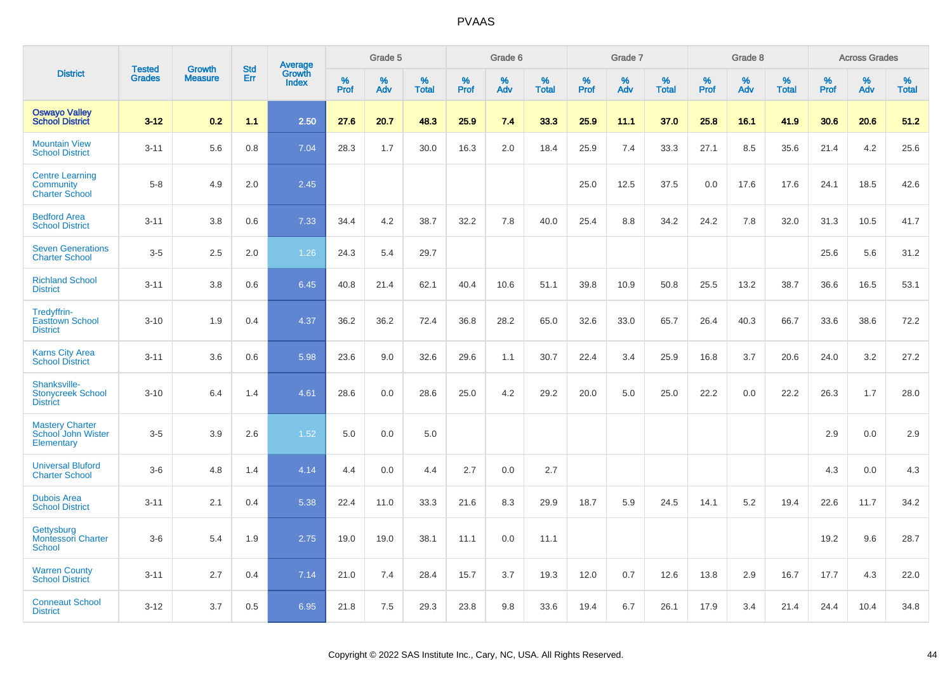|                                                              |                                |                                 | <b>Std</b> |                                   |                     | Grade 5  |                   |                     | Grade 6  |                   |              | Grade 7  |                   |              | Grade 8  |                   |              | <b>Across Grades</b> |                      |
|--------------------------------------------------------------|--------------------------------|---------------------------------|------------|-----------------------------------|---------------------|----------|-------------------|---------------------|----------|-------------------|--------------|----------|-------------------|--------------|----------|-------------------|--------------|----------------------|----------------------|
| <b>District</b>                                              | <b>Tested</b><br><b>Grades</b> | <b>Growth</b><br><b>Measure</b> | Err        | Average<br>Growth<br><b>Index</b> | $\%$<br><b>Prof</b> | %<br>Adv | %<br><b>Total</b> | $\%$<br><b>Prof</b> | %<br>Adv | %<br><b>Total</b> | $\%$<br>Prof | %<br>Adv | %<br><b>Total</b> | $\%$<br>Prof | %<br>Adv | %<br><b>Total</b> | $\%$<br>Prof | %<br>Adv             | $\%$<br><b>Total</b> |
| <b>Oswayo Valley</b><br><b>School District</b>               | $3 - 12$                       | 0.2                             | 1.1        | 2.50                              | 27.6                | 20.7     | 48.3              | 25.9                | 7.4      | 33.3              | 25.9         | 11.1     | 37.0              | 25.8         | 16.1     | 41.9              | 30.6         | 20.6                 | 51.2                 |
| <b>Mountain View</b><br><b>School District</b>               | $3 - 11$                       | 5.6                             | 0.8        | 7.04                              | 28.3                | 1.7      | 30.0              | 16.3                | 2.0      | 18.4              | 25.9         | 7.4      | 33.3              | 27.1         | 8.5      | 35.6              | 21.4         | 4.2                  | 25.6                 |
| <b>Centre Learning</b><br>Community<br><b>Charter School</b> | $5 - 8$                        | 4.9                             | 2.0        | 2.45                              |                     |          |                   |                     |          |                   | 25.0         | 12.5     | 37.5              | 0.0          | 17.6     | 17.6              | 24.1         | 18.5                 | 42.6                 |
| <b>Bedford Area</b><br><b>School District</b>                | $3 - 11$                       | 3.8                             | 0.6        | 7.33                              | 34.4                | 4.2      | 38.7              | 32.2                | 7.8      | 40.0              | 25.4         | 8.8      | 34.2              | 24.2         | 7.8      | 32.0              | 31.3         | 10.5                 | 41.7                 |
| <b>Seven Generations</b><br><b>Charter School</b>            | $3-5$                          | 2.5                             | 2.0        | 1.26                              | 24.3                | 5.4      | 29.7              |                     |          |                   |              |          |                   |              |          |                   | 25.6         | 5.6                  | 31.2                 |
| <b>Richland School</b><br><b>District</b>                    | $3 - 11$                       | 3.8                             | 0.6        | 6.45                              | 40.8                | 21.4     | 62.1              | 40.4                | 10.6     | 51.1              | 39.8         | 10.9     | 50.8              | 25.5         | 13.2     | 38.7              | 36.6         | 16.5                 | 53.1                 |
| Tredyffrin-<br><b>Easttown School</b><br><b>District</b>     | $3 - 10$                       | 1.9                             | 0.4        | 4.37                              | 36.2                | 36.2     | 72.4              | 36.8                | 28.2     | 65.0              | 32.6         | 33.0     | 65.7              | 26.4         | 40.3     | 66.7              | 33.6         | 38.6                 | 72.2                 |
| <b>Karns City Area</b><br><b>School District</b>             | $3 - 11$                       | 3.6                             | 0.6        | 5.98                              | 23.6                | 9.0      | 32.6              | 29.6                | 1.1      | 30.7              | 22.4         | 3.4      | 25.9              | 16.8         | 3.7      | 20.6              | 24.0         | 3.2                  | 27.2                 |
| Shanksville-<br><b>Stonycreek School</b><br><b>District</b>  | $3 - 10$                       | 6.4                             | 1.4        | 4.61                              | 28.6                | 0.0      | 28.6              | 25.0                | 4.2      | 29.2              | 20.0         | 5.0      | 25.0              | 22.2         | 0.0      | 22.2              | 26.3         | 1.7                  | 28.0                 |
| <b>Mastery Charter</b><br>School John Wister<br>Elementary   | $3-5$                          | 3.9                             | 2.6        | 1.52                              | 5.0                 | 0.0      | 5.0               |                     |          |                   |              |          |                   |              |          |                   | 2.9          | 0.0                  | 2.9                  |
| <b>Universal Bluford</b><br><b>Charter School</b>            | $3-6$                          | 4.8                             | 1.4        | 4.14                              | 4.4                 | 0.0      | 4.4               | 2.7                 | 0.0      | 2.7               |              |          |                   |              |          |                   | 4.3          | 0.0                  | 4.3                  |
| <b>Dubois Area</b><br><b>School District</b>                 | $3 - 11$                       | 2.1                             | 0.4        | 5.38                              | 22.4                | 11.0     | 33.3              | 21.6                | 8.3      | 29.9              | 18.7         | 5.9      | 24.5              | 14.1         | 5.2      | 19.4              | 22.6         | 11.7                 | 34.2                 |
| Gettysburg<br><b>Montessori Charter</b><br>School            | $3-6$                          | 5.4                             | 1.9        | 2.75                              | 19.0                | 19.0     | 38.1              | 11.1                | 0.0      | 11.1              |              |          |                   |              |          |                   | 19.2         | 9.6                  | 28.7                 |
| <b>Warren County</b><br><b>School District</b>               | $3 - 11$                       | 2.7                             | 0.4        | 7.14                              | 21.0                | 7.4      | 28.4              | 15.7                | 3.7      | 19.3              | 12.0         | 0.7      | 12.6              | 13.8         | 2.9      | 16.7              | 17.7         | 4.3                  | 22.0                 |
| <b>Conneaut School</b><br><b>District</b>                    | $3 - 12$                       | 3.7                             | 0.5        | 6.95                              | 21.8                | 7.5      | 29.3              | 23.8                | 9.8      | 33.6              | 19.4         | 6.7      | 26.1              | 17.9         | 3.4      | 21.4              | 24.4         | 10.4                 | 34.8                 |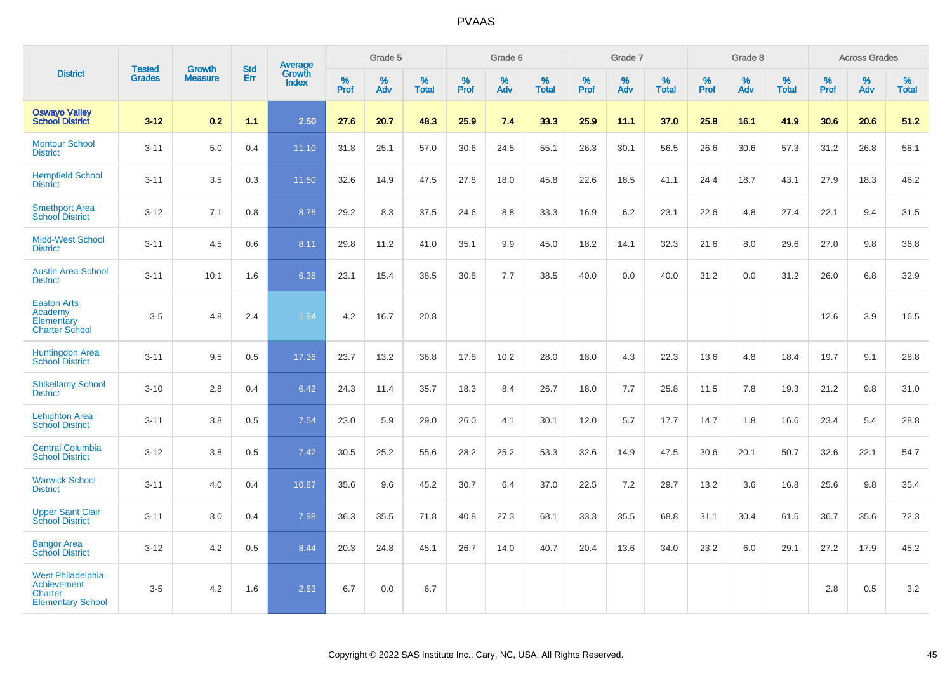|                                                                                              |                                |                                 |                   | Average                |              | Grade 5  |                   |           | Grade 6  |                   |           | Grade 7  |                   |           | Grade 8  |                   |           | <b>Across Grades</b> |                   |
|----------------------------------------------------------------------------------------------|--------------------------------|---------------------------------|-------------------|------------------------|--------------|----------|-------------------|-----------|----------|-------------------|-----------|----------|-------------------|-----------|----------|-------------------|-----------|----------------------|-------------------|
| <b>District</b>                                                                              | <b>Tested</b><br><b>Grades</b> | <b>Growth</b><br><b>Measure</b> | <b>Std</b><br>Err | Growth<br><b>Index</b> | $\%$<br>Prof | %<br>Adv | %<br><b>Total</b> | %<br>Prof | %<br>Adv | %<br><b>Total</b> | %<br>Prof | %<br>Adv | %<br><b>Total</b> | %<br>Prof | %<br>Adv | %<br><b>Total</b> | %<br>Prof | %<br>Adv             | %<br><b>Total</b> |
| <b>Oswayo Valley</b><br><b>School District</b>                                               | $3 - 12$                       | 0.2                             | 1.1               | 2.50                   | 27.6         | 20.7     | 48.3              | 25.9      | 7.4      | 33.3              | 25.9      | 11.1     | 37.0              | 25.8      | 16.1     | 41.9              | 30.6      | 20.6                 | 51.2              |
| <b>Montour School</b><br><b>District</b>                                                     | $3 - 11$                       | 5.0                             | 0.4               | 11.10                  | 31.8         | 25.1     | 57.0              | 30.6      | 24.5     | 55.1              | 26.3      | 30.1     | 56.5              | 26.6      | 30.6     | 57.3              | 31.2      | 26.8                 | 58.1              |
| <b>Hempfield School</b><br><b>District</b>                                                   | $3 - 11$                       | 3.5                             | 0.3               | 11.50                  | 32.6         | 14.9     | 47.5              | 27.8      | 18.0     | 45.8              | 22.6      | 18.5     | 41.1              | 24.4      | 18.7     | 43.1              | 27.9      | 18.3                 | 46.2              |
| <b>Smethport Area</b><br><b>School District</b>                                              | $3 - 12$                       | 7.1                             | 0.8               | 8.76                   | 29.2         | 8.3      | 37.5              | 24.6      | 8.8      | 33.3              | 16.9      | 6.2      | 23.1              | 22.6      | 4.8      | 27.4              | 22.1      | 9.4                  | 31.5              |
| <b>Midd-West School</b><br><b>District</b>                                                   | $3 - 11$                       | 4.5                             | 0.6               | 8.11                   | 29.8         | 11.2     | 41.0              | 35.1      | 9.9      | 45.0              | 18.2      | 14.1     | 32.3              | 21.6      | 8.0      | 29.6              | 27.0      | 9.8                  | 36.8              |
| <b>Austin Area School</b><br><b>District</b>                                                 | $3 - 11$                       | 10.1                            | 1.6               | 6.38                   | 23.1         | 15.4     | 38.5              | 30.8      | 7.7      | 38.5              | 40.0      | 0.0      | 40.0              | 31.2      | 0.0      | 31.2              | 26.0      | 6.8                  | 32.9              |
| <b>Easton Arts</b><br>Academy<br>Elementary<br><b>Charter School</b>                         | $3-5$                          | 4.8                             | 2.4               | 1.94                   | 4.2          | 16.7     | 20.8              |           |          |                   |           |          |                   |           |          |                   | 12.6      | 3.9                  | 16.5              |
| <b>Huntingdon Area</b><br><b>School District</b>                                             | $3 - 11$                       | 9.5                             | 0.5               | 17.36                  | 23.7         | 13.2     | 36.8              | 17.8      | 10.2     | 28.0              | 18.0      | 4.3      | 22.3              | 13.6      | 4.8      | 18.4              | 19.7      | 9.1                  | 28.8              |
| <b>Shikellamy School</b><br><b>District</b>                                                  | $3 - 10$                       | 2.8                             | 0.4               | 6.42                   | 24.3         | 11.4     | 35.7              | 18.3      | 8.4      | 26.7              | 18.0      | 7.7      | 25.8              | 11.5      | 7.8      | 19.3              | 21.2      | 9.8                  | 31.0              |
| <b>Lehighton Area</b><br><b>School District</b>                                              | $3 - 11$                       | 3.8                             | 0.5               | 7.54                   | 23.0         | 5.9      | 29.0              | 26.0      | 4.1      | 30.1              | 12.0      | 5.7      | 17.7              | 14.7      | 1.8      | 16.6              | 23.4      | 5.4                  | 28.8              |
| <b>Central Columbia</b><br><b>School District</b>                                            | $3 - 12$                       | 3.8                             | 0.5               | 7.42                   | 30.5         | 25.2     | 55.6              | 28.2      | 25.2     | 53.3              | 32.6      | 14.9     | 47.5              | 30.6      | 20.1     | 50.7              | 32.6      | 22.1                 | 54.7              |
| <b>Warwick School</b><br><b>District</b>                                                     | $3 - 11$                       | 4.0                             | 0.4               | 10.87                  | 35.6         | 9.6      | 45.2              | 30.7      | 6.4      | 37.0              | 22.5      | 7.2      | 29.7              | 13.2      | 3.6      | 16.8              | 25.6      | 9.8                  | 35.4              |
| <b>Upper Saint Clair</b><br><b>School District</b>                                           | $3 - 11$                       | 3.0                             | 0.4               | 7.98                   | 36.3         | 35.5     | 71.8              | 40.8      | 27.3     | 68.1              | 33.3      | 35.5     | 68.8              | 31.1      | 30.4     | 61.5              | 36.7      | 35.6                 | 72.3              |
| <b>Bangor Area</b><br><b>School District</b>                                                 | $3 - 12$                       | 4.2                             | 0.5               | 8.44                   | 20.3         | 24.8     | 45.1              | 26.7      | 14.0     | 40.7              | 20.4      | 13.6     | 34.0              | 23.2      | 6.0      | 29.1              | 27.2      | 17.9                 | 45.2              |
| <b>West Philadelphia</b><br><b>Achievement</b><br><b>Charter</b><br><b>Elementary School</b> | $3-5$                          | 4.2                             | 1.6               | 2.63                   | 6.7          | 0.0      | 6.7               |           |          |                   |           |          |                   |           |          |                   | 2.8       | 0.5                  | 3.2               |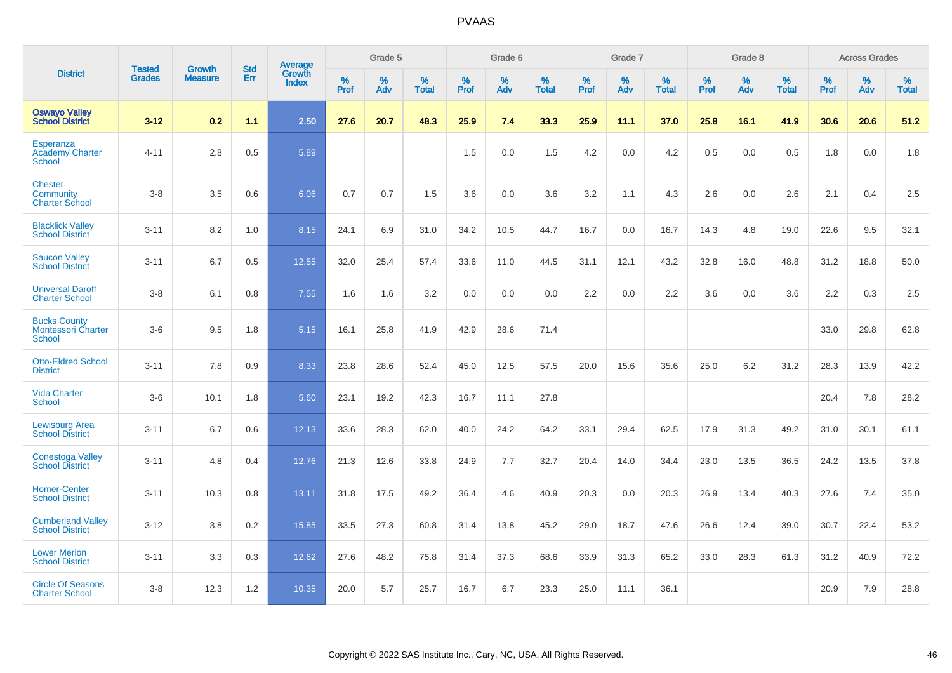|                                                                   | <b>Tested</b> | <b>Growth</b>  | <b>Std</b> | Average                       |           | Grade 5  |                   |           | Grade 6  |                   |           | Grade 7  |                   |           | Grade 8  |                   |           | <b>Across Grades</b> |                   |
|-------------------------------------------------------------------|---------------|----------------|------------|-------------------------------|-----------|----------|-------------------|-----------|----------|-------------------|-----------|----------|-------------------|-----------|----------|-------------------|-----------|----------------------|-------------------|
| <b>District</b>                                                   | <b>Grades</b> | <b>Measure</b> | Err        | <b>Growth</b><br><b>Index</b> | %<br>Prof | %<br>Adv | %<br><b>Total</b> | %<br>Prof | %<br>Adv | %<br><b>Total</b> | %<br>Prof | %<br>Adv | %<br><b>Total</b> | %<br>Prof | %<br>Adv | %<br><b>Total</b> | %<br>Prof | %<br>Adv             | %<br><b>Total</b> |
| <b>Oswayo Valley</b><br><b>School District</b>                    | $3 - 12$      | 0.2            | 1.1        | 2.50                          | 27.6      | 20.7     | 48.3              | 25.9      | 7.4      | 33.3              | 25.9      | 11.1     | 37.0              | 25.8      | 16.1     | 41.9              | 30.6      | 20.6                 | 51.2              |
| Esperanza<br><b>Academy Charter</b><br>School                     | $4 - 11$      | 2.8            | 0.5        | 5.89                          |           |          |                   | 1.5       | 0.0      | 1.5               | 4.2       | 0.0      | 4.2               | 0.5       | 0.0      | 0.5               | 1.8       | 0.0                  | 1.8               |
| <b>Chester</b><br>Community<br><b>Charter School</b>              | $3 - 8$       | 3.5            | 0.6        | 6.06                          | 0.7       | 0.7      | 1.5               | 3.6       | 0.0      | 3.6               | 3.2       | 1.1      | 4.3               | 2.6       | 0.0      | 2.6               | 2.1       | 0.4                  | 2.5               |
| <b>Blacklick Valley</b><br><b>School District</b>                 | $3 - 11$      | 8.2            | 1.0        | 8.15                          | 24.1      | 6.9      | 31.0              | 34.2      | 10.5     | 44.7              | 16.7      | 0.0      | 16.7              | 14.3      | 4.8      | 19.0              | 22.6      | 9.5                  | 32.1              |
| <b>Saucon Valley</b><br><b>School District</b>                    | $3 - 11$      | 6.7            | 0.5        | 12.55                         | 32.0      | 25.4     | 57.4              | 33.6      | 11.0     | 44.5              | 31.1      | 12.1     | 43.2              | 32.8      | 16.0     | 48.8              | 31.2      | 18.8                 | 50.0              |
| <b>Universal Daroff</b><br><b>Charter School</b>                  | $3 - 8$       | 6.1            | 0.8        | 7.55                          | 1.6       | 1.6      | 3.2               | 0.0       | 0.0      | 0.0               | 2.2       | 0.0      | 2.2               | 3.6       | 0.0      | 3.6               | 2.2       | 0.3                  | 2.5               |
| <b>Bucks County</b><br><b>Montessori Charter</b><br><b>School</b> | $3-6$         | 9.5            | 1.8        | 5.15                          | 16.1      | 25.8     | 41.9              | 42.9      | 28.6     | 71.4              |           |          |                   |           |          |                   | 33.0      | 29.8                 | 62.8              |
| <b>Otto-Eldred School</b><br><b>District</b>                      | $3 - 11$      | 7.8            | 0.9        | 8.33                          | 23.8      | 28.6     | 52.4              | 45.0      | 12.5     | 57.5              | 20.0      | 15.6     | 35.6              | 25.0      | 6.2      | 31.2              | 28.3      | 13.9                 | 42.2              |
| <b>Vida Charter</b><br><b>School</b>                              | $3-6$         | 10.1           | 1.8        | 5.60                          | 23.1      | 19.2     | 42.3              | 16.7      | 11.1     | 27.8              |           |          |                   |           |          |                   | 20.4      | 7.8                  | 28.2              |
| <b>Lewisburg Area</b><br><b>School District</b>                   | $3 - 11$      | 6.7            | 0.6        | 12.13                         | 33.6      | 28.3     | 62.0              | 40.0      | 24.2     | 64.2              | 33.1      | 29.4     | 62.5              | 17.9      | 31.3     | 49.2              | 31.0      | 30.1                 | 61.1              |
| <b>Conestoga Valley</b><br><b>School District</b>                 | $3 - 11$      | 4.8            | 0.4        | 12.76                         | 21.3      | 12.6     | 33.8              | 24.9      | 7.7      | 32.7              | 20.4      | 14.0     | 34.4              | 23.0      | 13.5     | 36.5              | 24.2      | 13.5                 | 37.8              |
| <b>Homer-Center</b><br><b>School District</b>                     | $3 - 11$      | 10.3           | 0.8        | 13.11                         | 31.8      | 17.5     | 49.2              | 36.4      | 4.6      | 40.9              | 20.3      | 0.0      | 20.3              | 26.9      | 13.4     | 40.3              | 27.6      | 7.4                  | 35.0              |
| <b>Cumberland Valley</b><br><b>School District</b>                | $3 - 12$      | 3.8            | 0.2        | 15.85                         | 33.5      | 27.3     | 60.8              | 31.4      | 13.8     | 45.2              | 29.0      | 18.7     | 47.6              | 26.6      | 12.4     | 39.0              | 30.7      | 22.4                 | 53.2              |
| <b>Lower Merion</b><br><b>School District</b>                     | $3 - 11$      | 3.3            | 0.3        | 12.62                         | 27.6      | 48.2     | 75.8              | 31.4      | 37.3     | 68.6              | 33.9      | 31.3     | 65.2              | 33.0      | 28.3     | 61.3              | 31.2      | 40.9                 | 72.2              |
| <b>Circle Of Seasons</b><br><b>Charter School</b>                 | $3 - 8$       | 12.3           | 1.2        | 10.35                         | 20.0      | 5.7      | 25.7              | 16.7      | 6.7      | 23.3              | 25.0      | 11.1     | 36.1              |           |          |                   | 20.9      | 7.9                  | 28.8              |